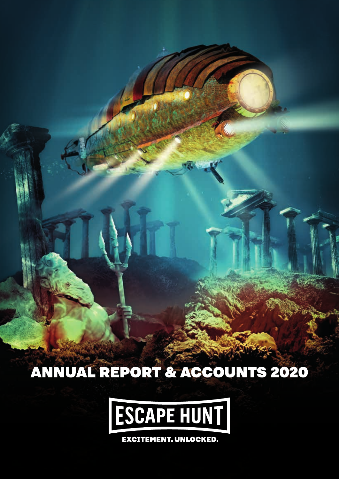ANNUAL REPORT & ACCOUNTS 2020

**Annual Report & Accounts 2018** 



**EXCITEMENT. UNLOCKED.**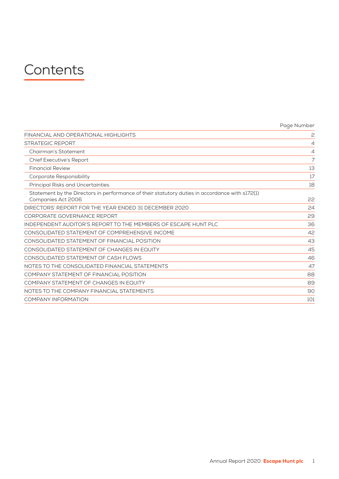# **Contents**

|                                                                                                                      | Page Number |
|----------------------------------------------------------------------------------------------------------------------|-------------|
| FINANCIAL AND OPERATIONAL HIGHLIGHTS                                                                                 | 2           |
| <b>STRATEGIC REPORT</b>                                                                                              | 4           |
| Chairman's Statement                                                                                                 | 4           |
| <b>Chief Executive's Report</b>                                                                                      | 7           |
| <b>Financial Review</b>                                                                                              | 13          |
| Corporate Responsibility                                                                                             | 17          |
| Principal Risks and Uncertainties                                                                                    | 18          |
| Statement by the Directors in performance of their statutory duties in accordance with s172(1)<br>Companies Act 2006 | 22          |
| DIRECTORS' REPORT FOR THE YEAR ENDED 31 DECEMBER 2020                                                                | 24          |
| CORPORATE GOVERNANCE REPORT                                                                                          | 29          |
| INDEPENDENT AUDITOR'S REPORT TO THE MEMBERS OF ESCAPE HUNT PLC                                                       | 36          |
| CONSOLIDATED STATEMENT OF COMPREHENSIVE INCOME                                                                       | 42          |
| CONSOLIDATED STATEMENT OF FINANCIAL POSITION                                                                         | 43          |
| CONSOLIDATED STATEMENT OF CHANGES IN EQUITY                                                                          | 45          |
| CONSOLIDATED STATEMENT OF CASH FLOWS                                                                                 | 46          |
| NOTES TO THE CONSOLIDATED FINANCIAL STATEMENTS                                                                       | 47          |
| COMPANY STATEMENT OF FINANCIAL POSITION                                                                              | 88          |
| COMPANY STATEMENT OF CHANGES IN EQUITY                                                                               | 89          |
| NOTES TO THE COMPANY FINANCIAL STATEMENTS                                                                            | 90          |
| <b>COMPANY INFORMATION</b>                                                                                           | 101         |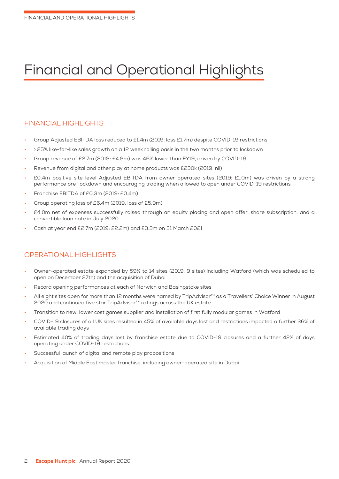# Financial and Operational Highlights

# FINANCIAL HIGHLIGHTS

- Group Adjusted EBITDA loss reduced to £1.4m (2019: loss £1.7m) despite COVID-19 restrictions
- > 25% like-for-like sales growth on a 12 week rolling basis in the two months prior to lockdown
- Group revenue of £2.7m (2019: £4.9m) was 46% lower than FY19, driven by COVID-19
- Revenue from digital and other play at home products was £230k (2019: nil)
- £0.4m positive site level Adjusted EBITDA from owner-operated sites (2019: £1.0m) was driven by a strong performance pre-lockdown and encouraging trading when allowed to open under COVID-19 restrictions
- Franchise EBITDA of £0.3m (2019: £0.4m)
- Group operating loss of £6.4m (2019: loss of £5.9m)
- £4.0m net of expenses successfully raised through an equity placing and open offer, share subscription, and a convertible loan note in July 2020
- Cash at year end £2.7m (2019: £2.2m) and £3.3m on 31 March 2021

# OPERATIONAL HIGHLIGHTS

- Owner-operated estate expanded by 59% to 14 sites (2019: 9 sites) including Watford (which was scheduled to open on December 27th) and the acquisition of Dubai
- Record opening performances at each of Norwich and Basingstoke sites
- All eight sites open for more than 12 months were named by TripAdvisor™ as a Travellers' Choice Winner in August 2020 and continued five star TripAdvisor™ ratings across the UK estate
- Transition to new, lower cost games supplier and installation of first fully modular games in Watford
- COVID-19 closures of all UK sites resulted in 45% of available days lost and restrictions impacted a further 36% of available trading days
- Estimated 40% of trading days lost by franchise estate due to COVID-19 closures and a further 42% of days operating under COVID-19 restrictions
- Successful launch of digital and remote play propositions
- Acquisition of Middle East master franchise, including owner-operated site in Dubai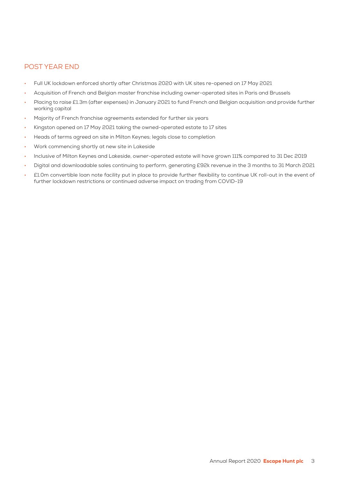# POST YEAR END

- Full UK lockdown enforced shortly after Christmas 2020 with UK sites re-opened on 17 May 2021
- Acquisition of French and Belgian master franchise including owner-operated sites in Paris and Brussels
- Placing to raise £1.3m (after expenses) in January 2021 to fund French and Belgian acquisition and provide further working capital
- Majority of French franchise agreements extended for further six years
- Kingston opened on 17 May 2021 taking the owned-operated estate to 17 sites
- Heads of terms agreed on site in Milton Keynes; legals close to completion
- Work commencing shortly at new site in Lakeside
- Inclusive of Milton Keynes and Lakeside, owner-operated estate will have grown 111% compared to 31 Dec 2019
- Digital and downloadable sales continuing to perform, generating £92k revenue in the 3 months to 31 March 2021
- £1.0m convertible loan note facility put in place to provide further flexibility to continue UK roll-out in the event of further lockdown restrictions or continued adverse impact on trading from COVID-19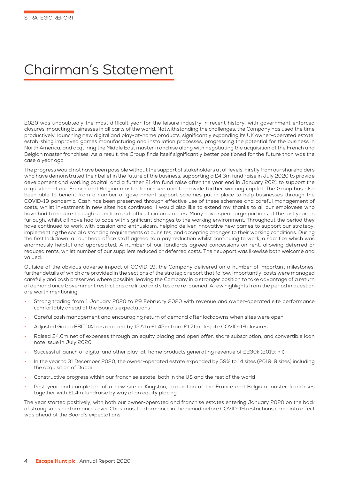# Chairman's Statement

2020 was undoubtedly the most difficult year for the leisure industry in recent history, with government enforced closures impacting businesses in all parts of the world. Notwithstanding the challenges, the Company has used the time productively, launching new digital and play-at-home products, significantly expanding its UK owner-operated estate, establishing improved games manufacturing and installation processes, progressing the potential for the business in North America, and acquiring the Middle East master franchise along with negotiating the acquisition of the French and Belgian master franchises. As a result, the Group finds itself significantly better positioned for the future than was the case a year ago.

The progress would not have been possible without the support of stakeholders at all levels. Firstly from our shareholders who have demonstrated their belief in the future of the business, supporting a £4.3m fund raise in July 2020 to provide development and working capital, and a further £1.4m fund raise after the year end in January 2021 to support the acquisition of our French and Belgian master franchisee and to provide further working capital. The Group has also been able to benefit from a number of government support schemes put in place to help businesses through the COVID-19 pandemic. Cash has been preserved through effective use of these schemes and careful management of costs, whilst investment in new sites has continued. I would also like to extend my thanks to all our employees who have had to endure through uncertain and difficult circumstances. Many have spent large portions of the last year on furlough, whilst all have had to cope with significant changes to the working environment. Throughout the period they have continued to work with passion and enthusiasm, helping deliver innovative new games to support our strategy, implementing the social distancing requirements at our sites, and accepting changes to their working conditions. During the first lockdown, all our head office staff agreed to a pay reduction whilst continuing to work, a sacrifice which was enormously helpful and appreciated. A number of our landlords agreed concessions on rent, allowing deferred or reduced rents, whilst number of our suppliers reduced or deferred costs. Their support was likewise both welcome and valued.

Outside of the obvious adverse impact of COVID-19, the Company delivered on a number of important milestones, further details of which are provided in the sections of the strategic report that follow. Importantly, costs were managed carefully and cash preserved where possible, leaving the Company in a stronger position to take advantage of a return of demand once Government restrictions are lifted and sites are re-opened. A few highlights from the period in question are worth mentioning:

- Strong trading from 1 January 2020 to 29 February 2020 with revenue and owner-operated site performance comfortably ahead of the Board's expectations
- Careful cash management and encouraging return of demand after lockdowns when sites were open
- Adjusted Group EBITDA loss reduced by 15% to £1.45m from £1.71m despite COVID-19 closures
- Raised £4.0m net of expenses through an equity placing and open offer, share subscription, and convertible loan note issue in July 2020
- Successful launch of digital and other play-at-home products generating revenue of £230k (2019: nil)
- In the year to 31 December 2020, the owner-operated estate expanded by 59% to 14 sites (2019: 9 sites) including the acquisition of Dubai
- Constructive progress within our franchise estate, both in the US and the rest of the world
- Post year end completion of a new site in Kingston, acquisition of the France and Belgium master franchises together with £1.4m fundraise by way of an equity placing

The year started positively, with both our owner-operated and franchise estates entering January 2020 on the back of strong sales performances over Christmas. Performance in the period before COVID-19 restrictions came into effect was ahead of the Board's expectations.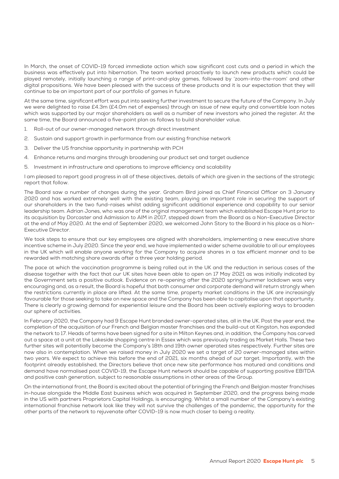In March, the onset of COVID-19 forced immediate action which saw significant cost cuts and a period in which the business was effectively put into hibernation. The team worked proactively to launch new products which could be played remotely, initially launching a range of print-and-play games, followed by 'zoom-into-the-room' and other digital propositions. We have been pleased with the success of these products and it is our expectation that they will continue to be an important part of our portfolio of games in future.

At the same time, significant effort was put into seeking further investment to secure the future of the Company. In July we were delighted to raise £4.3m (£4.0m net of expenses) through an issue of new equity and convertible loan notes which was supported by our major shareholders as well as a number of new investors who joined the register. At the same time, the Board announced a five-point plan as follows to build shareholder value.

- 1. Roll-out of our owner-managed network through direct investment
- 2. Sustain and support growth in performance from our existing franchise network
- 3. Deliver the US franchise opportunity in partnership with PCH
- 4. Enhance returns and margins through broadening our product set and target audience
- 5. Investment in infrastructure and operations to improve efficiency and scalability

I am pleased to report good progress in all of these objectives, details of which are given in the sections of the strategic report that follow.

The Board saw a number of changes during the year. Graham Bird joined as Chief Financial Officer on 3 January 2020 and has worked extremely well with the existing team, playing an important role in securing the support of our shareholders in the two fund-raises whilst adding significant additional experience and capability to our senior leadership team. Adrian Jones, who was one of the original management team which established Escape Hunt prior to its acquisition by Dorcaster and Admission to AIM in 2017, stepped down from the Board as a Non-Executive Director at the end of May 2020. At the end of September 2020, we welcomed John Story to the Board in his place as a Non-Executive Director.

We took steps to ensure that our key employees are aligned with shareholders, implementing a new executive share incentive scheme in July 2020. Since the year end, we have implemented a wider scheme available to all our employees in the UK which will enable anyone working for the Company to acquire shares in a tax efficient manner and to be rewarded with matching share awards after a three year holding period.

The pace at which the vaccination programme is being rolled out in the UK and the reduction in serious cases of the disease together with the fact that our UK sites have been able to open on 17 May 2021 as was initially indicated by the Government sets a positive outlook. Evidence on re-opening after the 2020 spring/summer lockdown was very encouraging and, as a result, the Board is hopeful that both consumer and corporate demand will return strongly when the restrictions currently in place are lifted. At the same time, property market conditions in the UK are increasingly favourable for those seeking to take on new space and the Company has been able to capitalise upon that opportunity. There is clearly a growing demand for experiential leisure and the Board has been actively exploring ways to broaden our sphere of activities.

In February 2020, the Company had 9 Escape Hunt branded owner-operated sites, all in the UK. Post the year end, the completion of the acquisition of our French and Belgian master franchises and the build-out at Kingston, has expanded the network to 17. Heads of terms have been signed for a site in Milton Keynes and, in addition, the Company has carved out a space at a unit at the Lakeside shopping centre in Essex which was previously trading as Market Halls. These two further sites will potentially become the Company's 18th and 19th owner operated sites respectively. Further sites are now also in contemplation. When we raised money in July 2020 we set a target of 20 owner-managed sites within two years. We expect to achieve this before the end of 2021, six months ahead of our target. Importantly, with the footprint already established, the Directors believe that once new site performance has matured and conditions and demand have normalised post COVID-19, the Escape Hunt network should be capable of supporting positive EBITDA and positive cash generation, subject to reasonable assumptions in other areas of the Group.

On the international front, the Board is excited about the potential of bringing the French and Belgian master franchises in-house alongside the Middle East business which was acquired in September 2020, and the progress being made in the US with partners Proprietors Capital Holdings, is encouraging. Whilst a small number of the Company's existing international franchise network look like they will not survive the challenges of the pandemic, the opportunity for the other parts of the network to rejuvenate after COVID-19 is now much closer to being a reality.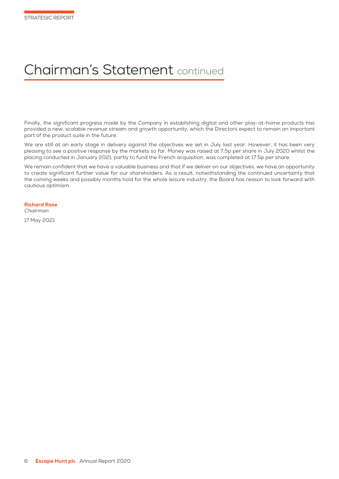# Chairman's Statement continued

Finally, the significant progress made by the Company in establishing digital and other play-at-home products has provided a new, scalable revenue stream and growth opportunity, which the Directors expect to remain an important part of the product suite in the future.

We are still at an early stage in delivery against the objectives we set in July last year. However, it has been very pleasing to see a positive response by the markets so far. Money was raised at 7.5p per share in July 2020 whilst the placing conducted in January 2021, partly to fund the French acquisition, was completed at 17.5p per share.

We remain confident that we have a valuable business and that if we deliver on our objectives, we have an opportunity to create significant further value for our shareholders. As a result, notwithstanding the continued uncertainty that the coming weeks and possibly months hold for the whole leisure industry, the Board has reason to look forward with cautious optimism.

# Richard Rose

Chairman

17 May 2021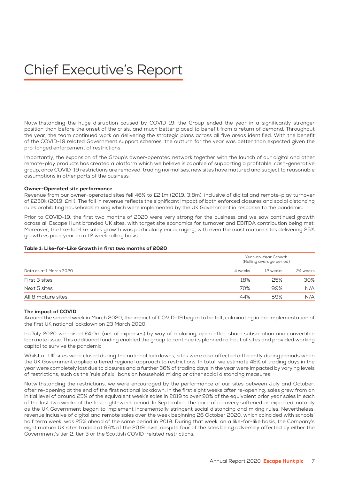# Chief Executive's Report

Notwithstanding the huge disruption caused by COVID-19, the Group ended the year in a significantly stronger position than before the onset of the crisis, and much better placed to benefit from a return of demand. Throughout the year, the team continued work on delivering the strategic plans across all five areas identified. With the benefit of the COVID-19 related Government support schemes, the outturn for the year was better than expected given the pro-longed enforcement of restrictions.

Importantly, the expansion of the Group's owner-operated network together with the launch of our digital and other remote-play products has created a platform which we believe is capable of supporting a profitable, cash-generative group, once COVID-19 restrictions are removed, trading normalises, new sites have matured and subject to reasonable assumptions in other parts of the business.

# Owner-Operated site performance

Revenue from our owner-operated sites fell 46% to £2.1m (2019: 3.8m), inclusive of digital and remote-play turnover of £230k (2019: £nil). The fall in revenue reflects the significant impact of both enforced closures and social distancing rules prohibiting households mixing which were implemented by the UK Government in response to the pandemic.

Prior to COVID-19, the first two months of 2020 were very strong for the business and we saw continued growth across all Escape Hunt branded UK sites, with target site economics for turnover and EBITDA contribution being met. Moreover, the like-for-like sales growth was particularly encouraging, with even the most mature sites delivering 25% growth vs prior year on a 12 week rolling basis.

# Table 1: Like-for-Like Growth in first two months of 2020

| Data as at 1 March 2020 | Year-on-Year Growth<br>(Rolling average period) |          |          |
|-------------------------|-------------------------------------------------|----------|----------|
|                         | 4 weeks                                         | 12 weeks | 24 weeks |
| First 3 sites           | 18%                                             | 25%      | 30%      |
| Next 5 sites            | 70%                                             | 99%      | N/A      |
| All 8 mature sites      | 44%                                             | 59%      | N/A      |

#### The impact of COVID

Around the second week in March 2020, the impact of COVID-19 began to be felt, culminating in the implementation of the first UK national lockdown on 23 March 2020.

In July 2020 we raised £4.0m (net of expenses) by way of a placing, open offer, share subscription and convertible loan note issue. This additional funding enabled the group to continue its planned roll-out of sites and provided working capital to survive the pandemic.

Whilst all UK sites were closed during the national lockdowns, sites were also affected differently during periods when the UK Government applied a tiered regional approach to restrictions. In total, we estimate 45% of trading days in the year were completely lost due to closures and a further 36% of trading days in the year were impacted by varying levels of restrictions, such as the 'rule of six', bans on household mixing or other social distancing measures.

Notwithstanding the restrictions, we were encouraged by the performance of our sites between July and October, after re-opening at the end of the first national lockdown. In the first eight weeks after re-opening, sales grew from an initial level of around 25% of the equivalent week's sales in 2019 to over 90% of the equivalent prior year sales in each of the last two weeks of the first eight-week period. In September, the pace of recovery softened as expected, notably as the UK Government began to implement incrementally stringent social distancing and mixing rules. Nevertheless, revenue inclusive of digital and remote sales over the week beginning 26 October 2020, which coincided with schools' half term week, was 25% ahead of the same period in 2019. During that week, on a like-for-like basis, the Company's eight mature UK sites traded at 96% of the 2019 level, despite four of the sites being adversely affected by either the Government's tier 2, tier 3 or the Scottish COVID-related restrictions.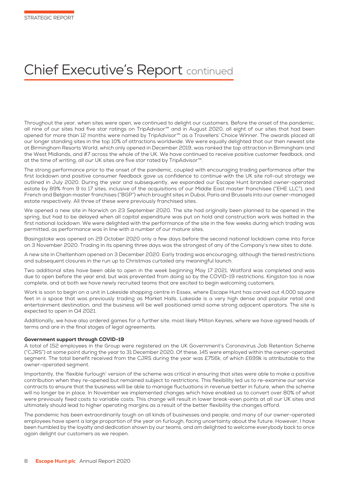# Chief Executive's Report continued

Throughout the year, when sites were open, we continued to delight our customers. Before the onset of the pandemic, all nine of our sites had five star ratings on TripAdvisor™ and in August 2020, all eight of our sites that had been opened for more than 12 months were named by TripAdvisor™ as a Travellers' Choice Winner. The awards placed all our longer standing sites in the top 10% of attractions worldwide. We were equally delighted that our then newest site at Birmingham Resorts World, which only opened in December 2019, was ranked the top attraction in Birmingham and the West Midlands, and #7 across the whole of the UK. We have continued to receive positive customer feedback, and at the time of writing, all our UK sites are five star rated by TripAdvisor™.

The strong performance prior to the onset of the pandemic, coupled with encouraging trading performance after the first lockdown and positive consumer feedback gave us confidence to continue with the UK site roll-out strategy we outlined in July 2020. During the year and subsequently, we expanded our Escape Hunt branded owner-operated estate by 89% from 9 to 17 sites, inclusive of the acquisitions of our Middle East master franchisee ("EHE LLC"), and French and Belgian master franchises ("BGP") which brought sites in Dubai, Paris and Brussels into our owner-managed estate respectively. All three of these were previously franchised sites.

We opened a new site in Norwich on 23 September 2020. The site had originally been planned to be opened in the spring, but had to be delayed when all capital expenditure was put on hold and construction work was halted in the first national lockdown. We were delighted with the performance of the site in the few weeks during which trading was permitted, as performance was in line with a number of our mature sites.

Basingstoke was opened on 29 October 2020 only a few days before the second national lockdown came into force on 3 November 2020. Trading in its opening three days was the strongest of any of the Company's new sites to date.

A new site in Cheltenham opened on 3 December 2020. Early trading was encouraging, although the tiered restrictions and subsequent closures in the run up to Christmas curtailed any meaningful launch.

Two additional sites have been able to open in the week beginning May 17 2021. Watford was completed and was due to open before the year end, but was prevented from doing so by the COVID-19 restrictions. Kingston too is now complete, and at both we have newly recruited teams that are excited to begin welcoming customers.

Work is soon to begin on a unit in Lakeside shopping centre in Essex, where Escape Hunt has carved out 4,000 square feet in a space that was previously trading as Market Halls. Lakeside is a very high dense and popular retail and entertainment destination, and the business will be well positioned amid some strong adjacent operators. The site is expected to open in Q4 2021.

Additionally, we have also ordered games for a further site, most likely Milton Keynes, where we have agreed heads of terms and are in the final stages of legal agreements.

# Government support through COVID-19

A total of 152 employees in the Group were registered on the UK Government's Coronavirus Job Retention Scheme ("CJRS") at some point during the year to 31 December 2020. Of these, 145 were employed within the owner-operated segment. The total benefit received from the CJRS during the year was £756k, of which £699k is attributable to the owner-operated segment.

Importantly, the 'flexible furlough' version of the scheme was critical in ensuring that sites were able to make a positive contribution when they re-opened but remained subject to restrictions. This flexibility led us to re-examine our service contracts to ensure that the business will be able to manage fluctuations in revenue better in future, when the scheme will no longer be in place. In November we implemented changes which have enabled us to convert over 80% of what were previously fixed costs to variable costs. This change will result in lower break-even points at all our UK sites and ultimately should lead to higher operating margins as a result of the better flexibility the changes afford.

The pandemic has been extraordinarily tough on all kinds of businesses and people, and many of our owner-operated employees have spent a large proportion of the year on furlough, facing uncertainty about the future. However, I have been humbled by the loyalty and dedication shown by our teams, and am delighted to welcome everybody back to once again delight our customers as we reopen.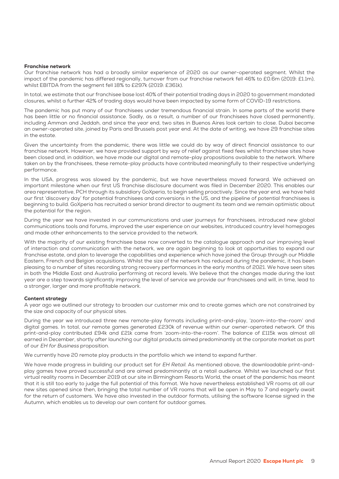#### Franchise network

Our franchise network has had a broadly similar experience of 2020 as our owner-operated segment. Whilst the impact of the pandemic has differed regionally, turnover from our franchise network fell 46% to £0.6m (2019: £1.1m), whilst EBITDA from the segment fell 18% to £297k (2019: £361k).

In total, we estimate that our franchisee base lost 40% of their potential trading days in 2020 to government mandated closures, whilst a further 42% of trading days would have been impacted by some form of COVID-19 restrictions.

The pandemic has put many of our franchisees under tremendous financial strain. In some parts of the world there has been little or no financial assistance. Sadly, as a result, a number of our franchisees have closed permanently, including Amman and Jeddah, and since the year end, two sites in Buenos Aires look certain to close. Dubai became an owner-operated site, joined by Paris and Brussels post year end. At the date of writing, we have 29 franchise sites in the estate.

Given the uncertainty from the pandemic, there was little we could do by way of direct financial assistance to our franchise network. However, we have provided support by way of relief against fixed fees whilst franchisee sites have been closed and, in addition, we have made our digital and remote-play propositions available to the network. Where taken on by the franchisees, these remote-play products have contributed meaningfully to their respective underlying performance.

In the USA, progress was slowed by the pandemic, but we have nevertheless moved forward. We achieved an important milestone when our first US franchise disclosure document was filed in December 2020. This enables our area representative, PCH through its subsidiary GoXperia, to begin selling proactively. Since the year end, we have held our first 'discovery day' for potential franchisees and conversions in the US, and the pipeline of potential franchisees is beginning to build. GoXperia has recruited a senior brand director to augment its team and we remain optimistic about the potential for the region.

During the year we have invested in our communications and user journeys for franchisees, introduced new global communications tools and forums, improved the user experience on our websites, introduced country level homepages and made other enhancements to the service provided to the network.

With the majority of our existing franchisee base now converted to the catalogue approach and our improving level of interaction and communication with the network, we are again beginning to look at opportunities to expand our franchise estate, and plan to leverage the capabilities and experience which have joined the Group through our Middle Eastern, French and Belgian acquisitions. Whilst the size of the network has reduced during the pandemic, it has been pleasing to a number of sites recording strong recovery performances in the early months of 2021. We have seen sites in both the Middle East and Australia performing at record levels. We believe that the changes made during the last year are a step towards significantly improving the level of service we provide our franchisees and will, in time, lead to a stronger, larger and more profitable network.

# Content strategy

A year ago we outlined our strategy to broaden our customer mix and to create games which are not constrained by the size and capacity of our physical sites.

During the year we introduced three new remote-play formats including print-and-play, 'zoom-into-the-room' and digital games. In total, our remote games generated £230k of revenue within our owner-operated network. Of this print-and-play contributed £94k and £21k came from 'zoom-into-the-room'. The balance of £115k was almost all earned in December, shortly after launching our digital products aimed predominantly at the corporate market as part of our EH for Business proposition.

We currently have 20 remote play products in the portfolio which we intend to expand further.

We have made progress in building our product set for EH Retail. As mentioned above, the downloadable print-andplay games have proved successful and are aimed predominantly at a retail audience. Whilst we launched our first virtual reality rooms in December 2019 at our site in Birmingham Resorts World, the onset of the pandemic has meant that it is still too early to judge the full potential of this format. We have nevertheless established VR rooms at all our new sites opened since then, bringing the total number of VR rooms that will be open in May to 7 and eagerly await for the return of customers. We have also invested in the outdoor formats, utilising the software license signed in the Autumn, which enables us to develop our own content for outdoor games.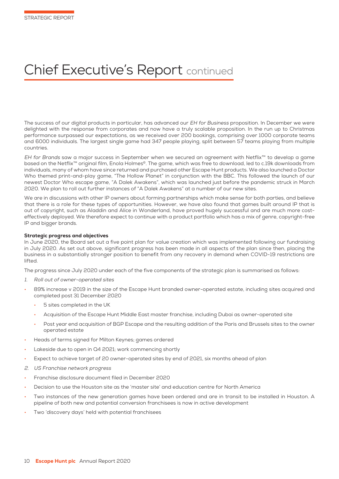# Chief Executive's Report continued

The success of our digital products in particular, has advanced our EH for Business proposition. In December we were delighted with the response from corporates and now have a truly scalable proposition. In the run up to Christmas performance surpassed our expectations, as we received over 200 bookings, comprising over 1000 corporate teams and 6000 individuals. The largest single game had 347 people playing, split between 57 teams playing from multiple countries.

EH for Brands saw a major success in September when we secured an agreement with Netflix™ to develop a game based on the Netflix™ original film, Enola Holmes©. The game, which was free to download, led to c.19k downloads from individuals, many of whom have since returned and purchased other Escape Hunt products. We also launched a Doctor Who themed print-and-play game, "The Hollow Planet" in conjunction with the BBC. This followed the launch of our newest Doctor Who escape game, "A Dalek Awakens", which was launched just before the pandemic struck in March 2020. We plan to roll out further instances of "A Dalek Awakens" at a number of our new sites.

We are in discussions with other IP owners about forming partnerships which make sense for both parties, and believe that there is a role for these types of opportunities. However, we have also found that games built around IP that is out of copyright, such as Aladdin and Alice in Wonderland, have proved hugely successful and are much more costeffectively deployed. We therefore expect to continue with a product portfolio which has a mix of genre, copyright-free IP and bigger brands.

# Strategic progress and objectives

In June 2020, the Board set out a five point plan for value creation which was implemented following our fundraising in July 2020. As set out above, significant progress has been made in all aspects of the plan since then, placing the business in a substantially stronger position to benefit from any recovery in demand when COVID-19 restrictions are lifted.

The progress since July 2020 under each of the five components of the strategic plan is summarised as follows:

- 1. Roll out of owner-operated sites
- 89% increase v 2019 in the size of the Escape Hunt branded owner-operated estate, including sites acquired and completed post 31 December 2020
	- 5 sites completed in the UK
	- Acquisition of the Escape Hunt Middle East master franchise, including Dubai as owner-operated site
	- Post year end acquisition of BGP Escape and the resulting addition of the Paris and Brussels sites to the owner operated estate
- Heads of terms signed for Milton Keynes; games ordered
- Lakeside due to open in Q4 2021; work commencing shortly
- Expect to achieve target of 20 owner-operated sites by end of 2021, six months ahead of plan
- 2. US Franchise network progress
- Franchise disclosure document filed in December 2020
- Decision to use the Houston site as the 'master site' and education centre for North America
- Two instances of the new generation games have been ordered and are in transit to be installed in Houston. A pipeline of both new and potential conversion franchisees is now in active development
- Two 'discovery days' held with potential franchisees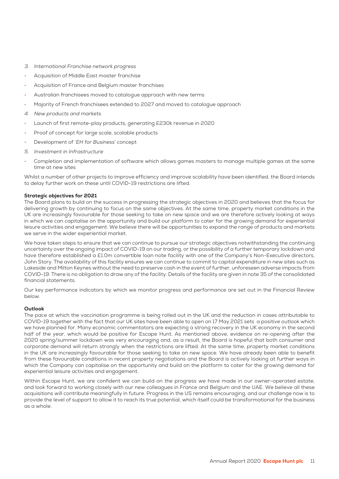- 3. International Franchise network progress
- Acquisition of Middle East master franchise
- Acquisition of France and Belgium master franchises
- Australian franchisees moved to catalogue approach with new terms
- Majority of French franchisees extended to 2027 and moved to catalogue approach
- 4. New products and markets
- Launch of first remote-play products, generating £230k revenue in 2020
- Proof of concept for large scale, scalable products
- Development of 'EH for Business' concept
- 5. Investment in Infrastructure
- Completion and implementation of software which allows games masters to manage multiple games at the same time at new sites

Whilst a number of other projects to improve efficiency and improve scalability have been identified, the Board intends to delay further work on these until COVID-19 restrictions are lifted.

# Strategic objectives for 2021

The Board plans to build on the success in progressing the strategic objectives in 2020 and believes that the focus for delivering growth by continuing to focus on the same objectives. At the same time, property market conditions in the UK are increasingly favourable for those seeking to take on new space and we are therefore actively looking at ways in which we can capitalise on the opportunity and build our platform to cater for the growing demand for experiential leisure activities and engagement. We believe there will be opportunities to expand the range of products and markets we serve in the wider experiential market.

We have taken steps to ensure that we can continue to pursue our strategic objectives notwithstanding the continuing uncertainty over the ongoing impact of COVID-19 on our trading, or the possibility of a further temporary lockdown and have therefore established a £1.0m convertible loan note facility with one of the Company's Non-Executive directors, John Story. The availability of this facility ensures we can continue to commit to capital expenditure in new sites such as Lakeside and Milton Keynes without the need to preserve cash in the event of further, unforeseen adverse impacts from COVID-19. There is no obligation to draw any of the facility. Details of the facility are given in note 35 of the consolidated financial statements.

Our key performance indicators by which we monitor progress and performance are set out in the Financial Review below.

# **Outlook**

The pace at which the vaccination programme is being rolled out in the UK and the reduction in cases attributable to COVID-19 together with the fact that our UK sites have been able to open on 17 May 2021 sets a positive outlook which we have planned for. Many economic commentators are expecting a strong recovery in the UK economy in the second half of the year, which would be positive for Escape Hunt. As mentioned above, evidence on re-opening after the 2020 spring/summer lockdown was very encouraging and, as a result, the Board is hopeful that both consumer and corporate demand will return strongly when the restrictions are lifted. At the same time, property market conditions in the UK are increasingly favourable for those seeking to take on new space. We have already been able to benefit from these favourable conditions in recent property negotiations and the Board is actively looking at further ways in which the Company can capitalise on the opportunity and build on the platform to cater for the growing demand for experiential leisure activities and engagement.

Within Escape Hunt, we are confident we can build on the progress we have made in our owner-operated estate, and look forward to working closely with our new colleagues in France and Belgium and the UAE. We believe all these acquisitions will contribute meaningfully in future. Progress in the US remains encouraging, and our challenge now is to provide the level of support to allow it to reach its true potential, which itself could be transformational for the business as a whole.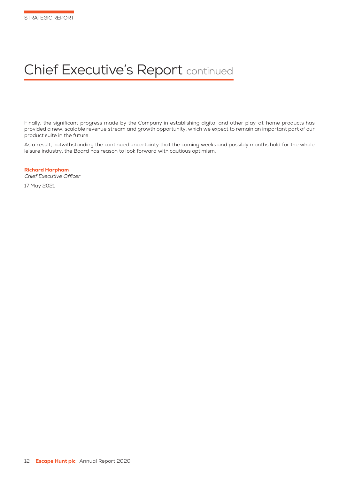# Chief Executive's Report continued

Finally, the significant progress made by the Company in establishing digital and other play-at-home products has provided a new, scalable revenue stream and growth opportunity, which we expect to remain an important part of our product suite in the future.

As a result, notwithstanding the continued uncertainty that the coming weeks and possibly months hold for the whole leisure industry, the Board has reason to look forward with cautious optimism.

Richard Harpham Chief Executive Officer

17 May 2021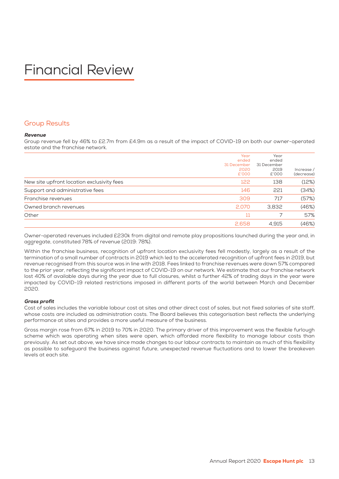# Financial Review

# Group Results

# Revenue

Group revenue fell by 46% to £2.7m from £4.9m as a result of the impact of COVID-19 on both our owner-operated estate and the franchise network.

|                                            | Year<br>ended<br>31 December<br>2020<br>£'000 | Year<br>ended<br>31 December<br>2019<br>£'000 | Increase /<br>(decrease) |
|--------------------------------------------|-----------------------------------------------|-----------------------------------------------|--------------------------|
| New site upfront location exclusivity fees | 122                                           | 138                                           | (12%)                    |
| Support and administrative fees            | 146                                           | 221                                           | (34%)                    |
| Franchise revenues                         | 309                                           | 717                                           | (57%)                    |
| Owned branch revenues                      | 2,070                                         | 3,832                                         | (46%)                    |
| Other                                      | 11                                            |                                               | 57%                      |
|                                            | 2,658                                         | 4.915                                         | (46%)                    |

Owner-operated revenues included £230k from digital and remote play propositions launched during the year and, in aggregate, constituted 78% of revenue (2019: 78%).

Within the franchise business, recognition of upfront location exclusivity fees fell modestly, largely as a result of the termination of a small number of contracts in 2019 which led to the accelerated recognition of upfront fees in 2019, but revenue recognised from this source was in line with 2018. Fees linked to franchise revenues were down 57% compared to the prior year, reflecting the significant impact of COVID-19 on our network. We estimate that our franchise network lost 40% of available days during the year due to full closures, whilst a further 42% of trading days in the year were impacted by COVID-19 related restrictions imposed in different parts of the world between March and December 2020.

# Gross profit

Cost of sales includes the variable labour cost at sites and other direct cost of sales, but not fixed salaries of site staff, whose costs are included as administration costs. The Board believes this categorisation best reflects the underlying performance at sites and provides a more useful measure of the business.

Gross margin rose from 67% in 2019 to 70% in 2020. The primary driver of this improvement was the flexible furlough scheme which was operating when sites were open, which afforded more flexibility to manage labour costs than previously. As set out above, we have since made changes to our labour contracts to maintain as much of this flexibility as possible to safeguard the business against future, unexpected revenue fluctuations and to lower the breakeven levels at each site.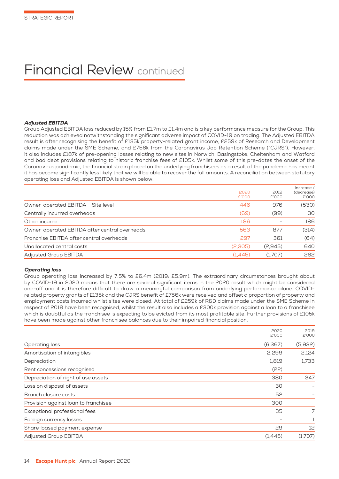# Financial Review continued

# Adjusted EBITDA

Group Adjusted EBITDA loss reduced by 15% from £1.7m to £1.4m and is a key performance measure for the Group. This reduction was achieved notwithstanding the significant adverse impact of COVID-19 on trading. The Adjusted EBITDA result is after recognising the benefit of £135k property-related grant income, £259k of Research and Development claims made under the SME Scheme, and £756k from the Coronavirus Job Retention Scheme ("CJRS"). However, it also includes £187k of pre-opening losses relating to new sites in Norwich, Basingstoke, Cheltenham and Watford and bad debt provisions relating to historic franchise fees of £105k. Whilst some of this pre-dates the onset of the Coronavirus pandemic, the financial strain placed on the underlying franchisees as a result of the pandemic has meant it has become significantly less likely that we will be able to recover the full amounts. A reconciliation between statutory operating loss and Adjusted EBITDA is shown below.

|                                               | 2020<br>£'000 | 2019<br>£'000 | Increase /<br>(decrease)<br>£'000 |
|-----------------------------------------------|---------------|---------------|-----------------------------------|
| Owner-operated EBITDA - Site level            | 446           | 976           | (530)                             |
| Centrally incurred overheads                  | (69)          | (99)          | 30                                |
| Other income                                  | 186           |               | 186                               |
| Owner-operated EBITDA after central overheads | 563           | 877           | (314)                             |
| Franchise EBITDA after central overheads      | 297           | 361           | (64)                              |
| Unallocated central costs                     | (2,305)       | (2.945)       | 640                               |
| <b>Adjusted Group EBITDA</b>                  | (1,445)       | (1,707)       | 262                               |

# Operating loss

Group operating loss increased by 7.5% to £6.4m (2019: £5.9m). The extraordinary circumstances brought about by COVID-19 in 2020 means that there are several significant items in the 2020 result which might be considered one-off and it is therefore difficult to draw a meaningful comparison from underlying performance alone. COVIDrelated property grants of £135k and the CJRS benefit of £756k were received and offset a proportion of property and employment costs incurred whilst sites were closed. At total of £259k of R&D claims made under the SME Scheme in respect of 2018 have been recognised, whilst the result also includes a £300k provision against a loan to a franchisee which is doubtful as the franchisee is expecting to be evicted from its most profitable site. Further provisions of £105k have been made against other franchisee balances due to their impaired financial position.

|                                      | 2020    | 2019    |
|--------------------------------------|---------|---------|
|                                      | £'000   | £'000   |
| Operating loss                       | (6,367) | (5,932) |
| Amortisation of intangibles          | 2,299   | 2,124   |
| Depreciation                         | 1,819   | 1,733   |
| Rent concessions recognised          | (22)    |         |
| Depreciation of right of use assets  | 380     | 347     |
| Loss on disposal of assets           | 30      |         |
| Branch closure costs                 | 52      |         |
| Provision against loan to franchisee | 300     |         |
| Exceptional professional fees        | 35      | 7       |
| Foreign currency losses              |         |         |
| Share-based payment expense          | 29      | 12      |
| <b>Adjusted Group EBITDA</b>         | (1,445) | (1,707) |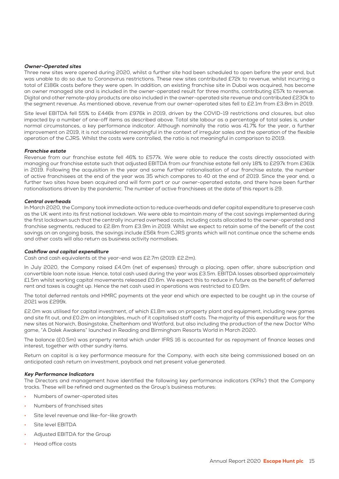# Owner-Operated sites

Three new sites were opened during 2020, whilst a further site had been scheduled to open before the year end, but was unable to do so due to Coronavirus restrictions. These new sites contributed £72k to revenue, whilst incurring a total of £186k costs before they were open. In addition, an existing franchise site in Dubai was acquired, has become an owner managed site and is included in the owner-operated result for three months, contributing £57k to revenue. Digital and other remote-play products are also included in the owner-operated site revenue and contributed £230k to the segment revenue. As mentioned above, revenue from our owner-operated sites fell to £2.1m from £3.8m in 2019.

Site level EBITDA fell 55% to £446k from £976k in 2019, driven by the COVID-19 restrictions and closures, but also impacted by a number of one-off items as described above. Total site labour as a percentage of total sales is, under normal circumstances, a key performance indicator. Although nominally the ratio was 41.7% for the year, a further improvement on 2019, it is not considered meaningful in the context of irregular sales and the operation of the flexible operation of the CJRS. Whilst the costs were controlled, the ratio is not meaningful in comparison to 2019.

# Franchise estate

Revenue from our franchise estate fell 46% to £577k. We were able to reduce the costs directly associated with managing our franchise estate such that adjusted EBITDA from our franchise estate fell only 18% to £297k from £361k in 2019. Following the acquisition in the year and some further rationalisation of our franchise estate, the number of active franchisees at the end of the year was 35 which compares to 40 at the end of 2019. Since the year end, a further two sites have been acquired and will form part or our owner-operated estate, and there have been further rationalisations driven by the pandemic. The number of active franchisees at the date of this report is 29.

# Central overheads

In March 2020, the Company took immediate action to reduce overheads and defer capital expenditure to preserve cash as the UK went into its first national lockdown. We were able to maintain many of the cost savings implemented during the first lockdown such that the centrally incurred overhead costs, including costs allocated to the owner-operated and franchise segments, reduced to £2.8m from £3.9m in 2019. Whilst we expect to retain some of the benefit of the cost savings on an ongoing basis, the savings include £56k from CJRS grants which will not continue once the scheme ends and other costs will also return as business activity normalises.

# Cashflow and capital expenditure

Cash and cash equivalents at the year-end was £2.7m (2019: £2.2m).

In July 2020, the Company raised £4.0m (net of expenses) through a placing, open offer, share subscription and convertible loan note issue. Hence, total cash used during the year was £3.5m. EBITDA losses absorbed approximately £1.5m whilst working capital movements released £0.6m. We expect this to reduce in future as the benefit of deferred rent and taxes is caught up. Hence the net cash used in operations was restricted to £0.9m.

The total deferred rentals and HMRC payments at the year end which are expected to be caught up in the course of 2021 was £299k.

£2.0m was utilised for capital investment, of which £1.8m was on property plant and equipment, including new games and site fit out, and £0.2m on intangibles, much of it capitalised staff costs. The majority of this expenditure was for the new sites at Norwich, Basingstoke, Cheltenham and Watford, but also including the production of the new Doctor Who game, "A Dalek Awakens" launched in Reading and Birmingham Resorts World in March 2020.

The balance (£0.5m) was property rental which under IFRS 16 is accounted for as repayment of finance leases and interest, together with other sundry items.

Return on capital is a key performance measure for the Company, with each site being commissioned based on an anticipated cash return on investment, payback and net present value generated.

# Key Performance Indicators

The Directors and management have identified the following key performance indicators ('KPIs') that the Company tracks. These will be refined and augmented as the Group's business matures:

- Numbers of owner-operated sites
- Numbers of franchised sites
- Site level revenue and like-for-like growth
- Site level EBITDA
- Adjusted EBITDA for the Group
- Head office costs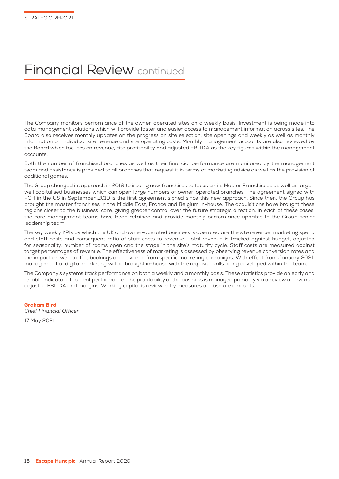# Financial Review continued

The Company monitors performance of the owner-operated sites on a weekly basis. Investment is being made into data management solutions which will provide faster and easier access to management information across sites. The Board also receives monthly updates on the progress on site selection, site openings and weekly as well as monthly information on individual site revenue and site operating costs. Monthly management accounts are also reviewed by the Board which focuses on revenue, site profitability and adjusted EBITDA as the key figures within the management accounts.

Both the number of franchised branches as well as their financial performance are monitored by the management team and assistance is provided to all branches that request it in terms of marketing advice as well as the provision of additional games.

The Group changed its approach in 2018 to issuing new franchises to focus on its Master Franchisees as well as larger, well capitalised businesses which can open large numbers of owner-operated branches. The agreement signed with PCH in the US in September 2019 is the first agreement signed since this new approach. Since then, the Group has brought the master franchises in the Middle East, France and Belgium in-house. The acquisitions have brought these regions closer to the business' core, giving greater control over the future strategic direction. In each of these cases, the core management teams have been retained and provide monthly performance updates to the Group senior leadership team.

The key weekly KPIs by which the UK and owner-operated business is operated are the site revenue, marketing spend and staff costs and consequent ratio of staff costs to revenue. Total revenue is tracked against budget, adjusted for seasonality, number of rooms open and the stage in the site's maturity cycle. Staff costs are measured against target percentages of revenue. The effectiveness of marketing is assessed by observing revenue conversion rates and the impact on web traffic, bookings and revenue from specific marketing campaigns. With effect from January 2021, management of digital marketing will be brought in-house with the requisite skills being developed within the team.

The Company's systems track performance on both a weekly and a monthly basis. These statistics provide an early and reliable indicator of current performance. The profitability of the business is managed primarily via a review of revenue, adjusted EBITDA and margins. Working capital is reviewed by measures of absolute amounts.

Graham Bird Chief Financial Officer 17 May 2021

16 **Escape Hunt plc** Annual Report 2020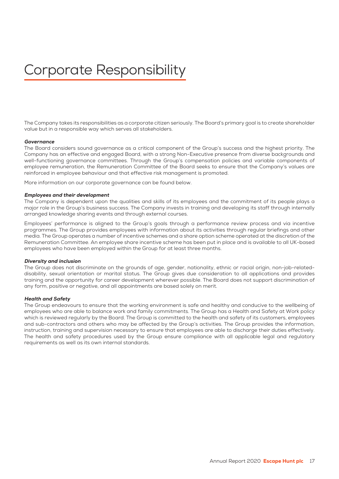# Corporate Responsibility

The Company takes its responsibilities as a corporate citizen seriously. The Board's primary goal is to create shareholder value but in a responsible way which serves all stakeholders.

#### Governance

The Board considers sound governance as a critical component of the Group's success and the highest priority. The Company has an effective and engaged Board, with a strong Non-Executive presence from diverse backgrounds and well-functioning governance committees. Through the Group's compensation policies and variable components of employee remuneration, the Remuneration Committee of the Board seeks to ensure that the Company's values are reinforced in employee behaviour and that effective risk management is promoted.

More information on our corporate governance can be found below.

#### Employees and their development

The Company is dependent upon the qualities and skills of its employees and the commitment of its people plays a major role in the Group's business success. The Company invests in training and developing its staff through internally arranged knowledge sharing events and through external courses.

Employees' performance is aligned to the Group's goals through a performance review process and via incentive programmes. The Group provides employees with information about its activities through regular briefings and other media. The Group operates a number of incentive schemes and a share option scheme operated at the discretion of the Remuneration Committee. An employee share incentive scheme has been put in place and is available to all UK-based employees who have been employed within the Group for at least three months.

#### Diversity and inclusion

The Group does not discriminate on the grounds of age, gender, nationality, ethnic or racial origin, non-job-relateddisability, sexual orientation or marital status. The Group gives due consideration to all applications and provides training and the opportunity for career development wherever possible. The Board does not support discrimination of any form, positive or negative, and all appointments are based solely on merit.

#### Health and Safety

The Group endeavours to ensure that the working environment is safe and healthy and conducive to the wellbeing of employees who are able to balance work and family commitments. The Group has a Health and Safety at Work policy which is reviewed regularly by the Board. The Group is committed to the health and safety of its customers, employees and sub-contractors and others who may be affected by the Group's activities. The Group provides the information, instruction, training and supervision necessary to ensure that employees are able to discharge their duties effectively. The health and safety procedures used by the Group ensure compliance with all applicable legal and regulatory requirements as well as its own internal standards.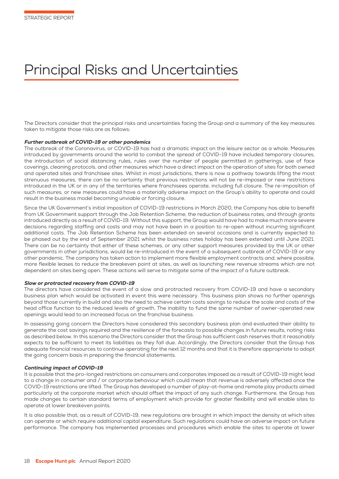# Principal Risks and Uncertainties

The Directors consider that the principal risks and uncertainties facing the Group and a summary of the key measures taken to mitigate those risks are as follows:

# Further outbreak of COVID-19 or other pandemics

The outbreak of the Coronavirus, or COVID-19 has had a dramatic impact on the leisure sector as a whole. Measures introduced by governments around the world to combat the spread of COVID-19 have included temporary closures, the introduction of social distancing rules, rules over the number of people permitted in gatherings, use of face coverings, cleaning protocols, and other measures which have a direct impact on the operation of sites for both owned and operated sites and franchisee sites. Whilst in most jurisdictions, there is now a pathway towards lifting the most strenuous measures, there can be no certainty that previous restrictions will not be re-imposed or new restrictions introduced in the UK or in any of the territories where franchisees operate, including full closure. The re-imposition of such measures, or new measures could have a materially adverse impact on the Group's ability to operate and could result in the business model becoming unviable or forcing closure.

Since the UK Government's initial imposition of COVID-19 restrictions in March 2020, the Company has able to benefit from UK Government support through the Job Retention Scheme, the reduction of business rates, and through grants introduced directly as a result of COVID-19. Without this support, the Group would have had to make much more severe decisions regarding staffing and costs and may not have been in a position to re-open without incurring significant additional costs. The Job Retention Scheme has been extended on several occasions and is currently expected to be phased out by the end of September 2021 whilst the business rates holiday has been extended until June 2021. There can be no certainty that either of these schemes, or any other support measures provided by the UK or other governments in other jurisdictions, would be re-introduced in the event of a subsequent outbreak of COVID-19 or any other pandemic. The company has taken action to implement more flexible employment contracts and, where possible, more flexible leases to reduce the breakeven point at sites, as well as launching new revenue streams which are not dependent on sites being open. These actions will serve to mitigate some of the impact of a future outbreak.

# Slow or protracted recovery from COVID-19

The directors have considered the event of a slow and protracted recovery from COVID-19 and have a secondary business plan which would be activated in event this were necessary. This business plan shows no further openings beyond those currently in build and also the need to achieve certain costs savings to reduce the scale and costs of the head office function to the reduced levels of growth. The inability to fund the same number of owner-operated new openings would lead to an increased focus on the franchise business.

In assessing going concern the Directors have considered this secondary business plan and evaluated their ability to generate the cost savings required and the resilience of the forecasts to possible changes in future results, noting risks as described below. In this scenario the Directors consider that the Group has sufficient cash reserves that it reasonably expects to be sufficient to meet its liabilities as they fall due. Accordingly, the Directors consider that the Group has adequate financial resources to continue operating for the next 12 months and that it is therefore appropriate to adopt the going concern basis in preparing the financial statements.

# Continuing impact of COVID-19

It is possible that the pro-longed restrictions on consumers and corporates imposed as a result of COVID-19 might lead to a change in consumer and / or corporate behaviour which could mean that revenue is adversely affected once the COVID-19 restrictions are lifted. The Group has developed a number of play-at-home and remote play products aimed particularly at the corporate market which should offset the impact of any such change. Furthermore, the Group has made changes to certain standard terms of employment which provide for greater flexibility and will enable sites to operate at lower breakeven points.

It is also possible that, as a result of COVID-19, new regulations are brought in which impact the density at which sites can operate or which require additional capital expenditure. Such regulations could have an adverse impact on future performance. The company has implemented processes and procedures which enable the sites to operate at lower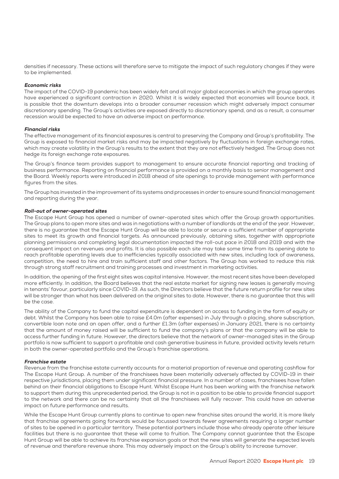densities if necessary. These actions will therefore serve to mitigate the impact of such regulatory changes if they were to be implemented.

# Economic risks

The impact of the COVID-19 pandemic has been widely felt and all major global economies in which the group operates have experienced a significant contraction in 2020. Whilst it is widely expected that economies will bounce back, it is possible that the downturn develops into a broader consumer recession which might adversely impact consumer discretionary spending. The Group's activities are exposed directly to discretionary spend, and as a result, a consumer recession would be expected to have an adverse impact on performance.

# Financial risks

The effective management of its financial exposures is central to preserving the Company and Group's profitability. The Group is exposed to financial market risks and may be impacted negatively by fluctuations in foreign exchange rates, which may create volatility in the Group's results to the extent that they are not effectively hedged. The Group does not hedge its foreign exchange rate exposures.

The Group's finance team provides support to management to ensure accurate financial reporting and tracking of business performance. Reporting on financial performance is provided on a monthly basis to senior management and the Board. Weekly reports were introduced in 2018 ahead of site openings to provide management with performance figures from the sites.

The Group has invested in the improvement of its systems and processes in order to ensure sound financial management and reporting during the year.

# Roll-out of owner-operated sites

The Escape Hunt Group has opened a number of owner-operated sites which offer the Group growth opportunities. The Group plans to open more sites and was in negotiations with a number of landlords at the end of the year. However, there is no guarantee that the Escape Hunt Group will be able to locate or secure a sufficient number of appropriate sites to meet its growth and financial targets. As announced previously, obtaining sites, together with appropriate planning permissions and completing legal documentation impacted the roll-out pace in 2018 and 2019 and with the consequent impact on revenues and profits. It is also possible each site may take some time from its opening date to reach profitable operating levels due to inefficiencies typically associated with new sites, including lack of awareness, competition, the need to hire and train sufficient staff and other factors. The Group has worked to reduce this risk through strong staff recruitment and training processes and investment in marketing activities.

In addition, the opening of the first eight sites was capital intensive. However, the most recent sites have been developed more efficiently. In addition, the Board believes that the real estate market for signing new leases is generally moving in tenants' favour, particularly since COVID-19. As such, the Directors believe that the future return profile for new sites will be stronger than what has been delivered on the original sites to date. However, there is no guarantee that this will be the case.

The ability of the Company to fund the capital expenditure is dependent on access to funding in the form of equity or debt. Whilst the Company has been able to raise £4.0m (after expenses) in July through a placing, share subscription, convertible loan note and an open offer, and a further £1.3m (after expenses) in January 2021, there is no certainty that the amount of money raised will be sufficient to fund the company's plans or that the company will be able to access further funding in future. However, the directors believe that the network of owner-managed sites in the Group portfolio is now sufficient to support a profitable and cash generative business in future, provided activity levels return in both the owner-operated portfolio and the Group's franchise operations.

# Franchise estate

Revenue from the franchise estate currently accounts for a material proportion of revenue and operating cashflow for The Escape Hunt Group. A number of the franchisees have been materially adversely affected by COVID-19 in their respective jurisdictions, placing them under significant financial pressure. In a number of cases, franchisees have fallen behind on their financial obligations to Escape Hunt. Whilst Escape Hunt has been working with the franchise network to support them during this unprecedented period, the Group is not in a position to be able to provide financial support to the network and there can be no certainty that all the franchisees will fully recover. This could have an adverse impact on future performance and results.

While the Escape Hunt Group currently plans to continue to open new franchise sites around the world, it is more likely that franchise agreements going forwards would be focussed towards fewer agreements requiring a larger number of sites to be opened in a particular territory. These potential partners include those who already operate other leisure facilities but there is no guarantee that these will come to fruition. The Company cannot guarantee that the Escape Hunt Group will be able to achieve its franchise expansion goals or that the new sites will generate the expected levels of revenue and therefore revenue share. This may adversely impact on the Group's ability to increase turnover.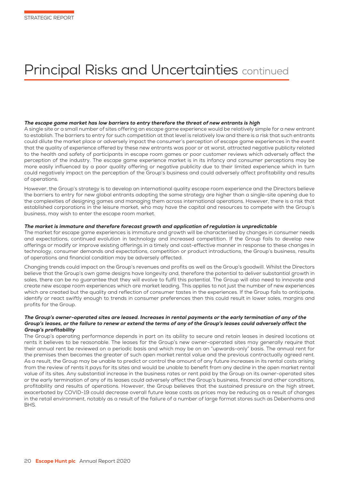# Principal Risks and Uncertainties continued

# The escape game market has low barriers to entry therefore the threat of new entrants is high

A single site or a small number of sites offering an escape game experience would be relatively simple for a new entrant to establish. The barriers to entry for such competition at that level is relatively low and there is a risk that such entrants could dilute the market place or adversely impact the consumer's perception of escape game experiences in the event that the quality of experience offered by these new entrants was poor or at worst, attracted negative publicity related to the health and safety of participants in escape room games or poor customer reviews which adversely affect the perception of the industry. The escape game experience market is in its infancy and consumer perceptions may be more easily influenced by a poor quality offering or negative publicity due to their limited experience which in turn could negatively impact on the perception of the Group's business and could adversely affect profitability and results of operations.

However, the Group's strategy is to develop an international quality escape room experience and the Directors believe the barriers to entry for new global entrants adopting the same strategy are higher than a single-site opening due to the complexities of designing games and managing them across international operations. However, there is a risk that established corporations in the leisure market, who may have the capital and resources to compete with the Group's business, may wish to enter the escape room market.

# The market is immature and therefore forecast growth and application of regulation is unpredictable

The market for escape game experiences is immature and growth will be characterised by changes in consumer needs and expectations, continued evolution in technology and increased competition. If the Group fails to develop new offerings or modify or improve existing offerings in a timely and cost-effective manner in response to these changes in technology, consumer demands and expectations, competition or product introductions, the Group's business, results of operations and financial condition may be adversely affected.

Changing trends could impact on the Group's revenues and profits as well as the Group's goodwill. Whilst the Directors believe that the Group's own game designs have longevity and, therefore the potential to deliver substantial growth in sales, there can be no guarantee that they will evolve to fulfil this potential. The Group will also need to innovate and create new escape room experiences which are market leading. This applies to not just the number of new experiences which are created but the quality and reflection of consumer tastes in the experiences. If the Group fails to anticipate, identify or react swiftly enough to trends in consumer preferences then this could result in lower sales, margins and profits for the Group.

# The Group's owner-operated sites are leased. Increases in rental payments or the early termination of any of the Group's leases, or the failure to renew or extend the terms of any of the Group's leases could adversely affect the Group's profitability

The Group's operating performance depends in part on its ability to secure and retain leases in desired locations at rents it believes to be reasonable. The leases for the Group's new owner-operated sites may generally require that their annual rent be reviewed on a periodic basis and which may be on an "upwards-only" basis. The annual rent for the premises then becomes the greater of such open market rental value and the previous contractually agreed rent. As a result, the Group may be unable to predict or control the amount of any future increases in its rental costs arising from the review of rents it pays for its sites and would be unable to benefit from any decline in the open market rental value of its sites. Any substantial increase in the business rates or rent paid by the Group on its owner-operated sites or the early termination of any of its leases could adversely affect the Group's business, financial and other conditions, profitability and results of operations. However, the Group believes that the sustained pressure on the high street, exacerbated by COVID-19 could decrease overall future lease costs as prices may be reducing as a result of changes in the retail environment, notably as a result of the failure of a number of large format stores such as Debenhams and **BHS**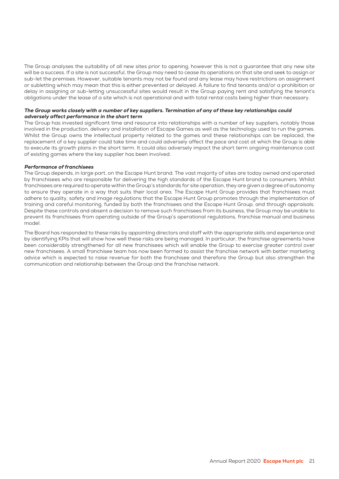The Group analyses the suitability of all new sites prior to opening, however this is not a guarantee that any new site will be a success. If a site is not successful, the Group may need to cease its operations on that site and seek to assign or sub-let the premises. However, suitable tenants may not be found and any lease may have restrictions on assignment or subletting which may mean that this is either prevented or delayed. A failure to find tenants and/or a prohibition or delay in assigning or sub-letting unsuccessful sites would result in the Group paying rent and satisfying the tenant's obligations under the lease of a site which is not operational and with total rental costs being higher than necessary.

# The Group works closely with a number of key suppliers. Termination of any of these key relationships could adversely affect performance in the short term

The Group has invested significant time and resource into relationships with a number of key suppliers, notably those involved in the production, delivery and installation of Escape Games as well as the technology used to run the games. Whilst the Group owns the intellectual property related to the games and these relationships can be replaced, the replacement of a key supplier could take time and could adversely affect the pace and cost at which the Group is able to execute its growth plans in the short term. It could also adversely impact the short term ongoing maintenance cost of existing games where the key supplier has been involved.

# Performance of franchisees

The Group depends, in large part, on the Escape Hunt brand. The vast majority of sites are today owned and operated by franchisees who are responsible for delivering the high standards of the Escape Hunt brand to consumers. Whilst franchisees are required to operate within the Group's standards for site operation, they are given a degree of autonomy to ensure they operate in a way that suits their local area. The Escape Hunt Group provides that franchisees must adhere to quality, safety and image regulations that the Escape Hunt Group promotes through the implementation of training and careful monitoring, funded by both the franchisees and the Escape Hunt Group, and through appraisals. Despite these controls and absent a decision to remove such franchisees from its business, the Group may be unable to prevent its franchisees from operating outside of the Group's operational regulations, franchise manual and business model.

The Board has responded to these risks by appointing directors and staff with the appropriate skills and experience and by identifying KPIs that will show how well these risks are being managed. In particular, the franchise agreements have been considerably strengthened for all new franchisees which will enable the Group to exercise greater control over new franchisees. A small franchisee team has now been formed to assist the franchise network with better marketing advice which is expected to raise revenue for both the franchisee and therefore the Group but also strengthen the communication and relationship between the Group and the franchise network.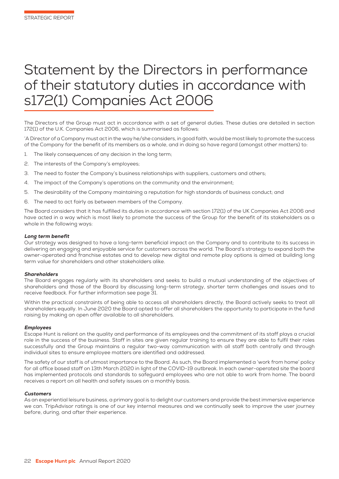# Statement by the Directors in performance of their statutory duties in accordance with s172(1) Companies Act 2006

The Directors of the Group must act in accordance with a set of general duties. These duties are detailed in section 172(1) of the U.K. Companies Act 2006, which is summarised as follows:

'A Director of a Company must act in the way he/she considers, in good faith, would be most likely to promote the success of the Company for the benefit of its members as a whole, and in doing so have regard (amongst other matters) to:

- 1. The likely consequences of any decision in the long term;
- 2. The interests of the Company's employees;
- 3. The need to foster the Company's business relationships with suppliers, customers and others;
- 4. The impact of the Company's operations on the community and the environment;
- 5. The desirability of the Company maintaining a reputation for high standards of business conduct; and
- 6. The need to act fairly as between members of the Company.

The Board considers that it has fulfilled its duties in accordance with section 172(1) of the UK Companies Act 2006 and have acted in a way which is most likely to promote the success of the Group for the benefit of its stakeholders as a whole in the following ways:

#### Long term benefit

Our strategy was designed to have a long-term beneficial impact on the Company and to contribute to its success in delivering an engaging and enjoyable service for customers across the world. The Board's strategy to expand both the owner-operated and franchise estates and to develop new digital and remote play options is aimed at building long term value for shareholders and other stakeholders alike.

#### **Shareholders**

The Board engages regularly with its shareholders and seeks to build a mutual understanding of the objectives of shareholders and those of the Board by discussing long-term strategy, shorter term challenges and issues and to receive feedback. For further information see page 31.

Within the practical constraints of being able to access all shareholders directly, the Board actively seeks to treat all shareholders equally. In June 2020 the Board opted to offer all shareholders the opportunity to participate in the fund raising by making an open offer available to all shareholders.

#### Employees

Escape Hunt is reliant on the quality and performance of its employees and the commitment of its staff plays a crucial role in the success of the business. Staff in sites are given regular training to ensure they are able to fulfil their roles successfully and the Group maintains a regular two-way communication with all staff both centrally and through individual sites to ensure employee matters are identified and addressed.

The safety of our staff is of utmost importance to the Board. As such, the Board implemented a 'work from home' policy for all office based staff on 13th March 2020 in light of the COVID-19 outbreak. In each owner-operated site the board has implemented protocols and standards to safeguard employees who are not able to work from home. The board receives a report on all health and safety issues on a monthly basis.

#### **Customers**

As an experiential leisure business, a primary goal is to delight our customers and provide the best immersive experience we can. TripAdvisor ratings is one of our key internal measures and we continually seek to improve the user journey before, during, and after their experience.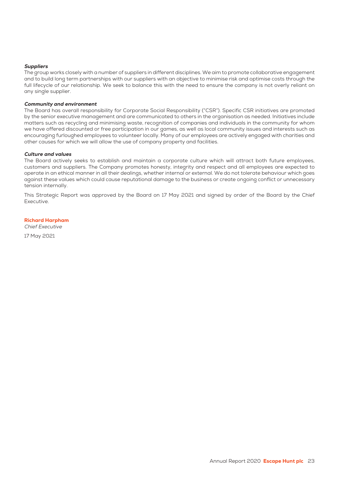# **Suppliers**

The group works closely with a number of suppliers in different disciplines. We aim to promote collaborative engagement and to build long term partnerships with our suppliers with an objective to minimise risk and optimise costs through the full lifecycle of our relationship. We seek to balance this with the need to ensure the company is not overly reliant on any single supplier.

# Community and environment

The Board has overall responsibility for Corporate Social Responsibility ("CSR"). Specific CSR initiatives are promoted by the senior executive management and are communicated to others in the organisation as needed. Initiatives include matters such as recycling and minimising waste, recognition of companies and individuals in the community for whom we have offered discounted or free participation in our games, as well as local community issues and interests such as encouraging furloughed employees to volunteer locally. Many of our employees are actively engaged with charities and other causes for which we will allow the use of company property and facilities.

#### Culture and values

The Board actively seeks to establish and maintain a corporate culture which will attract both future employees, customers and suppliers. The Company promotes honesty, integrity and respect and all employees are expected to operate in an ethical manner in all their dealings, whether internal or external. We do not tolerate behaviour which goes against these values which could cause reputational damage to the business or create ongoing conflict or unnecessary tension internally.

This Strategic Report was approved by the Board on 17 May 2021 and signed by order of the Board by the Chief Executive.

# Richard Harpham

Chief Executive

17 May 2021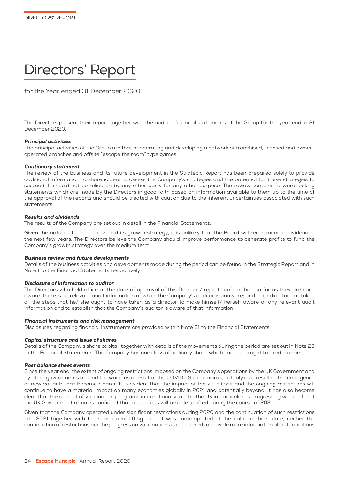# Directors' Report

for the Year ended 31 December 2020

The Directors present their report together with the audited financial statements of the Group for the year ended 31 December 2020.

# Principal activities

The principal activities of the Group are that of operating and developing a network of franchised, licensed and owneroperated branches and offsite "escape the room" type games.

# Cautionary statement

The review of the business and its future development in the Strategic Report has been prepared solely to provide additional information to shareholders to assess the Company's strategies and the potential for these strategies to succeed. It should not be relied on by any other party for any other purpose. The review contains forward looking statements which are made by the Directors in good faith based on information available to them up to the time of the approval of the reports and should be treated with caution due to the inherent uncertainties associated with such statements.

# Results and dividends

The results of the Company are set out in detail in the Financial Statements.

Given the nature of the business and its growth strategy, it is unlikely that the Board will recommend a dividend in the next few years. The Directors believe the Company should improve performance to generate profits to fund the Company's growth strategy over the medium term.

# Business review and future developments

Details of the business activities and developments made during the period can be found in the Strategic Report and in Note 1 to the Financial Statements respectively.

# Disclosure of information to auditor

The Directors who held office at the date of approval of this Directors' report confirm that, so far as they are each aware, there is no relevant audit information of which the Company's auditor is unaware; and each director has taken all the steps that he/ she ought to have taken as a director to make himself/ herself aware of any relevant audit information and to establish that the Company's auditor is aware of that information.

# Financial instruments and risk management

Disclosures regarding financial instruments are provided within Note 31 to the Financial Statements.

# Capital structure and issue of shares

Details of the Company's share capital, together with details of the movements during the period are set out in Note 23 to the Financial Statements. The Company has one class of ordinary share which carries no right to fixed income.

# Post balance sheet events

Since the year end, the extent of ongoing restrictions imposed on the Company's operations by the UK Government and by other governments around the world as a result of the COVID-19 coronavirus, notably as a result of the emergence of new variants, has become clearer. It is evident that the impact of the virus itself and the ongoing restrictions will continue to have a material impact on many economies globally in 2021 and potentially beyond. It has also become clear that the roll-out of vaccination programs internationally, and in the UK in particular, is progressing well and that the UK Government remains confident that restrictions will be able to lifted during the course of 2021.

Given that the Company operated under significant restrictions during 2020 and the continuation of such restrictions into 2021 together with the subsequent lifting thereof was contemplated at the balance sheet date, neither the continuation of restrictions nor the progress on vaccinations is considered to provide more information about conditions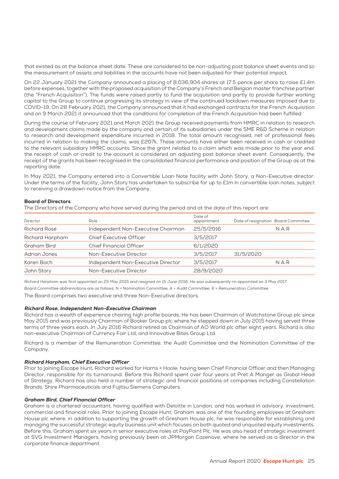that existed as at the balance sheet date. These are considered to be non-adjusting post balance sheet events and so the measurement of assets and liabilities in the accounts have not been adjusted for their potential impact.

On 22 January 2021 the Company announced a placing of 8,036,904 shares at 17.5 pence per share to raise £1.4m before expenses, together with the proposed acquisition of the Company's French and Belgian master franchise partner (the "French Acquisition"). The funds were raised partly to fund the acquisition and partly to provide further working capital to the Group to continue progressing its strategy in view of the continued lockdown measures imposed due to COVID-19. On 28 February 2021, the Company announced that it had exchanged contracts for the French Acquisition and on 9 March 2021 it announced that the conditions for completion of the French Acquisition had been fulfilled.

During the course of February 2021 and March 2021 the Group received payments from HMRC in relation to research and development claims made by the company and certain of its subsidiaries under the SME R&D Scheme in relation to research and development expenditure incurred in 2018. The total amount recognised, net of professional fees incurred in relation to making the claims, was £207k. These amounts have either been received in cash or credited to the relevant subsidiary HMRC accounts. Since the grant related to a claim which was made prior to the year end, the receipt of cash or credit to the account is considered an adjusting post balance sheet event. Consequently, the receipt of the grants has been recognised in the consolidated financial performance and position of the Group as at the reporting date.

In May 2021, the Company entered into a Convertible Loan Note facility with John Story, a Non-Executive director. Under the terms of the facility, John Story has undertaken to subscribe for up to £1m in convertible loan notes, subject to receiving a drawdown notice from the Company.

# Board of Directors

The Directors of the Company who have served during the period and at the date of this report are:

| Director            | Role                               | Date of<br>appointment | Date of resignation Board Committee |     |
|---------------------|------------------------------------|------------------------|-------------------------------------|-----|
| <b>Richard Rose</b> | Independent Non-Executive Chairman | 25/5/2016              |                                     | NAR |
| Richard Harpham     | Chief Executive Officer            | 3/5/2017               |                                     |     |
| Graham Bird         | <b>Chief Financial Officer</b>     | 6/1/2020               |                                     |     |
| Adrian Jones        | Non-Executive Director             | 3/5/2017               | 31/5/2020                           |     |
| Karen Bach          | Independent Non-Executive Director | 3/5/2017               |                                     | NAR |
| John Story          | Non-Executive Director             | 28/9/2020              |                                     |     |

Richard Harpham was first appointed on 25 May 2015 and resigned on 15 June 2016. He was subsequently re-appointed on 3 May 2017.

Board Committee abbreviations are as follows: N = Nomination Committee; A = Audit Committee; R = Remuneration Committee

The Board comprises two executive and three Non-Executive directors.

# Richard Rose, Independent Non-Executive Chairman

Richard has a wealth of experience chairing high profile boards. He has been Chairman of Watchstone Group plc since May 2015 and was previously Chairman of Booker Group plc where he stepped down in July 2015 having served three terms of three years each. In July 2016 Richard retired as Chairman of AO World plc after eight years. Richard is also non-executive Chairman of Currency Fair Ltd, and Innovative Bites Group Ltd.

Richard is a member of the Remuneration Committee, the Audit Committee and the Nomination Committee of the Company.

# Richard Harpham, Chief Executive Officer

Prior to joining Escape Hunt, Richard worked for Harris + Hoole, having been Chief Financial Officer and then Managing Director, responsible for its turnaround. Before this Richard spent over four years at Pret A Manger as Global Head of Strategy. Richard has also held a number of strategic and financial positions at companies including Constellation Brands, Shire Pharmaceuticals and Fujitsu Siemens Computers.

# Graham Bird, Chief Financial Officer

Graham is a chartered accountant, having qualified with Deloitte in London, and has worked in advisory, investment, commercial and financial roles. Prior to joining Escape Hunt, Graham was one of the founding employees at Gresham House plc where, in addition to supporting the growth of Gresham House plc, he was responsible for establishing and managing the successful strategic equity business unit which focuses on both quoted and unquoted equity investments. Before this, Graham spent six years in senior executive roles at PayPoint Plc. He was also head of strategic investment at SVG Investment Managers, having previously been at JPMorgan Cazenove, where he served as a director in the corporate finance department.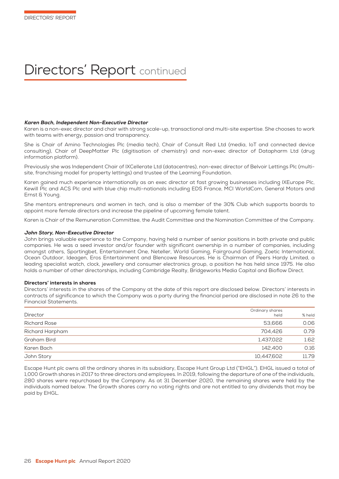# Directors' Report continued

#### Karen Bach, Independent Non-Executive Director

Karen is a non-exec director and chair with strong scale-up, transactional and multi-site expertise. She chooses to work with teams with energy, passion and transparency.

She is Chair of Amino Technologies Plc (media tech), Chair of Consult Red Ltd (media, IoT and connected device consulting), Chair of DeepMatter Plc (digitisation of chemistry) and non-exec director of Datapharm Ltd (drug information platform).

Previously she was Independent Chair of IXCellerate Ltd (datacentres), non-exec director of Belvoir Lettings Plc (multisite, franchising model for property lettings) and trustee of the Learning Foundation.

Karen gained much experience internationally as an exec director at fast growing businesses including IXEurope Plc, Kewill Plc and ACS Plc and with blue chip multi-nationals including EDS France, MCI WorldCom, General Motors and Ernst & Young.

She mentors entrepreneurs and women in tech, and is also a member of the 30% Club which supports boards to appoint more female directors and increase the pipeline of upcoming female talent.

Karen is Chair of the Remuneration Committee, the Audit Committee and the Nomination Committee of the Company.

#### John Story, Non-Executive Director

John brings valuable experience to the Company, having held a number of senior positions in both private and public companies. He was a seed investor and/or founder with significant ownership in a number of companies, including amongst others, Sportingbet, Entertainment One, Neteller, World Gaming, Fairground Gaming, Zoetic International, Ocean Outdoor, Ideagen, Eros Entertainment and Blencowe Resources. He is Chairman of Peers Hardy Limited, a leading specialist watch, clock, jewellery and consumer electronics group, a position he has held since 1975. He also holds a number of other directorships, including Cambridge Realty, Bridgeworks Media Capital and Bioflow Direct.

# Directors' interests in shares

Directors' interests in the shares of the Company at the date of this report are disclosed below. Directors' interests in contracts of significance to which the Company was a party during the financial period are disclosed in note 26 to the Financial Statements.

| Director            | Ordinary shares<br>held | % held |
|---------------------|-------------------------|--------|
| <b>Richard Rose</b> | 53.666                  | 0.06   |
| Richard Harpham     | 704.426                 | 0.79   |
| Graham Bird         | 1,437,022               | 1.62   |
| Karen Bach          | 142,400                 | 0.16   |
| John Story          | 10,447,602              | 11.79  |

Escape Hunt plc owns all the ordinary shares in its subsidiary, Escape Hunt Group Ltd ("EHGL"). EHGL issued a total of 1,000 Growth shares in 2017 to three directors and employees. In 2019, following the departure of one of the individuals, 280 shares were repurchased by the Company. As at 31 December 2020, the remaining shares were held by the individuals named below. The Growth shares carry no voting rights and are not entitled to any dividends that may be paid by EHGL.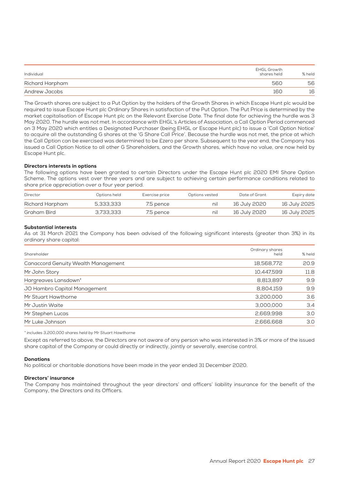| Individual      | EHGL Growth<br>shares held | % held |
|-----------------|----------------------------|--------|
| Richard Harpham | 560                        | 56     |
| Andrew Jacobs   | 160                        | 16     |

The Growth shares are subject to a Put Option by the holders of the Growth Shares in which Escape Hunt plc would be required to issue Escape Hunt plc Ordinary Shares in satisfaction of the Put Option. The Put Price is determined by the market capitalisation of Escape Hunt plc on the Relevant Exercise Date. The final date for achieving the hurdle was 3 May 2020. The hurdle was not met. In accordance with EHGL's Articles of Association, a Call Option Period commenced on 3 May 2020 which entitles a Designated Purchaser (being EHGL or Escape Hunt plc) to issue a 'Call Option Notice' to acquire all the outstanding G shares at the 'G Share Call Price'. Because the hurdle was not met, the price at which the Call Option can be exercised was determined to be £zero per share. Subsequent to the year end, the Company has issued a Call Option Notice to all other G Shareholders, and the Growth shares, which have no value, are now held by Escape Hunt plc.

# Directors interests in options

The following options have been granted to certain Directors under the Escape Hunt plc 2020 EMI Share Option Scheme. The options vest over three years and are subject to achieving certain performance conditions related to share price appreciation over a four year period.

| Director        | Options held | Exercise price | Options vested | Date of Grant | Expiry date  |
|-----------------|--------------|----------------|----------------|---------------|--------------|
| Richard Harpham | 5.333.333    | 7.5 pence      | nıl            | 16 July 2020  | 16 July 2025 |
| Graham Bird     | 3.733.333    | 7.5 pence      | nıl            | 16 July 2020  | 16 July 2025 |

# Substantial interests

As at 31 March 2021 the Company has been advised of the following significant interests (greater than 3%) in its ordinary share capital:

| Shareholder                                | Ordinary shares<br>held | % held |
|--------------------------------------------|-------------------------|--------|
| <b>Canaccord Genuity Wealth Management</b> | 18,568,772              | 20.9   |
| Mr John Story                              | 10,447,599              | 11.8   |
| Hargreaves Lansdown*                       | 8,813,897               | 9.9    |
| JO Hambro Capital Management               | 8,804,159               | 9.9    |
| Mr Stuart Hawthorne                        | 3,200,000               | 3.6    |
| Mr Justin Waite                            | 3,000,000               | 3.4    |
| Mr Stephen Lucas                           | 2,669,998               | 3.0    |
| Mr Luke Johnson                            | 2,666,668               | 3.0    |

\* includes 3,200,000 shares held by Mr Stuart Hawthorne

Except as referred to above, the Directors are not aware of any person who was interested in 3% or more of the issued share capital of the Company or could directly or indirectly, jointly or severally, exercise control.

# **Donations**

No political or charitable donations have been made in the year ended 31 December 2020.

# Directors' insurance

The Company has maintained throughout the year directors' and officers' liability insurance for the benefit of the Company, the Directors and its Officers.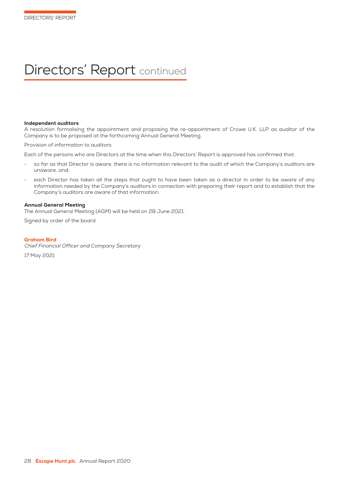# Directors' Report continued

#### Independent auditors

A resolution formalising the appointment and proposing the re-appointment of Crowe U.K. LLP as auditor of the Company is to be proposed at the forthcoming Annual General Meeting.

Provision of information to auditors

Each of the persons who are Directors at the time when this Directors' Report is approved has confirmed that:

- so far as that Director is aware, there is no information relevant to the audit of which the Company's auditors are unaware, and;
- each Director has taken all the steps that ought to have been taken as a director in order to be aware of any information needed by the Company's auditors in connection with preparing their report and to establish that the Company's auditors are aware of that information.

# Annual General Meeting

The Annual General Meeting (AGM) will be held on 28 June 2021.

Signed by order of the board

#### Graham Bird

Chief Financial Officer and Company Secretary 17 May 2021

28 **Escape Hunt plc** Annual Report 2020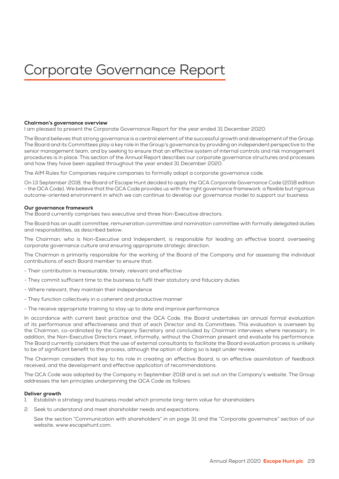# Corporate Governance Report

# Chairman's governance overview

I am pleased to present the Corporate Governance Report for the year ended 31 December 2020.

The Board believes that strong governance is a central element of the successful growth and development of the Group. The Board and its Committees play a key role in the Group's governance by providing an independent perspective to the senior management team, and by seeking to ensure that an effective system of internal controls and risk management procedures is in place. This section of the Annual Report describes our corporate governance structures and processes and how they have been applied throughout the year ended 31 December 2020.

The AIM Rules for Companies require companies to formally adopt a corporate governance code.

On 13 September 2018, the Board of Escape Hunt decided to apply the QCA Corporate Governance Code (2018 edition - the QCA Code). We believe that the QCA Code provides us with the right governance framework: a flexible but rigorous outcome-oriented environment in which we can continue to develop our governance model to support our business.

#### Our governance framework

The Board currently comprises two executive and three Non-Executive directors.

The Board has an audit committee, remuneration committee and nomination committee with formally delegated duties and responsibilities, as described below.

The Chairman, who is Non-Executive and Independent, is responsible for leading an effective board, overseeing corporate governance culture and ensuring appropriate strategic direction.

The Chairman is primarily responsible for the working of the Board of the Company and for assessing the individual contributions of each Board member to ensure that:

- Their contribution is measurable, timely, relevant and effective
- They commit sufficient time to the business to fulfil their statutory and fiduciary duties
- Where relevant, they maintain their independence
- They function collectively in a coherent and productive manner
- The receive appropriate training to stay up to date and improve performance

In accordance with current best practice and the QCA Code, the Board undertakes an annual formal evaluation of its performance and effectiveness and that of each Director and its Committees. This evaluation is overseen by the Chairman, co-ordinated by the Company Secretary and concluded by Chairman interviews where necessary. In addition, the Non-Executive Directors meet, informally, without the Chairman present and evaluate his performance. The Board currently considers that the use of external consultants to facilitate the Board evaluation process is unlikely to be of significant benefit to the process, although the option of doing so is kept under review.

The Chairman considers that key to his role in creating an effective Board, is an effective assimilation of feedback received, and the development and effective application of recommendations.

The QCA Code was adopted by the Company in September 2018 and is set out on the Company's website. The Group addresses the ten principles underpinning the QCA Code as follows:

# Deliver growth

- 1. Establish a strategy and business model which promote long-term value for shareholders
- 2. Seek to understand and meet shareholder needs and expectations:

 See the section "Communication with shareholders" in on page 31 and the "Corporate governance" section of our website, www.escapehunt.com.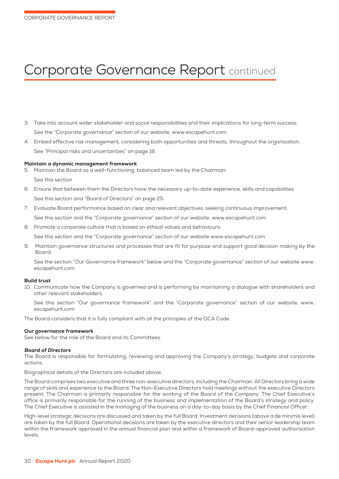# Corporate Governance Report continued

- 3. Take into account wider stakeholder and social responsibilities and their implications for long-term success: See the "Corporate governance" section of our website, www.escapehunt.com
- 4. Embed effective risk management, considering both opportunities and threats, throughout the organisation: See "Principal risks and uncertainties" on page 18.

# Maintain a dynamic management framework

- 5. Maintain the Board as a well-functioning, balanced team led by the Chairman: See this section
- 6. Ensure that between them the Directors have the necessary up-to-date experience, skills and capabilities: See this section and "Board of Directors" on page 25.
- 7. Evaluate Board performance based on clear and relevant objectives, seeking continuous improvement: See this section and the "Corporate governance" section of our website, www.escapehunt.com
- 8. Promote a corporate culture that is based on ethical values and behaviours:

See this section and the "Corporate governance" section of our website www.escapehunt.com

9. Maintain governance structures and processes that are fit for purpose and support good decision making by the Board:

 See the section "Our Governance framework" below and the "Corporate governance" section of our website www. escapehunt.com

# Build trust

10. Communicate how the Company is governed and is performing by maintaining a dialogue with shareholders and other relevant stakeholders:

 See this section "Our governance framework" and the "Corporate governance" section of our website, www. escapehunt.com

The Board considers that it is fully compliant with all the principles of the QCA Code.

# Our governance framework

See below for the role of the Board and its Committees.

# Board of Directors

The Board is responsible for formulating, reviewing and approving the Company's strategy, budgets and corporate actions.

Biographical details of the Directors are included above.

The Board comprises two executive and three non-executive directors, including the Chairman. All Directors bring a wide range of skills and experience to the Board. The Non-Executive Directors hold meetings without the executive Directors present. The Chairman is primarily responsible for the working of the Board of the Company. The Chief Executive's office is primarily responsible for the running of the business and implementation of the Board's strategy and policy. The Chief Executive is assisted in the managing of the business on a day-to-day basis by the Chief Financial Officer.

High-level strategic decisions are discussed and taken by the full Board. Investment decisions (above a de minimis level) are taken by the full Board. Operational decisions are taken by the executive directors and their senior leadership team within the framework approved in the annual financial plan and within a framework of Board-approved authorisation levels.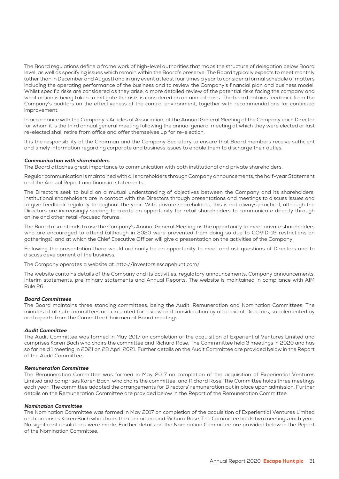The Board regulations define a frame work of high-level authorities that maps the structure of delegation below Board level, as well as specifying issues which remain within the Board's preserve. The Board typically expects to meet monthly (other than in December and August) and in any event at least four times a year to consider a formal schedule of matters including the operating performance of the business and to review the Company's financial plan and business model. Whilst specific risks are considered as they arise, a more detailed review of the potential risks facing the company and what action is being taken to mitigate the risks is considered on an annual basis. The board obtains feedback from the Company's auditors on the effectiveness of the control environment, together with recommendations for continued improvement.

In accordance with the Company's Articles of Association, at the Annual General Meeting of the Company each Director for whom it is the third annual general meeting following the annual general meeting at which they were elected or last re-elected shall retire from office and offer themselves up for re-election.

It is the responsibility of the Chairman and the Company Secretary to ensure that Board members receive sufficient and timely information regarding corporate and business issues to enable them to discharge their duties.

# Communication with shareholders

The Board attaches great importance to communication with both institutional and private shareholders.

Regular communication is maintained with all shareholders through Company announcements, the half-year Statement and the Annual Report and financial statements.

The Directors seek to build on a mutual understanding of objectives between the Company and its shareholders. Institutional shareholders are in contact with the Directors through presentations and meetings to discuss issues and to give feedback regularly throughout the year. With private shareholders, this is not always practical, although the Directors are increasingly seeking to create an opportunity for retail shareholders to communicate directly through online and other retail-focused forums.

The Board also intends to use the Company's Annual General Meeting as the opportunity to meet private shareholders who are encouraged to attend (although in 2020 were prevented from doing so due to COVID-19 restrictions on gatherings), and at which the Chief Executive Officer will give a presentation on the activities of the Company.

Following the presentation there would ordinarily be an opportunity to meet and ask questions of Directors and to discuss development of the business.

The Company operates a website at. http://investors.escapehunt.com/

The website contains details of the Company and its activities; regulatory announcements, Company announcements, Interim statements, preliminary statements and Annual Reports. The website is maintained in compliance with AIM Rule 26.

# Board Committees

The Board maintains three standing committees, being the Audit, Remuneration and Nomination Committees. The minutes of all sub-committees are circulated for review and consideration by all relevant Directors, supplemented by oral reports from the Committee Chairmen at Board meetings.

# Audit Committee

The Audit Committee was formed in May 2017 on completion of the acquisition of Experiential Ventures Limited and comprises Karen Bach who chairs the committee and Richard Rose. The Commmittee held 3 meetings in 2020 and has so far held 1 meeting in 2021 on 28 April 2021. Further details on the Audit Committee are provided below in the Report of the Audit Committee.

# Remuneration Committee

The Remuneration Committee was formed in May 2017 on completion of the acquisition of Experiential Ventures Limited and comprises Karen Bach, who chairs the committee, and Richard Rose. The Committee holds three meetings each year. The committee adopted the arrangements for Directors' remuneration put in place upon admission. Further details on the Remuneration Committee are provided below in the Report of the Remuneration Committee.

#### Nomination Committee

The Nomination Committee was formed in May 2017 on completion of the acquisition of Experiential Ventures Limited and comprises Karen Bach who chairs the committee and Richard Rose. The Committee holds two meetings each year. No significant resolutions were made. Further details on the Nomination Committee are provided below in the Report of the Nomination Committee.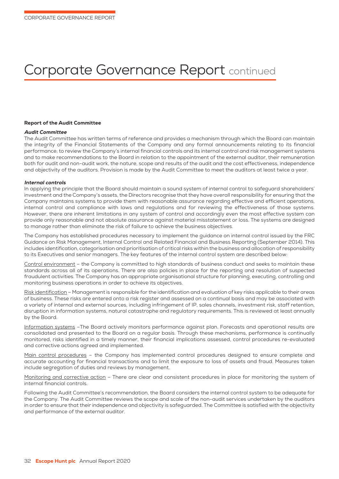# Corporate Governance Report continued

# Report of the Audit Committee

# Audit Committee

The Audit Committee has written terms of reference and provides a mechanism through which the Board can maintain the integrity of the Financial Statements of the Company and any formal announcements relating to its financial performance; to review the Company's internal financial controls and its internal control and risk management systems and to make recommendations to the Board in relation to the appointment of the external auditor, their remuneration both for audit and non-audit work, the nature, scope and results of the audit and the cost effectiveness, independence and objectivity of the auditors. Provision is made by the Audit Committee to meet the auditors at least twice a year.

# Internal controls

In applying the principle that the Board should maintain a sound system of internal control to safeguard shareholders' investment and the Company's assets, the Directors recognise that they have overall responsibility for ensuring that the Company maintains systems to provide them with reasonable assurance regarding effective and efficient operations, internal control and compliance with laws and regulations and for reviewing the effectiveness of those systems. However, there are inherent limitations in any system of control and accordingly even the most effective system can provide only reasonable and not absolute assurance against material misstatement or loss. The systems are designed to manage rather than eliminate the risk of failure to achieve the business objectives.

The Company has established procedures necessary to implement the guidance on internal control issued by the FRC Guidance on Risk Management, Internal Control and Related Financial and Business Reporting (September 2014). This includes identification, categorisation and prioritisation of critical risks within the business and allocation of responsibility to its Executives and senior managers. The key features of the internal control system are described below:

Control environment – the Company is committed to high standards of business conduct and seeks to maintain these standards across all of its operations. There are also policies in place for the reporting and resolution of suspected fraudulent activities. The Company has an appropriate organisational structure for planning, executing, controlling and monitoring business operations in order to achieve its objectives.

Risk identification - Management is responsible for the identification and evaluation of key risks applicable to their areas of business. These risks are entered onto a risk register and assessed on a continual basis and may be associated with a variety of internal and external sources, including infringement of IP, sales channels, investment risk, staff retention, disruption in information systems, natural catastrophe and regulatory requirements. This is reviewed at least annually by the Board.

Information systems –The Board actively monitors performance against plan. Forecasts and operational results are consolidated and presented to the Board on a regular basis. Through these mechanisms, performance is continually monitored, risks identified in a timely manner, their financial implications assessed, control procedures re-evaluated and corrective actions agreed and implemented.

Main control procedures - the Company has implemented control procedures designed to ensure complete and accurate accounting for financial transactions and to limit the exposure to loss of assets and fraud. Measures taken include segregation of duties and reviews by management.

Monitoring and corrective action – There are clear and consistent procedures in place for monitoring the system of internal financial controls.

Following the Audit Committee's recommendation, the Board considers the internal control system to be adequate for the Company. The Audit Committee reviews the scope and scale of the non-audit services undertaken by the auditors in order to ensure that their independence and objectivity is safeguarded. The Committee is satisfied with the objectivity and performance of the external auditor.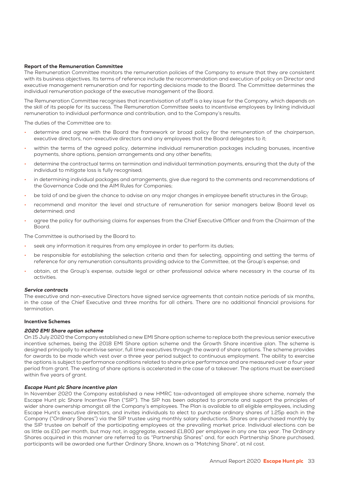# Report of the Remuneration Committee

The Remuneration Committee monitors the remuneration policies of the Company to ensure that they are consistent with its business objectives. Its terms of reference include the recommendation and execution of policy on Director and executive management remuneration and for reporting decisions made to the Board. The Committee determines the individual remuneration package of the executive management of the Board.

The Remuneration Committee recognises that incentivisation of staff is a key issue for the Company, which depends on the skill of its people for its success. The Remuneration Committee seeks to incentivise employees by linking individual remuneration to individual performance and contribution, and to the Company's results.

The duties of the Committee are to:

- determine and agree with the Board the framework or broad policy for the remuneration of the chairperson, executive directors, non-executive directors and any employees that the Board delegates to it;
- within the terms of the agreed policy, determine individual remuneration packages including bonuses, incentive payments, share options, pension arrangements and any other benefits;
- determine the contractual terms on termination and individual termination payments, ensuring that the duty of the individual to mitigate loss is fully recognised;
- in determining individual packages and arrangements, give due regard to the comments and recommendations of the Governance Code and the AIM Rules for Companies;
- be told of and be given the chance to advise on any major changes in employee benefit structures in the Group;
- recommend and monitor the level and structure of remuneration for senior managers below Board level as determined; and
- agree the policy for authorising claims for expenses from the Chief Executive Officer and from the Chairman of the Board.

The Committee is authorised by the Board to:

- seek any information it requires from any employee in order to perform its duties;
- be responsible for establishing the selection criteria and then for selecting, appointing and setting the terms of reference for any remuneration consultants providing advice to the Committee, at the Group's expense; and
- obtain, at the Group's expense, outside legal or other professional advice where necessary in the course of its activities.

# Service contracts

The executive and non-executive Directors have signed service agreements that contain notice periods of six months, in the case of the Chief Executive and three months for all others. There are no additional financial provisions for termination.

# Incentive Schemes

# 2020 EMI Share option scheme

On 15 July 2020 the Company established a new EMI Share option scheme to replace both the previous senior executive incentive schemes, being the 2018 EMI Share option scheme and the Growth Share incentive plan. The scheme is designed principally to incentivise senior, full time executives through the award of share options. The scheme provides for awards to be made which vest over a three year period subject to continuous employment. The ability to exercise the options is subject to performance conditions related to share price performance and are measured over a four year period from grant. The vesting of share options is accelerated in the case of a takeover. The options must be exercised within five years of grant.

# Escape Hunt plc Share incentive plan

In November 2020 the Company established a new HMRC tax-advantaged all employee share scheme, namely the Escape Hunt plc Share Incentive Plan ("SIP"). The SIP has been adopted to promote and support the principles of wider share ownership amongst all the Company's employees. The Plan is available to all eligible employees, including Escape Hunt's executive directors, and invites individuals to elect to purchase ordinary shares of 1.25p each in the Company ("Ordinary Shares") via the SIP trustee using monthly salary deductions. Shares are purchased monthly by the SIP trustee on behalf of the participating employees at the prevailing market price. Individual elections can be as little as £10 per month, but may not, in aggregate, exceed £1,800 per employee in any one tax year. The Ordinary Shares acquired in this manner are referred to as "Partnership Shares" and, for each Partnership Share purchased, participants will be awarded one further Ordinary Share, known as a "Matching Share", at nil cost.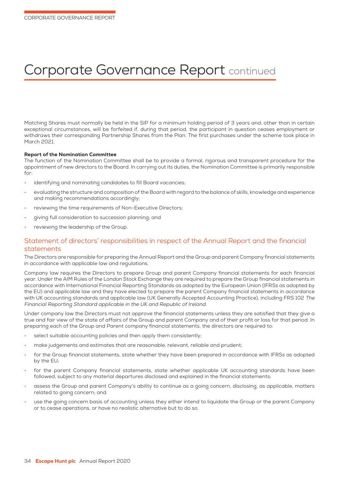# Corporate Governance Report continued

Matching Shares must normally be held in the SIP for a minimum holding period of 3 years and, other than in certain exceptional circumstances, will be forfeited if, during that period, the participant in question ceases employment or withdraws their corresponding Partnership Shares from the Plan. The first purchases under the scheme took place in March 2021.

# Report of the Nomination Committee

The function of the Nomination Committee shall be to provide a formal, rigorous and transparent procedure for the appointment of new directors to the Board. In carrying out its duties, the Nomination Committee is primarily responsible for:

- identifying and nominating candidates to fill Board vacancies;
- evaluating the structure and composition of the Board with regard to the balance of skills, knowledge and experience and making recommendations accordingly;
- reviewing the time requirements of Non-Executive Directors;
- giving full consideration to succession planning; and
- reviewing the leadership of the Group.

# Statement of directors' responsibilities in respect of the Annual Report and the financial statements

The Directors are responsible for preparing the Annual Report and the Group and parent Company financial statements in accordance with applicable law and regulations.

Company law requires the Directors to prepare Group and parent Company financial statements for each financial year. Under the AIM Rules of the London Stock Exchange they are required to prepare the Group financial statements in accordance with International Financial Reporting Standards as adopted by the European Union (IFRSs as adopted by the EU) and applicable law and they have elected to prepare the parent Company financial statements in accordance with UK accounting standards and applicable law (UK Generally Accepted Accounting Practice), including FRS 102 The Financial Reporting Standard applicable in the UK and Republic of Ireland.

Under company law the Directors must not approve the financial statements unless they are satisfied that they give a true and fair view of the state of affairs of the Group and parent Company and of their profit or loss for that period. In preparing each of the Group and Parent company financial statements, the directors are required to:

- select suitable accounting policies and then apply them consistently;
- make judgements and estimates that are reasonable, relevant, reliable and prudent;
- for the Group financial statements, state whether they have been prepared in accordance with IFRSs as adopted by the EU;
- for the parent Company financial statements, state whether applicable UK accounting standards have been followed, subject to any material departures disclosed and explained in the financial statements;
- assess the Group and parent Company's ability to continue as a going concern, disclosing, as applicable, matters related to going concern; and
- use the going concern basis of accounting unless they either intend to liquidate the Group or the parent Company or to cease operations, or have no realistic alternative but to do so.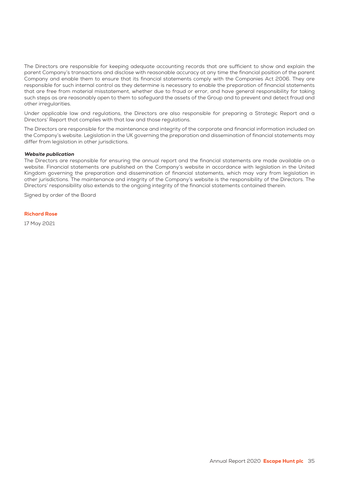The Directors are responsible for keeping adequate accounting records that are sufficient to show and explain the parent Company's transactions and disclose with reasonable accuracy at any time the financial position of the parent Company and enable them to ensure that its financial statements comply with the Companies Act 2006. They are responsible for such internal control as they determine is necessary to enable the preparation of financial statements that are free from material misstatement, whether due to fraud or error, and have general responsibility for taking such steps as are reasonably open to them to safeguard the assets of the Group and to prevent and detect fraud and other irregularities.

Under applicable law and regulations, the Directors are also responsible for preparing a Strategic Report and a Directors' Report that complies with that law and those regulations.

The Directors are responsible for the maintenance and integrity of the corporate and financial information included on the Company's website. Legislation in the UK governing the preparation and dissemination of financial statements may differ from legislation in other jurisdictions.

# Website publication

The Directors are responsible for ensuring the annual report and the financial statements are made available on a website. Financial statements are published on the Company's website in accordance with legislation in the United Kingdom governing the preparation and dissemination of financial statements, which may vary from legislation in other jurisdictions. The maintenance and integrity of the Company's website is the responsibility of the Directors. The Directors' responsibility also extends to the ongoing integrity of the financial statements contained therein.

Signed by order of the Board

# Richard Rose

17 May 2021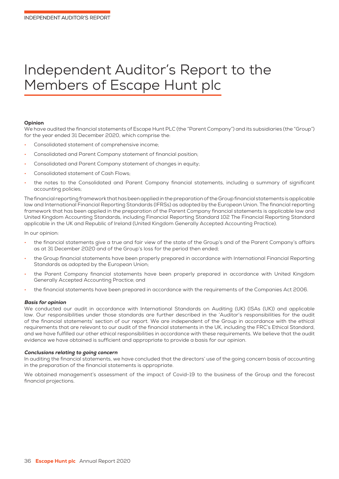# Independent Auditor's Report to the Members of Escape Hunt plc

#### Opinion

We have audited the financial statements of Escape Hunt PLC (the "Parent Company") and its subsidiaries (the "Group") for the year ended 31 December 2020, which comprise the:

- Consolidated statement of comprehensive income;
- Consolidated and Parent Company statement of financial position;
- Consolidated and Parent Company statement of changes in equity;
- Consolidated statement of Cash Flows;
- the notes to the Consolidated and Parent Company financial statements, including a summary of significant accounting policies;

The financial reporting framework that has been applied in the preparation of the Group financial statements is applicable law and International Financial Reporting Standards (IFRSs) as adopted by the European Union. The financial reporting framework that has been applied in the preparation of the Parent Company financial statements is applicable law and United Kingdom Accounting Standards, including Financial Reporting Standard 102 The Financial Reporting Standard applicable in the UK and Republic of Ireland (United Kingdom Generally Accepted Accounting Practice).

In our opinion:

- the financial statements give a true and fair view of the state of the Group's and of the Parent Company's affairs as at 31 December 2020 and of the Group's loss for the period then ended;
- the Group financial statements have been properly prepared in accordance with International Financial Reporting Standards as adopted by the European Union;
- the Parent Company financial statements have been properly prepared in accordance with United Kingdom Generally Accepted Accounting Practice; and
- the financial statements have been prepared in accordance with the requirements of the Companies Act 2006.

#### Basis for opinion

We conducted our audit in accordance with International Standards on Auditing (UK) (ISAs (UK)) and applicable law. Our responsibilities under those standards are further described in the 'Auditor's responsibilities for the audit of the financial statements' section of our report. We are independent of the Group in accordance with the ethical requirements that are relevant to our audit of the financial statements in the UK, including the FRC's Ethical Standard, and we have fulfilled our other ethical responsibilities in accordance with these requirements. We believe that the audit evidence we have obtained is sufficient and appropriate to provide a basis for our opinion.

#### Conclusions relating to going concern

In auditing the financial statements, we have concluded that the directors' use of the going concern basis of accounting in the preparation of the financial statements is appropriate.

We obtained management's assessment of the impact of Covid-19 to the business of the Group and the forecast financial projections.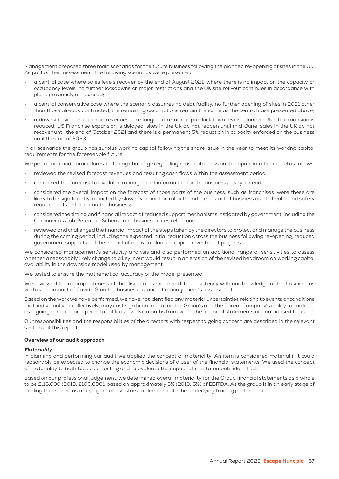Management prepared three main scenarios for the future business following the planned re-opening of sites in the UK. As part of their assessment, the following scenarios were presented:

- a central case where sales levels recover by the end of August 2021, where there is no impact on the capacity or occupancy levels, no further lockdowns or major restrictions and the UK site roll-out continues in accordance with plans previously announced;
- a central conservative case where the scenario assumes no debt facility, no further opening of sites in 2021 other than those already contracted, the remaining assumptions remain the same as the central case presented above;
- a downside where franchise revenues take longer to return to pre-lockdown levels, planned UK site expansion is reduced, US Franchise expansion is delayed, sites in the UK do not reopen until mid-June, sales in the UK do not recover until the end of October 2021 and there is a permanent 5% reduction in capacity enforced on the business until the end of 2023.

In all scenarios the group has surplus working capital following the share issue in the year to meet its working capital requirements for the foreseeable future.

We performed audit procedures, including challenge regarding reasonableness on the inputs into the model as follows:

- reviewed the revised forecast revenues and resulting cash flows within the assessment period;
- compared the forecast to available management information for the business post year end;
- considered the overall impact on the forecast of those parts of the business, such as franchises, were these are likely to be significantly impacted by slower vaccination rollouts and the restart of business due to health and safety requirements enforced on the business;
- considered the timing and financial impact of reduced support mechanisms instigated by government, including the Coronavirus Job Retention Scheme and business rates relief; and
- reviewed and challenged the financial impact of the steps taken by the directors to protect and manage the business during the coming period, including the expected initial reduction across the business following re-opening, reduced government support and the impact of delay to planned capital investment projects.

We considered management's sensitivity analysis and also performed an additional range of sensitivities to assess whether a reasonably likely change to a key input would result in an erosion of the revised headroom on working capital availability in the downside model used by management.

We tested to ensure the mathematical accuracy of the model presented.

We reviewed the appropriateness of the disclosures made and its consistency with our knowledge of the business as well as the impact of Covid-19 on the business as part of management's assessment.

Based on the work we have performed, we have not identified any material uncertainties relating to events or conditions that, individually or collectively, may cast significant doubt on the Group's and the Parent Company's ability to continue as a going concern for a period of at least twelve months from when the financial statements are authorised for issue.

Our responsibilities and the responsibilities of the directors with respect to going concern are described in the relevant sections of this report.

#### Overview of our audit approach

#### **Materiality**

In planning and performing our audit we applied the concept of materiality. An item is considered material if it could reasonably be expected to change the economic decisions of a user of the financial statements. We used the concept of materiality to both focus our testing and to evaluate the impact of misstatements identified.

Based on our professional judgement, we determined overall materiality for the Group financial statements as a whole to be £115,000 (2019: £100,000), based on approximately 5% (2019: 5%) of EBITDA. As the group is in an early stage of trading this is used as a key figure of investors to demonstrate the underlying trading performance.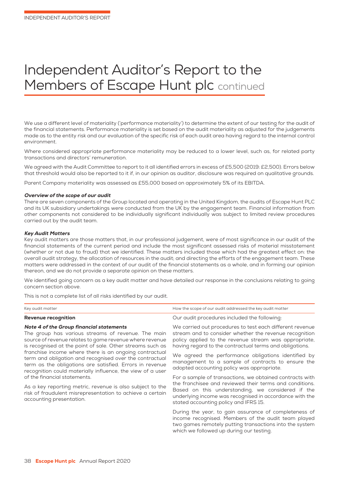# Independent Auditor's Report to the Members of Escape Hunt plc continued

We use a different level of materiality ('performance materiality') to determine the extent of our testing for the audit of the financial statements. Performance materiality is set based on the audit materiality as adjusted for the judgements made as to the entity risk and our evaluation of the specific risk of each audit area having regard to the internal control environment.

Where considered appropriate performance materiality may be reduced to a lower level, such as, for related party transactions and directors' remuneration.

We agreed with the Audit Committee to report to it all identified errors in excess of £5,500 (2019: £2,500). Errors below that threshold would also be reported to it if, in our opinion as auditor, disclosure was required on qualitative grounds.

Parent Company materiality was assessed as £55,000 based on approximately 5% of its EBITDA.

#### Overview of the scope of our audit

There are seven components of the Group located and operating in the United Kingdom, the audits of Escape Hunt PLC and its UK subsidiary undertakings were conducted from the UK by the engagement team. Financial information from other components not considered to be individually significant individually was subject to limited review procedures carried out by the audit team.

#### Key Audit Matters

Key audit matters are those matters that, in our professional judgement, were of most significance in our audit of the financial statements of the current period and include the most significant assessed risks of material misstatement (whether or not due to fraud) that we identified. These matters included those which had the greatest effect on: the overall audit strategy, the allocation of resources in the audit; and directing the efforts of the engagement team. These matters were addressed in the context of our audit of the financial statements as a whole, and in forming our opinion thereon, and we do not provide a separate opinion on these matters.

We identified going concern as a key audit matter and have detailed our response in the conclusions relating to going concern section above.

This is not a complete list of all risks identified by our audit.

| Key audit matter                                                                                                                                                                                                                            | How the scope of our audit addressed the key audit matter                                                                                                                                                                              |  |  |
|---------------------------------------------------------------------------------------------------------------------------------------------------------------------------------------------------------------------------------------------|----------------------------------------------------------------------------------------------------------------------------------------------------------------------------------------------------------------------------------------|--|--|
| <b>Revenue recognition</b>                                                                                                                                                                                                                  | Our audit procedures included the following:                                                                                                                                                                                           |  |  |
| <b>Note 4 of the Group financial statements</b><br>The group has various streams of revenue. The main<br>source of revenue relates to game revenue where revenue<br>is recognised at the point of sale. Other streams such as               | We carried out procedures to test each different revenue<br>stream and to consider whether the revenue recognition<br>policy applied to the revenue stream was appropriate,<br>having regard to the contractual terms and obligations. |  |  |
| franchise income where there is an ongoing contractual<br>term and obligation and recognised over the contractual<br>term as the obligations are satisfied. Errors in revenue<br>recognition could materially influence, the view of a user | We agreed the performance obligations identified by<br>management to a sample of contracts to ensure the<br>adopted accounting policy was appropriate.                                                                                 |  |  |
| of the financial statements.                                                                                                                                                                                                                | For a sample of transactions, we obtained contracts with                                                                                                                                                                               |  |  |
| As a key reporting metric, revenue is also subject to the<br>risk of fraudulent misrepresentation to achieve a certain<br>accounting presentation.                                                                                          | the franchisee and reviewed their terms and conditions.<br>Based on this understanding, we considered if the<br>underlying income was recognised in accordance with the<br>stated accounting policy and IFRS 15.                       |  |  |
|                                                                                                                                                                                                                                             | During the year, to gain assurance of completeness of<br>income recognised. Members of the audit team played<br>two games remotely putting transactions into the system<br>which we followed up during our testing.                    |  |  |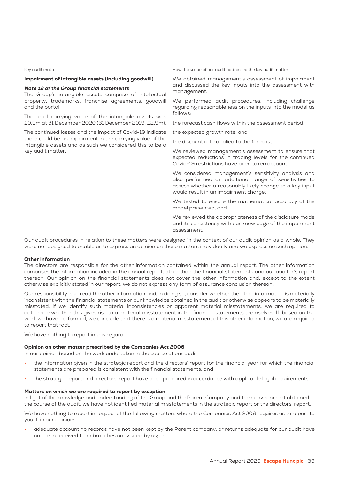| Key audit matter                                                                                                                                            | How the scope of our audit addressed the key audit matter                                                                                                                                                          |  |  |
|-------------------------------------------------------------------------------------------------------------------------------------------------------------|--------------------------------------------------------------------------------------------------------------------------------------------------------------------------------------------------------------------|--|--|
| Impairment of intangible assets (including goodwill)<br>Note 12 of the Group financial statements<br>The Group's intangible assets comprise of intellectual | We obtained management's assessment of impairment<br>and discussed the key inputs into the assessment with<br>management.                                                                                          |  |  |
| property, trademarks, franchise agreements, goodwill<br>and the portal.                                                                                     | We performed audit procedures, including challenge<br>regarding reasonableness on the inputs into the model as                                                                                                     |  |  |
| The total carrying value of the intangible assets was<br>£0.9m at 31 December 2020 (31 December 2019: £2.9m).                                               | follows:<br>the forecast cash flows within the assessment period;                                                                                                                                                  |  |  |
| The continued losses and the impact of Covid-19 indicate                                                                                                    | the expected growth rate; and                                                                                                                                                                                      |  |  |
| there could be an impairment in the carrying value of the<br>intangible assets and as such we considered this to be a<br>key audit matter.                  | the discount rate applied to the forecast.                                                                                                                                                                         |  |  |
|                                                                                                                                                             | We reviewed management's assessment to ensure that<br>expected reductions in trading levels for the continued<br>Covid-19 restrictions have been taken account.                                                    |  |  |
|                                                                                                                                                             | We considered management's sensitivity analysis and<br>also performed an additional range of sensitivities to<br>assess whether a reasonably likely change to a key input<br>would result in an impairment charge; |  |  |
|                                                                                                                                                             | We tested to ensure the mathematical accuracy of the<br>model presented; and                                                                                                                                       |  |  |
|                                                                                                                                                             | We reviewed the appropriateness of the disclosure made<br>and its consistency with our knowledge of the impairment<br>assessment.                                                                                  |  |  |

Our audit procedures in relation to these matters were designed in the context of our audit opinion as a whole. They were not designed to enable us to express an opinion on these matters individually and we express no such opinion.

#### Other information

The directors are responsible for the other information contained within the annual report. The other information comprises the information included in the annual report, other than the financial statements and our auditor's report thereon. Our opinion on the financial statements does not cover the other information and, except to the extent otherwise explicitly stated in our report, we do not express any form of assurance conclusion thereon.

Our responsibility is to read the other information and, in doing so, consider whether the other information is materially inconsistent with the financial statements or our knowledge obtained in the audit or otherwise appears to be materially misstated. If we identify such material inconsistencies or apparent material misstatements, we are required to determine whether this gives rise to a material misstatement in the financial statements themselves. If, based on the work we have performed, we conclude that there is a material misstatement of this other information, we are required to report that fact.

We have nothing to report in this regard.

#### Opinion on other matter prescribed by the Companies Act 2006

In our opinion based on the work undertaken in the course of our audit

- the information given in the strategic report and the directors' report for the financial year for which the financial statements are prepared is consistent with the financial statements; and
- the strategic report and directors' report have been prepared in accordance with applicable legal requirements.

#### Matters on which we are required to report by exception

In light of the knowledge and understanding of the Group and the Parent Company and their environment obtained in the course of the audit, we have not identified material misstatements in the strategic report or the directors' report.

We have nothing to report in respect of the following matters where the Companies Act 2006 requires us to report to you if, in our opinion:

• adequate accounting records have not been kept by the Parent company, or returns adequate for our audit have not been received from branches not visited by us; or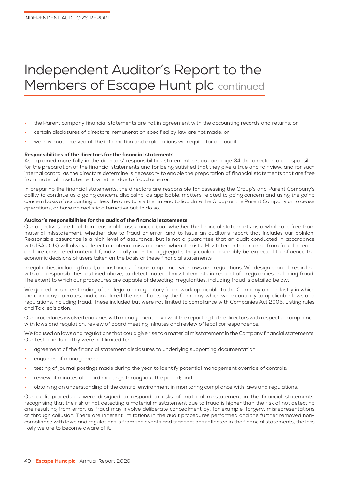# Independent Auditor's Report to the Members of Escape Hunt plc continued

- the Parent company financial statements are not in agreement with the accounting records and returns; or
- certain disclosures of directors' remuneration specified by law are not made; or
- we have not received all the information and explanations we require for our audit.

#### Responsibilities of the directors for the financial statements

As explained more fully in the directors' responsibilities statement set out on page 34 the directors are responsible for the preparation of the financial statements and for being satisfied that they give a true and fair view, and for such internal control as the directors determine is necessary to enable the preparation of financial statements that are free from material misstatement, whether due to fraud or error.

In preparing the financial statements, the directors are responsible for assessing the Group's and Parent Company's ability to continue as a going concern, disclosing, as applicable, matters related to going concern and using the going concern basis of accounting unless the directors either intend to liquidate the Group or the Parent Company or to cease operations, or have no realistic alternative but to do so.

#### Auditor's responsibilities for the audit of the financial statements

Our objectives are to obtain reasonable assurance about whether the financial statements as a whole are free from material misstatement, whether due to fraud or error, and to issue an auditor's report that includes our opinion. Reasonable assurance is a high level of assurance, but is not a guarantee that an audit conducted in accordance with ISAs (UK) will always detect a material misstatement when it exists. Misstatements can arise from fraud or error and are considered material if, individually or in the aggregate, they could reasonably be expected to influence the economic decisions of users taken on the basis of these financial statements.

Irregularities, including fraud, are instances of non-compliance with laws and regulations. We design procedures in line with our responsibilities, outlined above, to detect material misstatements in respect of irregularities, including fraud. The extent to which our procedures are capable of detecting irregularities, including fraud is detailed below:

We gained an understanding of the legal and regulatory framework applicable to the Company and Industry in which the company operates, and considered the risk of acts by the Company which were contrary to applicable laws and regulations, including fraud. These included but were not limited to compliance with Companies Act 2006, Listing rules and Tax legislation.

Our procedures involved enquiries with management, review of the reporting to the directors with respect to compliance with laws and regulation, review of board meeting minutes and review of legal correspondence.

We focused on laws and regulations that could give rise to a material misstatement in the Company financial statements. Our tested included by were not limited to:

- agreement of the financial statement disclosures to underlying supporting documentation;
- enquiries of management;
- testing of journal postings made during the year to identify potential management override of controls;
- review of minutes of board meetings throughout the period; and
- obtaining an understanding of the control environment in monitoring compliance with laws and regulations.

Our audit procedures were designed to respond to risks of material misstatement in the financial statements, recognising that the risk of not detecting a material misstatement due to fraud is higher than the risk of not detecting one resulting from error, as fraud may involve deliberate concealment by, for example, forgery, misrepresentations or through collusion. There are inherent limitations in the audit procedures performed and the further removed noncompliance with laws and regulations is from the events and transactions reflected in the financial statements, the less likely we are to become aware of it.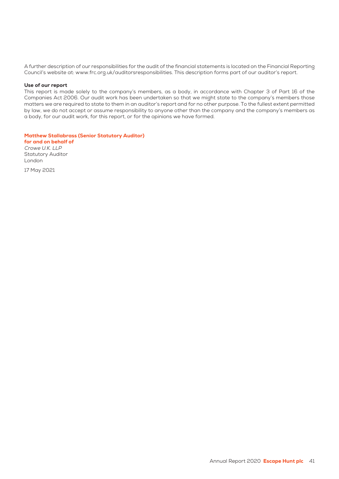A further description of our responsibilities for the audit of the financial statements is located on the Financial Reporting Council's website at: www.frc.org.uk/auditorsresponsibilities. This description forms part of our auditor's report.

#### Use of our report

This report is made solely to the company's members, as a body, in accordance with Chapter 3 of Part 16 of the Companies Act 2006. Our audit work has been undertaken so that we might state to the company's members those matters we are required to state to them in an auditor's report and for no other purpose. To the fullest extent permitted by law, we do not accept or assume responsibility to anyone other than the company and the company's members as a body, for our audit work, for this report, or for the opinions we have formed.

Matthew Stallabrass (Senior Statutory Auditor) for and on behalf of Crowe U.K. LLP Statutory Auditor London

17 May 2021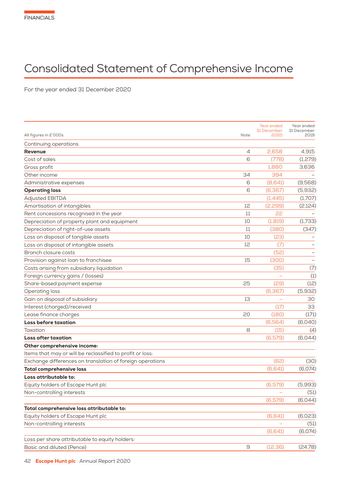# Consolidated Statement of Comprehensive Income

For the year ended 31 December 2020

| All figures in £'000s                                     | Note | Year ended<br>31 December<br>2020 | Year ended<br>31 December<br>2019 |
|-----------------------------------------------------------|------|-----------------------------------|-----------------------------------|
|                                                           |      |                                   |                                   |
| Continuing operations<br><b>Revenue</b>                   | 4    | 2.658                             | 4,915                             |
| Cost of sales                                             | 6    | (778)                             | (1,279)                           |
| Gross profit                                              |      | 1.880                             | 3,636                             |
| Other income                                              | 34   | 394                               |                                   |
| Administrative expenses                                   | 6    | (8,641)                           | (9,568)                           |
| <b>Operating loss</b>                                     | 6    | (6, 367)                          | (5,932)                           |
| <b>Adjusted EBITDA</b>                                    |      | (1,445)                           | (1,707)                           |
| Amortisation of intangibles                               | 12   | (2,299)                           | (2,124)                           |
| Rent concessions recognised in the year                   | 11   | 22                                |                                   |
| Depreciation of property plant and equipment              | 10   | (1, 819)                          | (1,733)                           |
| Depreciation of right-of-use assets                       | 11   | (380)                             | (347)                             |
| Loss on disposal of tangible assets                       | 10   | (23)                              |                                   |
| Loss on disposal of intangible assets                     | 12   | (7)                               |                                   |
| Branch closure costs                                      |      | (52)                              |                                   |
| Provision against loan to franchisee                      | 15   | (300)                             |                                   |
| Costs arising from subsidiary liquidation                 |      | (35)                              | (7)                               |
| Foreign currency gains / (losses)                         |      |                                   | (1)                               |
| Share-based payment expense                               | 25   | (29)                              | (12)                              |
| Operating loss                                            |      | (6, 367)                          | (5,932)                           |
| Gain on disposal of subsidiary                            | 13   |                                   | 30                                |
| Interest (charged)/received                               |      | (17)                              | 33                                |
| Lease finance charges                                     | 20   | (180)                             | (171)                             |
| <b>Loss before taxation</b>                               |      | (6,564)                           | (6,040)                           |
| Taxation                                                  | 8    | (15)                              | (4)                               |
| <b>Loss after taxation</b>                                |      | (6,579)                           | (6,044)                           |
| Other comprehensive income:                               |      |                                   |                                   |
| Items that may or will be reclassified to profit or loss: |      |                                   |                                   |
| Exchange differences on translation of foreign operations |      | (62)                              | (30)                              |
| <b>Total comprehensive loss</b>                           |      | (6,641)                           | (6,074)                           |
| Loss attributable to:                                     |      |                                   |                                   |
| Equity holders of Escape Hunt plc                         |      | (6,579)                           | (5,993)                           |
| Non-controlling interests                                 |      |                                   | (51)                              |
|                                                           |      | (6,579)                           | (6,044)                           |
| Total comprehensive loss attributable to:                 |      |                                   |                                   |
| Equity holders of Escape Hunt plc                         |      | (6,641)                           | (6,023)                           |
| Non-controlling interests                                 |      |                                   | (51)                              |
|                                                           |      | (6,641)                           | (6,074)                           |
| Loss per share attributable to equity holders:            |      |                                   |                                   |
| Basic and diluted (Pence)                                 | 9    | (12.36)                           | (24.78)                           |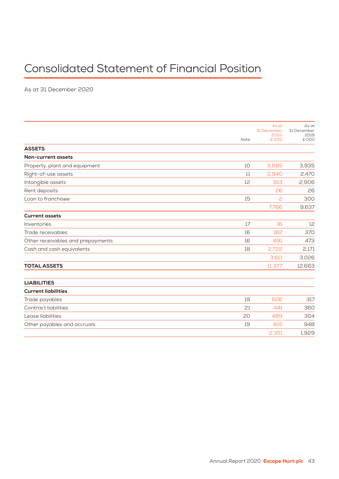# Consolidated Statement of Financial Position

As at 31 December 2020

|                                   |      | As at               | As at               |
|-----------------------------------|------|---------------------|---------------------|
|                                   |      | 31 December<br>2020 | 31 December<br>2019 |
|                                   | Note | £'000               | £'000               |
| <b>ASSETS</b>                     |      |                     |                     |
| <b>Non-current assets</b>         |      |                     |                     |
| Property, plant and equipment     | 10   | 3,885               | 3,935               |
| Right-of-use assets               | 11   | 2,940               | 2,470               |
| Intangible assets                 | 12   | 913                 | 2,906               |
| Rent deposits                     |      | 26                  | 26                  |
| Loan to franchisee                | 15   | 2                   | 300                 |
|                                   |      | 7,766               | 9,637               |
| <b>Current assets</b>             |      |                     |                     |
| Inventories                       | 17   | 16                  | 12                  |
| Trade receivables                 | 16   | 182                 | 370                 |
| Other receivables and prepayments | 16   | 691                 | 473                 |
| Cash and cash equivalents         | 18   | 2,722               | 2,171               |
|                                   |      | 3.611               | 3,026               |
| <b>TOTAL ASSETS</b>               |      | 11,377              | 12,663              |
| <b>LIABILITIES</b>                |      |                     |                     |
| <b>Current liabilities</b>        |      |                     |                     |
| Trade payables                    | 19   | 606                 | 317                 |
| <b>Contract liabilities</b>       | 21   | 441                 | 360                 |
| Lease liabilities                 | 20   | 489                 | 304                 |
| Other payables and accruals       | 19   | 815                 | 948                 |
|                                   |      | 2,351               | 1,929               |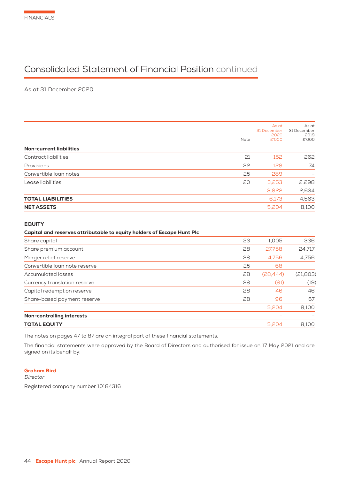# Consolidated Statement of Financial Position continued

As at 31 December 2020

|                                                                        | Note | As at<br>31 December<br>2020<br>£'000 | As at<br>31 December<br>2019<br>£'000 |
|------------------------------------------------------------------------|------|---------------------------------------|---------------------------------------|
| <b>Non-current liabilities</b>                                         |      |                                       |                                       |
| <b>Contract liabilities</b>                                            | 21   | 152                                   | 262                                   |
| Provisions                                                             | 22   | 128                                   | 74                                    |
| Convertible loan notes                                                 | 25   | 289                                   |                                       |
| Lease liabilities                                                      | 20   | 3,253                                 | 2,298                                 |
|                                                                        |      | 3,822                                 | 2,634                                 |
| <b>TOTAL LIABILITIES</b>                                               |      | 6,173                                 | 4,563                                 |
| <b>NET ASSETS</b>                                                      |      | 5,204                                 | 8,100                                 |
| <b>EQUITY</b>                                                          |      |                                       |                                       |
| Capital and reserves attributable to equity holders of Escape Hunt Plc |      |                                       |                                       |
| Share capital                                                          | 23   | 1,005                                 | 336                                   |
| Share premium account                                                  | 28   | 27.758                                | 24,717                                |
| Merger relief reserve                                                  | 28   | 4,756                                 | 4,756                                 |
| Convertible loan note reserve                                          | 25   | 68                                    |                                       |
| <b>Accumulated losses</b>                                              | 28   | (28, 444)                             | (21, 803)                             |
| Currency translation reserve                                           | 28   | (81)                                  | (19)                                  |
| Capital redemption reserve                                             | 28   | 46                                    | 46                                    |
| Share-based payment reserve                                            | 28   | 96                                    | 67                                    |
|                                                                        |      | 5,204                                 | 8,100                                 |
| Non-controlling interests                                              |      |                                       |                                       |
| <b>TOTAL EQUITY</b>                                                    |      | 5,204                                 | 8,100                                 |

The notes on pages 47 to 87 are an integral part of these financial statements.

The financial statements were approved by the Board of Directors and authorised for issue on 17 May 2021 and are signed on its behalf by:

### Graham Bird

Director

Registered company number 10184316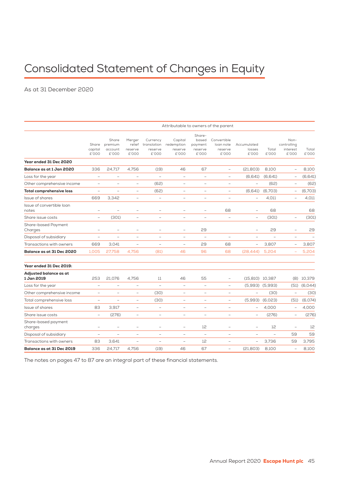# Consolidated Statement of Changes in Equity

As at 31 December 2020

|                                      | Attributable to owners of the parent |                                      |                                      |                                             |                                           |                                                |                                              |                                |                     |                                          |                  |
|--------------------------------------|--------------------------------------|--------------------------------------|--------------------------------------|---------------------------------------------|-------------------------------------------|------------------------------------------------|----------------------------------------------|--------------------------------|---------------------|------------------------------------------|------------------|
|                                      | Share<br>capital<br>£'000            | Share<br>premium<br>account<br>£'000 | Merger<br>relief<br>reserve<br>£'000 | Currency<br>translation<br>reserve<br>£'000 | Capital<br>redemption<br>reserve<br>£'000 | Share-<br>based<br>payment<br>reserve<br>£'000 | Convertible<br>loan note<br>reserve<br>£'000 | Accumulated<br>losses<br>£'000 | Total<br>£'000      | Non-<br>controlling<br>interest<br>£'000 | Total<br>£'000   |
| Year ended 31 Dec 2020               |                                      |                                      |                                      |                                             |                                           |                                                |                                              |                                |                     |                                          |                  |
| Balance as at 1 Jan 2020             | 336                                  | 24,717                               | 4.756                                | (19)                                        | 46                                        | 67                                             | $\equiv$                                     | (21, 803)                      | 8.100               | ÷,                                       | 8.100            |
| Loss for the year                    | $\qquad \qquad -$                    | $\qquad \qquad -$                    | $\qquad \qquad -$                    | $\equiv$                                    | $\overline{\phantom{0}}$                  | $\overline{\phantom{m}}$                       | $\equiv$                                     | (6,641)                        | (6,641)             | Ĭ.                                       | (6,641)          |
| Other comprehensive income           | $\equiv$                             | $\equiv$                             | $\equiv$                             | (62)                                        | $\overline{\phantom{a}}$                  | $\equiv$                                       | $\equiv$                                     | $\equiv$                       | (62)                | $\overline{\phantom{0}}$                 | (62)             |
| <b>Total comprehensive loss</b>      | $\equiv$                             | $\equiv$                             | $\equiv$                             | (62)                                        | $\overline{\phantom{a}}$                  | $\equiv$                                       | $\overline{\phantom{m}}$                     | (6,641)                        | (6,703)             | ÷,                                       | (6,703)          |
| Issue of shares                      | 669                                  | 3,342                                | $\equiv$                             | $\equiv$                                    | $\equiv$                                  | $\equiv$                                       | $\sim$                                       | ÷,                             | 4,011               | L,                                       | 4.011            |
| Issue of convertible loan<br>notes   | $\equiv$                             | ÷                                    | $\equiv$                             | $\overline{\phantom{0}}$                    | L.                                        | $\equiv$                                       | 68                                           | $\equiv$                       | 68                  |                                          | 68               |
| Share issue costs                    | $\overline{\phantom{a}}$             | (301)                                | $\overline{\phantom{a}}$             | $\overline{\phantom{a}}$                    | $\qquad \qquad -$                         | $\overline{\phantom{a}}$                       | $\overline{\phantom{a}}$                     | $\overline{\phantom{a}}$       | (301)               | $\qquad \qquad -$                        | (301)            |
| Share-based Payment<br>Charges       | $\overline{\phantom{a}}$             | $\overline{\phantom{0}}$             | $\qquad \qquad -$                    | $\qquad \qquad -$                           | $\qquad \qquad -$                         | 29                                             |                                              | $\equiv$                       | 29                  | $\qquad \qquad -$                        | 29               |
| Disposal of subsidiary               | $\overline{\phantom{0}}$             | $\overline{\phantom{a}}$             | $\equiv$                             | $\equiv$                                    | $\overline{\phantom{a}}$                  | $\equiv$                                       | $\equiv$                                     | $\qquad \qquad -$              | $\equiv$            | $\qquad \qquad -$                        | ÷,               |
| Transactions with owners             | 669                                  | 3,041                                | $\equiv$                             | L.                                          | $\equiv$                                  | 29                                             | 68                                           | $\overline{\phantom{0}}$       | 3,807               | $\overline{\phantom{0}}$                 | 3,807            |
| Balance as at 31 Dec 2020            | 1.005                                | 27,758                               | 4,756                                | (81)                                        | 46                                        | 96                                             | 68                                           | (28, 444)                      | 5,204               | ÷                                        | 5,204            |
| Year ended 31 Dec 2019:              |                                      |                                      |                                      |                                             |                                           |                                                |                                              |                                |                     |                                          |                  |
| Adjusted balance as at<br>1 Jan 2019 | 253                                  | 21.076                               | 4.756                                | 11                                          | 46                                        | 55                                             | $\equiv$                                     | $(15,810)$ $10,387$            |                     | (8)                                      | 10,379           |
| Loss for the year                    | $\equiv$                             | $\overline{\phantom{m}}$             | $\overline{\phantom{m}}$             | $\equiv$                                    | $\bar{\phantom{a}}$                       | $\equiv$                                       | $\overline{\phantom{a}}$                     |                                | $(5,993)$ $(5,993)$ |                                          | $(51)$ $(6,044)$ |
| Other comprehensive income           | $\overline{\phantom{m}}$             | $\overline{\phantom{m}}$             | $\overline{\phantom{a}}$             | (30)                                        | $\overline{\phantom{a}}$                  | $\qquad \qquad -$                              | $\qquad \qquad -$                            | $\qquad \qquad -$              | (30)                | $\overline{\phantom{0}}$                 | (30)             |
| Total comprehensive loss             | $\equiv$                             | $\equiv$                             | $\equiv$                             | (30)                                        | $\equiv$                                  | $\equiv$                                       | $\equiv$                                     | (5,993)                        | (6,023)             | (51)                                     | (6,074)          |
| Issue of shares                      | 83                                   | 3,917                                | $\overline{\phantom{m}}$             | $\overline{\phantom{0}}$                    | $\overline{\phantom{0}}$                  | $\overline{\phantom{a}}$                       | $\overline{\phantom{a}}$                     | $\overline{\phantom{a}}$       | 4,000               | $\overline{\phantom{0}}$                 | 4,000            |
| Share issue costs                    | $\equiv$                             | (276)                                | $\overline{\phantom{m}}$             | $\equiv$                                    | $\overline{\phantom{a}}$                  | $\overline{\phantom{m}}$                       | $\overline{\phantom{m}}$                     | $\overline{\phantom{m}}$       | (276)               | $\overline{\phantom{0}}$                 | (276)            |
| Share-based payment<br>charges       | $\overline{\phantom{m}}$             | $\overline{\phantom{a}}$             | $\qquad \qquad -$                    | $\qquad \qquad -$                           | $\overline{\phantom{m}}$                  | 12                                             | $\equiv$                                     | $\overline{\phantom{m}}$       | 12                  | $\equiv$                                 | 12               |
| Disposal of subsidiary               | $\equiv$                             | $\overline{\phantom{m}}$             | $\qquad \qquad -$                    | ÷                                           | $\qquad \qquad -$                         | $\equiv$                                       | $\equiv$                                     | $\equiv$                       | $\equiv$            | 59                                       | 59               |
| Transactions with owners             | 83                                   | 3.641                                | $\overline{\phantom{0}}$             | $\equiv$                                    | $\overline{\phantom{0}}$                  | 12                                             | $\overline{\phantom{m}}$                     | $\equiv$                       | 3,736               | 59                                       | 3.795            |
| Balance as at 31 Dec 2019            | 336                                  | 24,717                               | 4.756                                | (19)                                        | 46                                        | 67                                             | $\qquad \qquad -$                            | (21, 803)                      | 8,100               | $\qquad \qquad -$                        | 8,100            |

The notes on pages 47 to 87 are an integral part of these financial statements.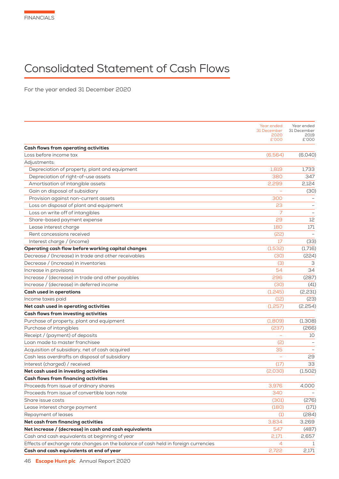# Consolidated Statement of Cash Flows

For the year ended 31 December 2020

|                                                                                    | Year ended<br>31 December<br>2020<br>£'000 | Year ended<br>31 December<br>2019<br>£'000 |
|------------------------------------------------------------------------------------|--------------------------------------------|--------------------------------------------|
| <b>Cash flows from operating activities</b>                                        |                                            |                                            |
| Loss before income tax                                                             | (6,564)                                    | (6,040)                                    |
| Adjustments:                                                                       |                                            |                                            |
| Depreciation of property, plant and equipment                                      | 1,819                                      | 1,733                                      |
| Depreciation of right-of-use assets                                                | 380                                        | 347                                        |
| Amortisation of intangible assets                                                  | 2,299                                      | 2,124                                      |
| Gain on disposal of subsidiary                                                     |                                            | (30)                                       |
| Provision against non-current assets                                               | 300                                        |                                            |
| Loss on disposal of plant and equipment                                            | 23                                         |                                            |
| Loss on write off of intangibles                                                   |                                            |                                            |
| Share-based payment expense                                                        | 29                                         | 12                                         |
| Lease interest charge                                                              | 180                                        | 171                                        |
| Rent concessions received                                                          | (22)                                       |                                            |
| Interest charge / (income)                                                         | 17                                         | (33)                                       |
| Operating cash flow before working capital changes                                 | (1,532)                                    | (1,716)                                    |
| Decrease / (Increase) in trade and other receivables                               | (30)                                       | (224)                                      |
| Decrease / (increase) in inventories                                               | (3)                                        | З                                          |
| Increase in provisions                                                             | 54                                         | 34                                         |
| Increase / (decrease) in trade and other payables                                  | 296                                        | (287)                                      |
| Increase / (decrease) in deferred income                                           | (30)                                       | (41)                                       |
| <b>Cash used in operations</b>                                                     | (1,245)                                    | (2,231)                                    |
| Income taxes paid                                                                  | (12)                                       | (23)                                       |
| Net cash used in operating activities                                              | (1, 257)                                   | (2,254)                                    |
| <b>Cash flows from investing activities</b>                                        |                                            |                                            |
| Purchase of property, plant and equipment                                          | (1,809)                                    | (1,308)                                    |
| Purchase of intangibles                                                            | (237)                                      | (266)                                      |
| Receipt / (payment) of deposits                                                    |                                            | 10                                         |
| Loan made to master franchisee                                                     | (2)                                        |                                            |
| Acquisition of subsidiary, net of cash acquired                                    | 35                                         |                                            |
| Cash less overdrafts on disposal of subsidiary                                     |                                            | 29                                         |
| Interest (charged) / received                                                      | (17)                                       | 33                                         |
| Net cash used in investing activities                                              | (2,030)                                    | (1,502)                                    |
| <b>Cash flows from financing activities</b>                                        |                                            |                                            |
| Proceeds from issue of ordinary shares                                             | 3,976                                      | 4,000                                      |
| Proceeds from issue of convertible loan note                                       | 340                                        |                                            |
| Share issue costs                                                                  | (301)                                      | (276)                                      |
| Lease interest charge payment                                                      | (180)                                      | (171)                                      |
| Repayment of leases                                                                | (1)                                        | (284)                                      |
| Net cash from financing activities                                                 | 3,834                                      | 3,269                                      |
| Net increase / (decrease) in cash and cash equivalents                             | 547                                        | (487)                                      |
| Cash and cash equivalents at beginning of year                                     | 2,171                                      | 2,657                                      |
| Effects of exchange rate changes on the balance of cash held in foreign currencies | 4                                          | -1                                         |
| Cash and cash equivalents at end of year                                           | 2,722                                      | 2,171                                      |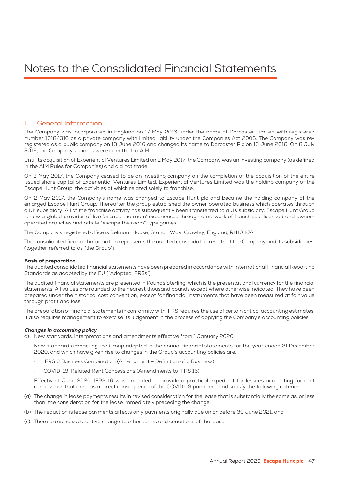## 1. General Information

The Company was incorporated in England on 17 May 2016 under the name of Dorcaster Limited with registered number 10184316 as a private company with limited liability under the Companies Act 2006. The Company was reregistered as a public company on 13 June 2016 and changed its name to Dorcaster Plc on 13 June 2016. On 8 July 2016, the Company's shares were admitted to AIM.

Until its acquisition of Experiential Ventures Limited on 2 May 2017, the Company was an investing company (as defined in the AIM Rules for Companies) and did not trade.

On 2 May 2017, the Company ceased to be an investing company on the completion of the acquisition of the entire issued share capital of Experiential Ventures Limited. Experiential Ventures Limited was the holding company of the Escape Hunt Group, the activities of which related solely to franchise.

On 2 May 2017, the Company's name was changed to Escape Hunt plc and became the holding company of the enlarged Escape Hunt Group. Thereafter the group established the owner operated business which operates through a UK subsidiary. All of the franchise activity has subsequently been transferred to a UK subsidiary. Escape Hunt Group is now a global provider of live 'escape the room' experiences through a network of franchised, licensed and owneroperated branches and offsite "escape the room" type games

The Company's registered office is Belmont House, Station Way, Crawley, England, RH10 1JA.

The consolidated financial information represents the audited consolidated results of the Company and its subsidiaries, (together referred to as "the Group").

#### Basis of preparation

The audited consolidated financial statements have been prepared in accordance with International Financial Reporting Standards as adopted by the EU ("Adopted IFRSs").

The audited financial statements are presented in Pounds Sterling, which is the presentational currency for the financial statements. All values are rounded to the nearest thousand pounds except where otherwise indicated. They have been prepared under the historical cost convention, except for financial instruments that have been measured at fair value through profit and loss.

The preparation of financial statements in conformity with IFRS requires the use of certain critical accounting estimates. It also requires management to exercise its judgement in the process of applying the Company's accounting policies.

#### Changes in accounting policy

a) New standards, interpretations and amendments effective from 1 January 2020

 New standards impacting the Group adopted in the annual financial statements for the year ended 31 December 2020, and which have given rise to changes in the Group's accounting policies are:

- IFRS 3 Business Combination (Amendment Definition of a Business)
- COVID-19-Related Rent Concessions (Amendments to IFRS 16)

 Effective 1 June 2020, IFRS 16 was amended to provide a practical expedient for lessees accounting for rent concessions that arise as a direct consequence of the COVID-19 pandemic and satisfy the following criteria:

- (a) The change in lease payments results in revised consideration for the lease that is substantially the same as, or less than, the consideration for the lease immediately preceding the change;
- (b) The reduction is lease payments affects only payments originally due on or before 30 June 2021; and
- (c) There are is no substantive change to other terms and conditions of the lease.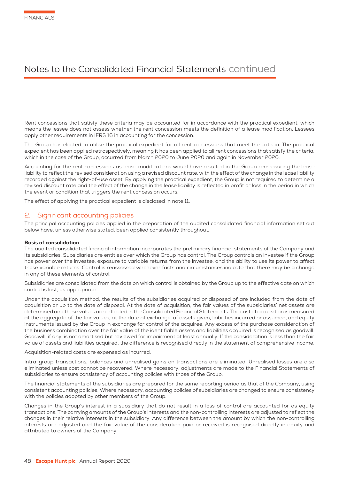Rent concessions that satisfy these criteria may be accounted for in accordance with the practical expedient, which means the lessee does not assess whether the rent concession meets the definition of a lease modification. Lessees apply other requirements in IFRS 16 in accounting for the concession.

The Group has elected to utilise the practical expedient for all rent concessions that meet the criteria. The practical expedient has been applied retrospectively, meaning it has been applied to all rent concessions that satisfy the criteria, which in the case of the Group, occurred from March 2020 to June 2020 and again in November 2020.

Accounting for the rent concessions as lease modifications would have resulted in the Group remeasuring the lease liability to reflect the revised consideration using a revised discount rate, with the effect of the change in the lease liability recorded against the right-of-use asset. By applying the practical expedient, the Group is not required to determine a revised discount rate and the effect of the change in the lease liability is reflected in profit or loss in the period in which the event or condition that triggers the rent concession occurs.

The effect of applying the practical expedient is disclosed in note 11.

### 2. Significant accounting policies

The principal accounting policies applied in the preparation of the audited consolidated financial information set out below have, unless otherwise stated, been applied consistently throughout.

#### Basis of consolidation

The audited consolidated financial information incorporates the preliminary financial statements of the Company and its subsidiaries. Subsidiaries are entities over which the Group has control. The Group controls an investee if the Group has power over the investee, exposure to variable returns from the investee, and the ability to use its power to affect those variable returns. Control is reassessed whenever facts and circumstances indicate that there may be a change in any of these elements of control.

Subsidiaries are consolidated from the date on which control is obtained by the Group up to the effective date on which control is lost, as appropriate.

Under the acquisition method, the results of the subsidiaries acquired or disposed of are included from the date of acquisition or up to the date of disposal. At the date of acquisition, the fair values of the subsidiaries' net assets are determined and these values are reflected in the Consolidated Financial Statements. The cost of acquisition is measured at the aggregate of the fair values, at the date of exchange, of assets given, liabilities incurred or assumed, and equity instruments issued by the Group in exchange for control of the acquiree. Any excess of the purchase consideration of the business combination over the fair value of the identifiable assets and liabilities acquired is recognised as goodwill. Goodwill, if any, is not amortised but reviewed for impairment at least annually. If the consideration is less than the fair value of assets and liabilities acquired, the difference is recognised directly in the statement of comprehensive income.

Acquisition-related costs are expensed as incurred.

Intra-group transactions, balances and unrealised gains on transactions are eliminated. Unrealised losses are also eliminated unless cost cannot be recovered. Where necessary, adjustments are made to the Financial Statements of subsidiaries to ensure consistency of accounting policies with those of the Group.

The financial statements of the subsidiaries are prepared for the same reporting period as that of the Company, using consistent accounting policies. Where necessary, accounting policies of subsidiaries are changed to ensure consistency with the policies adopted by other members of the Group.

Changes in the Group's interest in a subsidiary that do not result in a loss of control are accounted for as equity transactions. The carrying amounts of the Group's interests and the non-controlling interests are adjusted to reflect the changes in their relative interests in the subsidiary. Any difference between the amount by which the non-controlling interests are adjusted and the fair value of the consideration paid or received is recognised directly in equity and attributed to owners of the Company.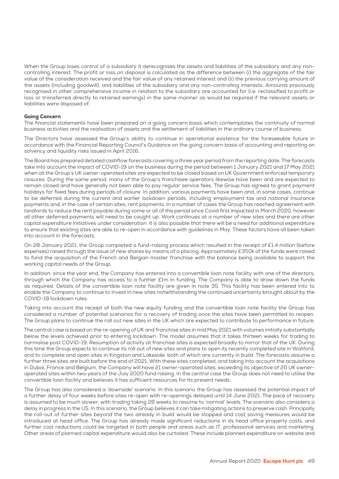When the Group loses control of a subsidiary it derecognises the assets and liabilities of the subsidiary and any noncontrolling interest. The profit or loss on disposal is calculated as the difference between (i) the aggregate of the fair value of the consideration received and the fair value of any retained interest and (ii) the previous carrying amount of the assets (including goodwill), and liabilities of the subsidiary and any non-controlling interests. Amounts previously recognised in other comprehensive income in relation to the subsidiary are accounted for (i.e. reclassified to profit or loss or transferred directly to retained earnings) in the same manner as would be required if the relevant assets or liabilities were disposed of.

#### Going Concern

The financial statements have been prepared on a going concern basis which contemplates the continuity of normal business activities and the realisation of assets and the settlement of liabilities in the ordinary course of business.

The Directors have assessed the Group's ability to continue in operational existence for the foreseeable future in accordance with the Financial Reporting Council's Guidance on the going concern basis of accounting and reporting on solvency and liquidity risks issued in April 2016.

The Board has prepared detailed cashflow forecasts covering a three year period from the reporting date. The forecasts take into account the impact of COVID-19 on the business during the period between 1 January 2021 and 17 May 2021 when all the Group's UK owner-operated sites are expected to be closed based on UK Government enforced temporary closures. During the same period, many of the Group's franchisee operators likewise have been and are expected to remain closed and have generally not been able to pay regular service fees. The Group has agreed to grant payment holidays for fixed fees during periods of closure. In addition, various payments have been and, in some cases, continue to be deferred during the current and earlier lockdown periods, including employment tax and national insurance payments and, in the case of certain sites, rent payments. In a number of cases the Group has reached agreement with landlords to reduce the rent payable during some or all of the period since Covid first impacted in March 2020, however all other deferred payments will need to be caught up. Work continues at a number of new sites and there are other capital expenditure initiatives under consideration. It is also possible that there will be a need for additional expenditure to ensure that existing sites are able to re-open in accordance with guidelines in May. These factors have all been taken into account in the forecasts.

On 28 January 2021, the Group completed a fund-raising process which resulted in the receipt of £1.4 million (before expenses) raised through the issue of new shares by means of a placing. Approximately £350k of the funds were raised to fund the acquisition of the French and Belgian master franchise with the balance being available to support the working capital needs of the Group.

In addition, since the year end, the Company has entered into a convertible loan note facility with one of the directors, through which the Company has access to a further £1m in funding. The Company is able to draw down the funds as required. Details of the convertible loan note facility are given in note 35. This facility has been entered into to enable the Company to continue to invest in new sites notwithstanding the continued uncertainty brought about by the COVID-19 lockdown rules.

Taking into account the receipt of both the new equity funding and the convertible loan note facility the Group has considered a number of potential scenarios for a recovery of trading once the sites have been permitted to reopen. The Group plans to continue the roll out new sites in the UK which are expected to contribute to performance in future.

The central case is based on the re-opening of UK and franchise sites in mid May 2021 with volumes initially substantially below the levels achieved prior to entering lockdown. The model assumes that it takes thirteen weeks for trading to normalise post COVID-19. Resumption of activity at franchise sites is expected broadly to mirror that of the UK. During this time the Group expects to continue its roll out of new sites and plans to open its recently completed site in Watford, and to complete and open sites in Kingston and Lakeside, both of which are currently in build. The forecasts assume a further three sites are built before the end of 2021. With these sites completed, and taking into account the acquisitions in Dubai, France and Belgium, the Company will have 21 owner-operated sites, exceeding its objective of 20 UK owneroperated sites within two years of the July 2020 fund raising. In the central case the Group does not need to utilise the convertible loan facility and believes it has sufficient resources for its present needs.

The Group has also considered a 'downside' scenario. In this scenario the Group has assessed the potential impact of a further delay of four weeks before sites re-open with re-openings delayed until 14 June 2021. The pace of recovery is assumed to be much slower, with trading taking 26 weeks to resume to 'normal' levels. The scenario also considers a delay in progress in the US. In this scenario, the Group believes it can take mitigating actions to preserve cash. Principally the roll-out of further sites beyond the two already in build would be stopped and cost saving measures would be introduced at head office. The Group has already made significant reductions in its head office property costs, and further cost reductions could be targeted in both people and areas such as IT, professional services and marketing. Other areas of planned capital expenditure would also be curtailed. These include planned expenditure on website and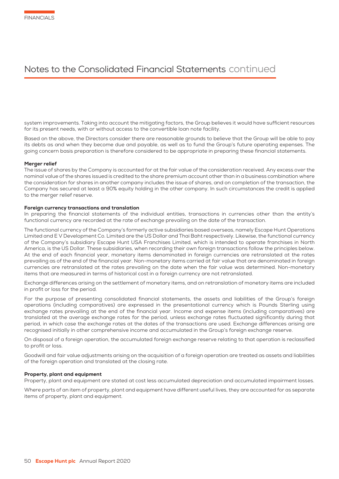system improvements. Taking into account the mitigating factors, the Group believes it would have sufficient resources for its present needs, with or without access to the convertible loan note facility.

Based on the above, the Directors consider there are reasonable grounds to believe that the Group will be able to pay its debts as and when they become due and payable, as well as to fund the Group's future operating expenses. The going concern basis preparation is therefore considered to be appropriate in preparing these financial statements.

#### Merger relief

The issue of shares by the Company is accounted for at the fair value of the consideration received. Any excess over the nominal value of the shares issued is credited to the share premium account other than in a business combination where the consideration for shares in another company includes the issue of shares, and on completion of the transaction, the Company has secured at least a 90% equity holding in the other company. In such circumstances the credit is applied to the merger relief reserve.

#### Foreign currency transactions and translation

In preparing the financial statements of the individual entities, transactions in currencies other than the entity's functional currency are recorded at the rate of exchange prevailing on the date of the transaction.

The functional currency of the Company's formerly active subsidiaries based overseas, namely Escape Hunt Operations Limited and E V Development Co. Limited are the US Dollar and Thai Baht respectively. Likewise, the functional currency of the Company's subsidiary Escape Hunt USA Franchises Limited, which is intended to operate franchises in North America, is the US Dollar. These subsidiaries, when recording their own foreign transactions follow the principles below. At the end of each financial year, monetary items denominated in foreign currencies are retranslated at the rates prevailing as of the end of the financial year. Non-monetary items carried at fair value that are denominated in foreign currencies are retranslated at the rates prevailing on the date when the fair value was determined. Non-monetary items that are measured in terms of historical cost in a foreign currency are not retranslated.

Exchange differences arising on the settlement of monetary items, and on retranslation of monetary items are included in profit or loss for the period.

For the purpose of presenting consolidated financial statements, the assets and liabilities of the Group's foreign operations (including comparatives) are expressed in the presentational currency which is Pounds Sterling using exchange rates prevailing at the end of the financial year. Income and expense items (including comparatives) are translated at the average exchange rates for the period, unless exchange rates fluctuated significantly during that period, in which case the exchange rates at the dates of the transactions are used. Exchange differences arising are recognised initially in other comprehensive income and accumulated in the Group's foreign exchange reserve.

On disposal of a foreign operation, the accumulated foreign exchange reserve relating to that operation is reclassified to profit or loss.

Goodwill and fair value adjustments arising on the acquisition of a foreign operation are treated as assets and liabilities of the foreign operation and translated at the closing rate.

#### Property, plant and equipment

Property, plant and equipment are stated at cost less accumulated depreciation and accumulated impairment losses.

Where parts of an item of property, plant and equipment have different useful lives, they are accounted for as separate items of property, plant and equipment.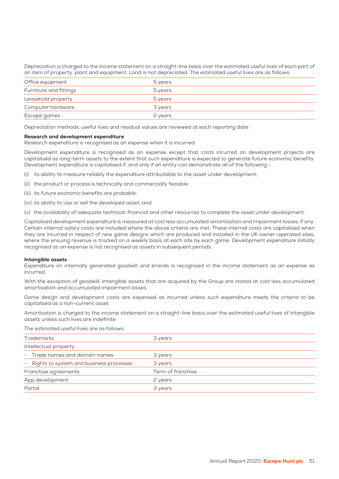Depreciation is charged to the income statement on a straight-line basis over the estimated useful lives of each part of an item of property, plant and equipment. Land is not depreciated. The estimated useful lives are as follows:

| Office equipment       | 5 years |
|------------------------|---------|
| Furniture and fittings | 5 years |
| Leasehold property     | 5 years |
| Computer hardware      | 3 years |
| Escape games           | 2 years |

Depreciation methods, useful lives and residual values are reviewed at each reporting date.

#### Research and development expenditure

Research expenditure is recognised as an expense when it is incurred.

Development expenditure is recognised as an expense except that costs incurred on development projects are capitalised as long-term assets to the extent that such expenditure is expected to generate future economic benefits. Development expenditure is capitalised if, and only if an entity can demonstrate all of the following:-

- (i) its ability to measure reliably the expenditure attributable to the asset under development;
- (ii) the product or process is technically and commercially feasible;
- (iii) its future economic benefits are probable;
- (iv) its ability to use or sell the developed asset; and

(v) the availability of adequate technical, financial and other resources to complete the asset under development.

Capitalised development expenditure is measured at cost less accumulated amortisation and impairment losses, if any. Certain internal salary costs are included where the above criteria are met. These internal costs are capitalised when they are incurred in respect of new game designs which are produced and installed in the UK owner-operated sites, where the ensuing revenue is tracked on a weekly basis at each site by each game. Development expenditure initially recognised as an expense is not recognised as assets in subsequent periods.

#### Intangible assets

Expenditure on internally generated goodwill and brands is recognised in the income statement as an expense as incurred.

With the exception of goodwill, intangible assets that are acquired by the Group are stated at cost less accumulated amortisation and accumulated impairment losses.

Game design and development costs are expensed as incurred unless such expenditure meets the criteria to be capitalised as a non-current asset.

Amortisation is charged to the income statement on a straight-line basis over the estimated useful lives of intangible assets unless such lives are indefinite.

#### The estimated useful lives are as follows:

| <b>Trademarks</b>                         | 3 years           |
|-------------------------------------------|-------------------|
| Intellectual property:                    |                   |
| - Trade names and domain names            | 3 years           |
| - Rights to system and business processes | 3 years           |
| Franchise agreements                      | Term of franchise |
| App development                           | 2 years           |
| Portal                                    | 3 years           |
|                                           |                   |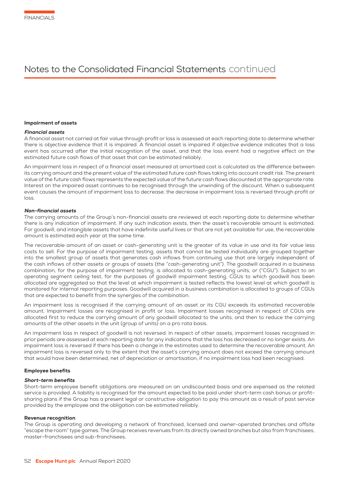#### Impairment of assets

#### Financial assets

A financial asset not carried at fair value through profit or loss is assessed at each reporting date to determine whether there is objective evidence that it is impaired. A financial asset is impaired if objective evidence indicates that a loss event has occurred after the initial recognition of the asset, and that the loss event had a negative effect on the estimated future cash flows of that asset that can be estimated reliably.

An impairment loss in respect of a financial asset measured at amortised cost is calculated as the difference between its carrying amount and the present value of the estimated future cash flows taking into account credit risk. The present value of the future cash flows represents the expected value of the future cash flows discounted at the appropriate rate. Interest on the impaired asset continues to be recognised through the unwinding of the discount. When a subsequent event causes the amount of impairment loss to decrease, the decrease in impairment loss is reversed through profit or loss.

#### Non-financial assets

The carrying amounts of the Group's non-financial assets are reviewed at each reporting date to determine whether there is any indication of impairment. If any such indication exists, then the asset's recoverable amount is estimated. For goodwill, and intangible assets that have indefinite useful lives or that are not yet available for use, the recoverable amount is estimated each year at the same time.

The recoverable amount of an asset or cash-generating unit is the greater of its value in use and its fair value less costs to sell. For the purpose of impairment testing, assets that cannot be tested individually are grouped together into the smallest group of assets that generates cash inflows from continuing use that are largely independent of the cash inflows of other assets or groups of assets (the "cash-generating unit"). The goodwill acquired in a business combination, for the purpose of impairment testing, is allocated to cash-generating units, or ("CGU"). Subject to an operating segment ceiling test, for the purposes of goodwill impairment testing, CGUs to which goodwill has been allocated are aggregated so that the level at which impairment is tested reflects the lowest level at which goodwill is monitored for internal reporting purposes. Goodwill acquired in a business combination is allocated to groups of CGUs that are expected to benefit from the synergies of the combination.

An impairment loss is recognised if the carrying amount of an asset or its CGU exceeds its estimated recoverable amount. Impairment losses are recognised in profit or loss. Impairment losses recognised in respect of CGUs are allocated first to reduce the carrying amount of any goodwill allocated to the units, and then to reduce the carrying amounts of the other assets in the unit (group of units) on a pro rata basis.

An impairment loss in respect of goodwill is not reversed. In respect of other assets, impairment losses recognised in prior periods are assessed at each reporting date for any indications that the loss has decreased or no longer exists. An impairment loss is reversed if there has been a change in the estimates used to determine the recoverable amount. An impairment loss is reversed only to the extent that the asset's carrying amount does not exceed the carrying amount that would have been determined, net of depreciation or amortisation, if no impairment loss had been recognised.

#### Employee benefits

#### Short-term benefits

Short-term employee benefit obligations are measured on an undiscounted basis and are expensed as the related service is provided. A liability is recognised for the amount expected to be paid under short-term cash bonus or profitsharing plans if the Group has a present legal or constructive obligation to pay this amount as a result of past service provided by the employee and the obligation can be estimated reliably.

#### Revenue recognition

The Group is operating and developing a network of franchised, licensed and owner-operated branches and offsite "escape the room" type games. The Group receives revenues from its directly owned branches but also from franchisees, master-franchisees and sub-franchisees.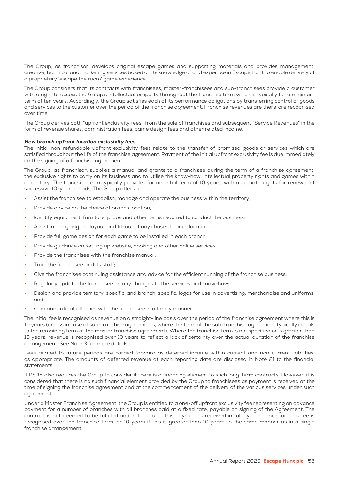The Group, as franchisor, develops original escape games and supporting materials and provides management, creative, technical and marketing services based on its knowledge of and expertise in Escape Hunt to enable delivery of a proprietary 'escape the room' game experience.

The Group considers that its contracts with franchisees, master-franchisees and sub-franchisees provide a customer with a right to access the Group's intellectual property throughout the franchise term which is typically for a minimum term of ten years. Accordingly, the Group satisfies each of its performance obligations by transferring control of goods and services to the customer over the period of the franchise agreement. Franchise revenues are therefore recognised over time.

The Group derives both "upfront exclusivity fees'' from the sale of franchises and subsequent "Service Revenues" in the form of revenue shares, administration fees, game design fees and other related income.

#### New branch upfront location exclusivity fees

The initial non-refundable upfront exclusivity fees relate to the transfer of promised goods or services which are satisfied throughout the life of the franchise agreement. Payment of the initial upfront exclusivity fee is due immediately on the signing of a franchise agreement.

The Group, as franchisor, supplies a manual and grants to a franchisee during the term of a franchise agreement, the exclusive rights to carry on its business and to utilise the know-how, intellectual property rights and games within a territory. The franchise term typically provides for an initial term of 10 years, with automatic rights for renewal of successive 10-year periods. The Group offers to:

- Assist the franchisee to establish, manage and operate the business within the territory;
- Provide advice on the choice of branch location:
- Identify equipment, furniture, props and other items required to conduct the business;
- Assist in designing the layout and fit-out of any chosen branch location;
- Provide full game design for each game to be installed in each branch;
- Provide guidance on setting up website, booking and other online services;
- Provide the franchisee with the franchise manual;
- Train the franchisee and its staff;
- Give the franchisee continuing assistance and advice for the efficient running of the franchise business;
- Regularly update the franchisee on any changes to the services and know-how;
- Design and provide territory-specific, and branch-specific, logos for use in advertising, merchandise and uniforms; and
- Communicate at all times with the franchisee in a timely manner.

The initial fee is recognised as revenue on a straight-line basis over the period of the franchise agreement where this is 10 years (or less in case of sub-franchise agreements, where the term of the sub-franchise agreement typically equals to the remaining term of the master franchise agreement). Where the franchise term is not specified or is greater than 10 years, revenue is recognised over 10 years to reflect a lack of certainty over the actual duration of the franchise arrangement. See Note 3 for more details.

Fees related to future periods are carried forward as deferred income within current and non-current liabilities, as appropriate. The amounts of deferred revenue at each reporting date are disclosed in Note 21 to the financial statements.

IFRS 15 also requires the Group to consider if there is a financing element to such long-term contracts. However, it is considered that there is no such financial element provided by the Group to franchisees as payment is received at the time of signing the franchise agreement and at the commencement of the delivery of the various services under such agreement.

Under a Master Franchise Agreement, the Group is entitled to a one-off upfront exclusivity fee representing an advance payment for a number of branches with all branches paid at a fixed rate, payable on signing of the Agreement. The contract is not deemed to be fulfilled and in force until this payment is received in full by the franchisor. This fee is recognised over the franchise term, or 10 years if this is greater than 10 years, in the same manner as in a single franchise arrangement.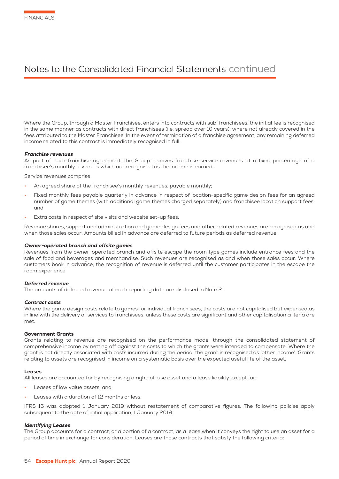Where the Group, through a Master Franchisee, enters into contracts with sub-franchisees, the initial fee is recognised in the same manner as contracts with direct franchisees (i.e. spread over 10 years), where not already covered in the fees attributed to the Master Franchisee. In the event of termination of a franchise agreement, any remaining deferred income related to this contract is immediately recognised in full.

#### Franchise revenues

As part of each franchise agreement, the Group receives franchise service revenues at a fixed percentage of a franchisee's monthly revenues which are recognised as the income is earned.

Service revenues comprise:

- An agreed share of the franchisee's monthly revenues, payable monthly;
- Fixed monthly fees payable quarterly in advance in respect of location-specific game design fees for an agreed number of game themes (with additional game themes charged separately) and franchisee location support fees; and
- Extra costs in respect of site visits and website set-up fees.

Revenue shares, support and administration and game design fees and other related revenues are recognised as and when those sales occur. Amounts billed in advance are deferred to future periods as deferred revenue.

#### Owner-operated branch and offsite games

Revenues from the owner-operated branch and offsite escape the room type games include entrance fees and the sale of food and beverages and merchandise. Such revenues are recognised as and when those sales occur. Where customers book in advance, the recognition of revenue is deferred until the customer participates in the escape the room experience.

#### Deferred revenue

The amounts of deferred revenue at each reporting date are disclosed in Note 21.

#### Contract costs

Where the game design costs relate to games for individual franchisees, the costs are not capitalised but expensed as in line with the delivery of services to franchisees, unless these costs are significant and other capitalisation criteria are met.

#### Government Grants

Grants relating to revenue are recognised on the performance model through the consolidated statement of comprehensive income by netting off against the costs to which the grants were intended to compensate. Where the grant is not directly associated with costs incurred during the period, the grant is recognised as 'other income'. Grants relating to assets are recognised in income on a systematic basis over the expected useful life of the asset.

#### Leases

All leases are accounted for by recognising a right-of-use asset and a lease liability except for:

- Leases of low value assets: and
- Leases with a duration of 12 months or less.

IFRS 16 was adopted 1 January 2019 without restatement of comparative figures. The following policies apply subsequent to the date of initial application, 1 January 2019.

#### Identifying Leases

The Group accounts for a contract, or a portion of a contract, as a lease when it conveys the right to use an asset for a period of time in exchange for consideration. Leases are those contracts that satisfy the following criteria: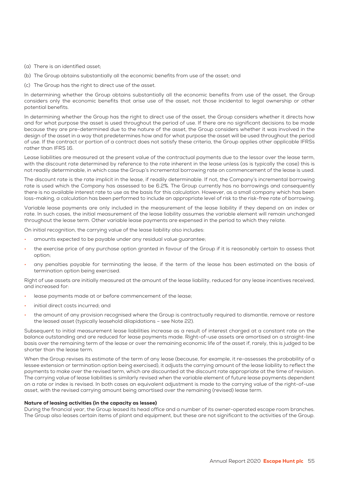- (a) There is an identified asset;
- (b) The Group obtains substantially all the economic benefits from use of the asset; and
- (c) The Group has the right to direct use of the asset.

In determining whether the Group obtains substantially all the economic benefits from use of the asset, the Group considers only the economic benefits that arise use of the asset, not those incidental to legal ownership or other potential benefits.

In determining whether the Group has the right to direct use of the asset, the Group considers whether it directs how and for what purpose the asset is used throughout the period of use. If there are no significant decisions to be made because they are pre-determined due to the nature of the asset, the Group considers whether it was involved in the design of the asset in a way that predetermines how and for what purpose the asset will be used throughout the period of use. If the contract or portion of a contract does not satisfy these criteria, the Group applies other applicable IFRSs rather than IFRS 16.

Lease liabilities are measured at the present value of the contractual payments due to the lessor over the lease term, with the discount rate determined by reference to the rate inherent in the lease unless (as is typically the case) this is not readily determinable, in which case the Group's incremental borrowing rate on commencement of the lease is used.

The discount rate is the rate implicit in the lease, if readily determinable. If not, the Company's incremental borrowing rate is used which the Company has assessed to be 6.2%. The Group currently has no borrowings and consequently there is no available interest rate to use as the basis for this calculation. However, as a small company which has been loss-making, a calculation has been performed to include an appropriate level of risk to the risk-free rate of borrowing.

Variable lease payments are only included in the measurement of the lease liability if they depend on an index or rate. In such cases, the initial measurement of the lease liability assumes the variable element will remain unchanged throughout the lease term. Other variable lease payments are expensed in the period to which they relate.

On initial recognition, the carrying value of the lease liability also includes:

- amounts expected to be payable under any residual value guarantee;
- the exercise price of any purchase option granted in favour of the Group if it is reasonably certain to assess that option;
- any penalties payable for terminating the lease, if the term of the lease has been estimated on the basis of termination option being exercised.

Right of use assets are initially measured at the amount of the lease liability, reduced for any lease incentives received, and increased for:

- lease payments made at or before commencement of the lease;
- initial direct costs incurred; and
- the amount of any provision recognised where the Group is contractually required to dismantle, remove or restore the leased asset (typically leasehold dilapidations – see Note 22).

Subsequent to initial measurement lease liabilities increase as a result of interest charged at a constant rate on the balance outstanding and are reduced for lease payments made. Right-of-use assets are amortised on a straight-line basis over the remaining term of the lease or over the remaining economic life of the asset if, rarely, this is judged to be shorter than the lease term.

When the Group revises its estimate of the term of any lease (because, for example, it re-assesses the probability of a lessee extension or termination option being exercised), it adjusts the carrying amount of the lease liability to reflect the payments to make over the revised term, which are discounted at the discount rate appropriate at the time of revision. The carrying value of lease liabilities is similarly revised when the variable element of future lease payments dependent on a rate or index is revised. In both cases an equivalent adjustment is made to the carrying value of the right-of-use asset, with the revised carrying amount being amortised over the remaining (revised) lease term.

#### Nature of leasing activities (in the capacity as lessee)

During the financial year, the Group leased its head office and a number of its owner-operated escape room branches. The Group also leases certain items of plant and equipment, but these are not significant to the activities of the Group.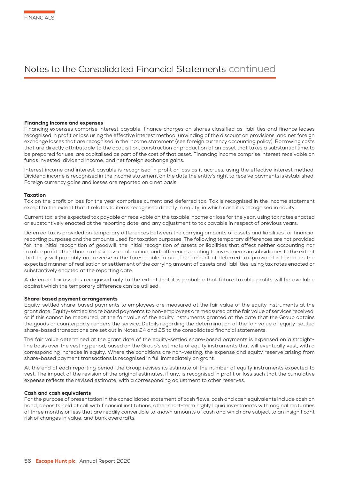#### Financing income and expenses

Financing expenses comprise interest payable, finance charges on shares classified as liabilities and finance leases recognised in profit or loss using the effective interest method, unwinding of the discount on provisions, and net foreign exchange losses that are recognised in the income statement (see foreign currency accounting policy). Borrowing costs that are directly attributable to the acquisition, construction or production of an asset that takes a substantial time to be prepared for use, are capitalised as part of the cost of that asset. Financing income comprise interest receivable on funds invested, dividend income, and net foreign exchange gains.

Interest income and interest payable is recognised in profit or loss as it accrues, using the effective interest method. Dividend income is recognised in the income statement on the date the entity's right to receive payments is established. Foreign currency gains and losses are reported on a net basis.

#### Taxation

Tax on the profit or loss for the year comprises current and deferred tax. Tax is recognised in the income statement except to the extent that it relates to items recognised directly in equity, in which case it is recognised in equity.

Current tax is the expected tax payable or receivable on the taxable income or loss for the year, using tax rates enacted or substantively enacted at the reporting date, and any adjustment to tax payable in respect of previous years.

Deferred tax is provided on temporary differences between the carrying amounts of assets and liabilities for financial reporting purposes and the amounts used for taxation purposes. The following temporary differences are not provided for: the initial recognition of goodwill; the initial recognition of assets or liabilities that affect neither accounting nor taxable profit other than in a business combination, and differences relating to investments in subsidiaries to the extent that they will probably not reverse in the foreseeable future. The amount of deferred tax provided is based on the expected manner of realisation or settlement of the carrying amount of assets and liabilities, using tax rates enacted or substantively enacted at the reporting date.

A deferred tax asset is recognised only to the extent that it is probable that future taxable profits will be available against which the temporary difference can be utilised.

#### Share-based payment arrangements

Equity-settled share-based payments to employees are measured at the fair value of the equity instruments at the grant date. Equity-settled share based payments to non-employees are measured at the fair value of services received, or if this cannot be measured, at the fair value of the equity instruments granted at the date that the Group obtains the goods or counterparty renders the service. Details regarding the determination of the fair value of equity-settled share-based transactions are set out in Notes 24 and 25 to the consolidated financial statements.

The fair value determined at the grant date of the equity-settled share-based payments is expensed on a straightline basis over the vesting period, based on the Group's estimate of equity instruments that will eventually vest, with a corresponding increase in equity. Where the conditions are non-vesting, the expense and equity reserve arising from share-based payment transactions is recognised in full immediately on grant.

At the end of each reporting period, the Group revises its estimate of the number of equity instruments expected to vest. The impact of the revision of the original estimates, if any, is recognised in profit or loss such that the cumulative expense reflects the revised estimate, with a corresponding adjustment to other reserves.

#### Cash and cash equivalents

For the purpose of presentation in the consolidated statement of cash flows, cash and cash equivalents include cash on hand, deposits held at call with financial institutions, other short-term highly liquid investments with original maturities of three months or less that are readily convertible to known amounts of cash and which are subject to an insignificant risk of changes in value, and bank overdrafts.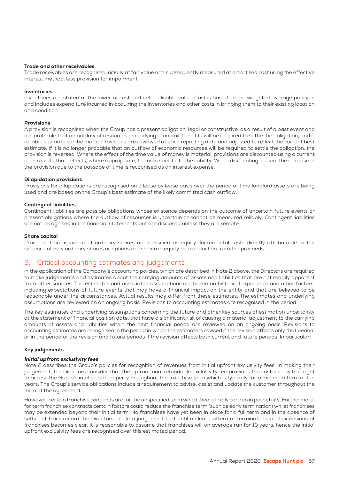#### Trade and other receivables

Trade receivables are recognised initially at fair value and subsequently measured at amortised cost using the effective interest method, less provision for impairment.

#### Inventories

Inventories are stated at the lower of cost and net realisable value. Cost is based on the weighted average principle and includes expenditure incurred in acquiring the inventories and other costs in bringing them to their existing location and condition.

#### Provisions

A provision is recognised when the Group has a present obligation, legal or constructive, as a result of a past event and it is probable that an outflow of resources embodying economic benefits will be required to settle the obligation, and a reliable estimate can be made. Provisions are reviewed at each reporting date and adjusted to reflect the current best estimate. If it is no longer probable that an outflow of economic resources will be required to settle the obligation, the provision is reversed. Where the effect of the time value of money is material, provisions are discounted using a current pre-tax rate that reflects, where appropriate, the risks specific to the liability. When discounting is used, the increase in the provision due to the passage of time is recognised as an interest expense.

#### Dilapidation provisions

Provisions for dilapidations are recognised on a lease by lease basis over the period of time landlord assets are being used and are based on the Group's best estimate of the likely committed cash outflow.

#### Contingent liabilities

Contingent liabilities are possible obligations whose existence depends on the outcome of uncertain future events or present obligations where the outflow of resources is uncertain or cannot be measured reliably. Contingent liabilities are not recognised in the financial statements but are disclosed unless they are remote.

#### Share capital

Proceeds from issuance of ordinary shares are classified as equity. Incremental costs directly attributable to the issuance of new ordinary shares or options are shown in equity as a deduction from the proceeds.

### 3. Critical accounting estimates and judgements

In the application of the Company's accounting policies, which are described in Note 2 above, the Directors are required to make judgements and estimates about the carrying amounts of assets and liabilities that are not readily apparent from other sources. The estimates and associated assumptions are based on historical experience and other factors, including expectations of future events that may have a financial impact on the entity and that are believed to be reasonable under the circumstances. Actual results may differ from these estimates. The estimates and underlying assumptions are reviewed on an ongoing basis. Revisions to accounting estimates are recognised in the period.

The key estimates and underlying assumptions concerning the future and other key sources of estimation uncertainty at the statement of financial position date, that have a significant risk of causing a material adjustment to the carrying amounts of assets and liabilities within the next financial period are reviewed on an ongoing basis. Revisions to accounting estimates are recognised in the period in which the estimate is revised if the revision affects only that period, or in the period of the revision and future periods if the revision affects both current and future periods. In particular:

#### Key judgements

#### Initial upfront exclusivity fees

Note 2 describes the Group's policies for recognition of revenues from initial upfront exclusivity fees. In making their judgement, the Directors consider that the upfront non-refundable exclusivity fee provides the customer with a right to access the Group's intellectual property throughout the franchise term which is typically for a minimum term of ten years. The Group's service obligations include a requirement to advise, assist and update the customer throughout the term of the agreement.

However, certain franchise contracts are for the unspecified term which theoretically can run in perpetuity. Furthermore, for term franchise contracts certain factors could reduce the franchise term (such as early termination) whilst franchises may be extended beyond their initial term. No franchises have yet been in place for a full term and in the absence of sufficient track record the Directors made a judgement that until a clear pattern of terminations and extensions of franchises becomes clear, it is reasonable to assume that franchises will on average run for 10 years, hence the initial upfront exclusivity fees are recognised over this estimated period.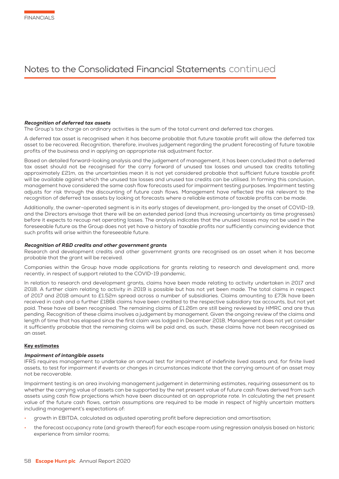#### Recognition of deferred tax assets

The Group's tax charge on ordinary activities is the sum of the total current and deferred tax charges.

A deferred tax asset is recognised when it has become probable that future taxable profit will allow the deferred tax asset to be recovered. Recognition, therefore, involves judgement regarding the prudent forecasting of future taxable profits of the business and in applying an appropriate risk adjustment factor.

Based on detailed forward-looking analysis and the judgement of management, it has been concluded that a deferred tax asset should not be recognised for the carry forward of unused tax losses and unused tax credits totalling approximately £21m, as the uncertainties mean it is not yet considered probable that sufficient future taxable profit will be available against which the unused tax losses and unused tax credits can be utilised. In forming this conclusion, management have considered the same cash flow forecasts used for impairment testing purposes. Impairment testing adjusts for risk through the discounting of future cash flows. Management have reflected the risk relevant to the recognition of deferred tax assets by looking at forecasts where a reliable estimate of taxable profits can be made.

Additionally, the owner-operated segment is in its early stages of development, pro-longed by the onset of COVID-19, and the Directors envisage that there will be an extended period (and thus increasing uncertainty as time progresses) before it expects to recoup net operating losses. The analysis indicates that the unused losses may not be used in the foreseeable future as the Group does not yet have a history of taxable profits nor sufficiently convincing evidence that such profits will arise within the foreseeable future.

#### Recognition of R&D credits and other government grants

Research and development credits and other government grants are recognised as an asset when it has become probable that the grant will be received.

Companies within the Group have made applications for grants relating to research and development and, more recently, in respect of support related to the COVID-19 pandemic.

In relation to research and development grants, claims have been made relating to activity undertaken in 2017 and 2018. A further claim relating to activity in 2019 is possible but has not yet been made. The total claims in respect of 2017 and 2018 amount to £1.52m spread across a number of subsidiaries. Claims amounting to £73k have been received in cash and a further £186k claims have been credited to the respective subsidiary tax accounts, but not yet paid. These have all been recognised. The remaining claims of £1.26m are still being reviewed by HMRC and are thus pending. Recognition of these claims involves a judgement by management. Given the ongoing review of the claims and length of time that has elapsed since the first claim was lodged in December 2018, Management does not yet consider it sufficiently probable that the remaining claims will be paid and, as such, these claims have not been recognised as an asset.

#### Key estimates

#### Impairment of intangible assets

IFRS requires management to undertake an annual test for impairment of indefinite lived assets and, for finite lived assets, to test for impairment if events or changes in circumstances indicate that the carrying amount of an asset may not be recoverable.

Impairment testing is an area involving management judgement in determining estimates, requiring assessment as to whether the carrying value of assets can be supported by the net present value of future cash flows derived from such assets using cash flow projections which have been discounted at an appropriate rate. In calculating the net present value of the future cash flows, certain assumptions are required to be made in respect of highly uncertain matters including management's expectations of:

- growth in EBITDA, calculated as adjusted operating profit before depreciation and amortisation;
- the forecast occupancy rate (and growth thereof) for each escape room using regression analysis based on historic experience from similar rooms;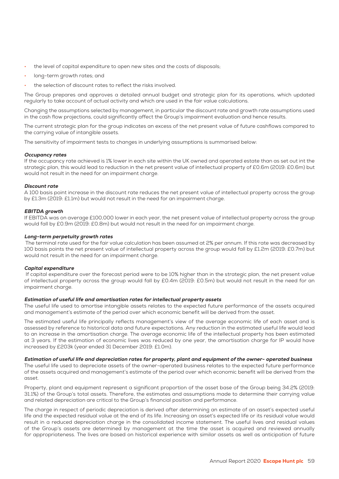- the level of capital expenditure to open new sites and the costs of disposals;
- long-term growth rates; and
- the selection of discount rates to reflect the risks involved.

The Group prepares and approves a detailed annual budget and strategic plan for its operations, which updated regularly to take account of actual activity and which are used in the fair value calculations.

Changing the assumptions selected by management, in particular the discount rate and growth rate assumptions used in the cash flow projections, could significantly affect the Group's impairment evaluation and hence results.

The current strategic plan for the group indicates an excess of the net present value of future cashflows compared to the carrying value of intangible assets.

The sensitivity of impairment tests to changes in underlying assumptions is summarised below:

#### Occupancy rates

If the occupancy rate achieved is 1% lower in each site within the UK owned and operated estate than as set out int the strategic plan, this would lead to reduction in the net present value of intellectual property of £0.6m (2019: £0.6m) but would not result in the need for an impairment charge.

#### Discount rate

A 100 basis point increase in the discount rate reduces the net present value of intellectual property across the group by £1.3m (2019: £1.1m) but would not result in the need for an impairment charge.

#### EBITDA growth

If EBITDA was on average £100,000 lower in each year, the net present value of intellectual property across the group would fall by £0.9m (2019: £0.8m) but would not result in the need for an impairment charge.

#### Long-term perpetuity growth rates

 The terminal rate used for the fair value calculation has been assumed at 2% per annum. If this rate was decreased by 100 basis points the net present value of intellectual property across the group would fall by £1.2m (2019: £0.7m) but would not result in the need for an impairment charge.

#### Capital expenditure

 If capital expenditure over the forecast period were to be 10% higher than in the strategic plan, the net present value of intellectual property across the group would fall by £0.4m (2019: £0.5m) but would not result in the need for an impairment charge.

#### Estimation of useful life and amortisation rates for intellectual property assets

The useful life used to amortise intangible assets relates to the expected future performance of the assets acquired and management's estimate of the period over which economic benefit will be derived from the asset.

The estimated useful life principally reflects management's view of the average economic life of each asset and is assessed by reference to historical data and future expectations. Any reduction in the estimated useful life would lead to an increase in the amortisation charge. The average economic life of the intellectual property has been estimated at 3 years. If the estimation of economic lives was reduced by one year, the amortisation charge for IP would have increased by £203k (year ended 31 December 2019: £1.0m).

#### Estimation of useful life and depreciation rates for property, plant and equipment of the owner- operated business

The useful life used to depreciate assets of the owner-operated business relates to the expected future performance of the assets acquired and management's estimate of the period over which economic benefit will be derived from the asset.

Property, plant and equipment represent a significant proportion of the asset base of the Group being 34.2% (2019: 31.1%) of the Group's total assets. Therefore, the estimates and assumptions made to determine their carrying value and related depreciation are critical to the Group's financial position and performance.

The charge in respect of periodic depreciation is derived after determining an estimate of an asset's expected useful life and the expected residual value at the end of its life. Increasing an asset's expected life or its residual value would result in a reduced depreciation charge in the consolidated income statement. The useful lives and residual values of the Group's assets are determined by management at the time the asset is acquired and reviewed annually for appropriateness. The lives are based on historical experience with similar assets as well as anticipation of future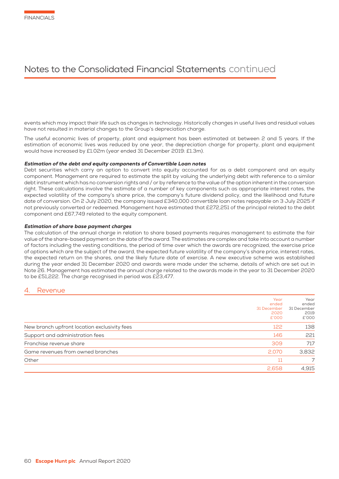events which may impact their life such as changes in technology. Historically changes in useful lives and residual values have not resulted in material changes to the Group's depreciation charge.

The useful economic lives of property, plant and equipment has been estimated at between 2 and 5 years. If the estimation of economic lives was reduced by one year, the depreciation charge for property, plant and equipment would have increased by £1.02m (year ended 31 December 2019: £1.3m).

#### Estimation of the debt and equity components of Convertible Loan notes

Debt securities which carry an option to convert into equity accounted for as a debt component and an equity component. Management are required to estimate the split by valuing the underlying debt with reference to a similar debt instrument which has no conversion rights and / or by reference to the value of the option inherent in the conversion right. These calculations involve the estimate of a number of key components such as appropriate interest rates, the expected volatility of the company's share price, the company's future dividend policy, and the likelihood and future date of conversion. On 2 July 2020, the company issued £340,000 convertible loan notes repayable on 3 July 2025 if not previously converted or redeemed. Management have estimated that £272,251 of the principal related to the debt component and £67,749 related to the equity component.

#### Estimation of share base payment charges

The calculation of the annual charge in relation to share based payments requires management to estimate the fair value of the share-based payment on the date of the award. The estimates are complex and take into account a number of factors including the vesting conditions, the period of time over which the awards are recognized, the exercise price of options which are the subject of the award, the expected future volatility of the company's share price, interest rates, the expected return on the shares, and the likely future date of exercise. A new executive scheme was established during the year ended 31 December 2020 and awards were made under the scheme, details of which are set out in Note 26. Management has estimated the annual charge related to the awards made in the year to 31 December 2020 to be £51,222. The charge recognised in period was £23,477.

### **Revenue**

|                                              | Year<br>ended<br>31 December<br>2020<br>£'000 | Year<br>ended<br>31 December<br>2019<br>£'000 |
|----------------------------------------------|-----------------------------------------------|-----------------------------------------------|
| New branch upfront location exclusivity fees | 122                                           | 138                                           |
| Support and administration fees              | 146                                           | 221                                           |
| Franchise revenue share                      | 309                                           | 717                                           |
| Game revenues from owned branches            | 2,070                                         | 3,832                                         |
| Other                                        | 11                                            |                                               |
|                                              | 2,658                                         | 4.915                                         |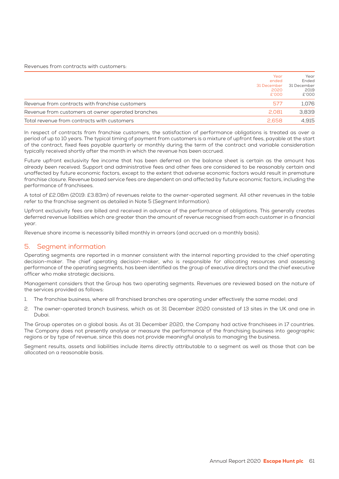Revenues from contracts with customers:

|                                                   | Year        | Year        |
|---------------------------------------------------|-------------|-------------|
|                                                   | ended       | Ended       |
|                                                   | 31 December | 31 December |
|                                                   | 2020        | 2019        |
|                                                   | £'000       | £'000       |
| Revenue from contracts with franchise customers   | 577         | 1.076       |
| Revenue from customers at owner operated branches | 2.081       | 3.839       |
| Total revenue from contracts with customers       | 2.658       | 4.915       |

In respect of contracts from franchise customers, the satisfaction of performance obligations is treated as over a period of up to 10 years. The typical timing of payment from customers is a mixture of upfront fees, payable at the start of the contract, fixed fees payable quarterly or monthly during the term of the contract and variable consideration typically received shortly after the month in which the revenue has been accrued.

Future upfront exclusivity fee income that has been deferred on the balance sheet is certain as the amount has already been received. Support and administrative fees and other fees are considered to be reasonably certain and unaffected by future economic factors, except to the extent that adverse economic factors would result in premature franchise closure. Revenue based service fees are dependent on and affected by future economic factors, including the performance of franchisees.

A total of £2.08m (2019: £3.83m) of revenues relate to the owner-operated segment. All other revenues in the table refer to the franchise segment as detailed in Note 5 (Segment Information).

Upfront exclusivity fees are billed and received in advance of the performance of obligations. This generally creates deferred revenue liabilities which are greater than the amount of revenue recognised from each customer in a financial year.

Revenue share income is necessarily billed monthly in arrears (and accrued on a monthly basis).

## 5. Segment information

Operating segments are reported in a manner consistent with the internal reporting provided to the chief operating decision-maker. The chief operating decision-maker, who is responsible for allocating resources and assessing performance of the operating segments, has been identified as the group of executive directors and the chief executive officer who make strategic decisions.

Management considers that the Group has two operating segments. Revenues are reviewed based on the nature of the services provided as follows:

- 1. The franchise business, where all franchised branches are operating under effectively the same model; and
- 2. The owner-operated branch business, which as at 31 December 2020 consisted of 13 sites in the UK and one in Dubai.

The Group operates on a global basis. As at 31 December 2020, the Company had active franchisees in 17 countries. The Company does not presently analyse or measure the performance of the franchising business into geographic regions or by type of revenue, since this does not provide meaningful analysis to managing the business.

Segment results, assets and liabilities include items directly attributable to a segment as well as those that can be allocated on a reasonable basis.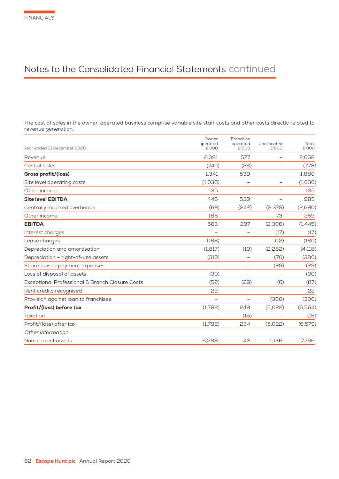The cost of sales in the owner-operated business comprise variable site staff costs and other costs directly related to revenue generation.

| Year ended 31 December 2020                     | Owner<br>operated<br>£'000 | Franchise<br>operated<br>£'000 | Unallocated<br>£'000     | Total<br>£'000 |
|-------------------------------------------------|----------------------------|--------------------------------|--------------------------|----------------|
| Revenue                                         | 2.081                      | 577                            | $\overline{\phantom{m}}$ | 2.658          |
| Cost of sales                                   | (740)                      | (38)                           |                          | (778)          |
| Gross profit/(loss)                             | 1.341                      | 539                            |                          | 1,880          |
| Site level operating costs                      | (1,030)                    | $\overline{\phantom{0}}$       |                          | (1,030)        |
| Other income                                    | 135                        |                                |                          | 135            |
| <b>Site level EBITDA</b>                        | 446                        | 539                            |                          | 985            |
| Centrally incurred overheads                    | (69)                       | (242)                          | (2,379)                  | (2,690)        |
| Other income                                    | 186                        | $\overline{\phantom{0}}$       | 73                       | 259            |
| <b>EBITDA</b>                                   | 563                        | 297                            | (2,306)                  | (1,445)        |
| Interest charges                                |                            | $\overline{\phantom{m}}$       | (17)                     | (17)           |
| Lease charges                                   | (168)                      | $\overline{\phantom{0}}$       | (12)                     | (180)          |
| Depreciation and amortisation                   | (1, 817)                   | (19)                           | (2,282)                  | (4,118)        |
| Depreciation - right-of-use assets              | (310)                      | $\overline{\phantom{0}}$       | (70)                     | (380)          |
| Share-based payment expenses                    |                            | $\overline{\phantom{m}}$       | (29)                     | (29)           |
| Loss of disposal of assets                      | (30)                       | $\overline{\phantom{m}}$       |                          | (30)           |
| Exceptional Professional & Branch Closure Costs | (52)                       | (29)                           | (6)                      | (87)           |
| Rent credits recognised                         | 22                         | $\overline{\phantom{0}}$       | $\sim$                   | 22             |
| Provision against loan to franchisee            | $\overline{\phantom{0}}$   | $\overline{\phantom{m}}$       | (300)                    | (300)          |
| Profit/(loss) before tax                        | (1,792)                    | 249                            | (5.022)                  | (6,564)        |
| Taxation                                        | $\overline{\phantom{0}}$   | (15)                           |                          | (15)           |
| Profit/(loss) after tax                         | (1,792)                    | 234                            | (5.022)                  | (6,579)        |
| Other information:                              |                            |                                |                          |                |
| Non-current assets                              | 6,588                      | 42                             | 1,136                    | 7,766          |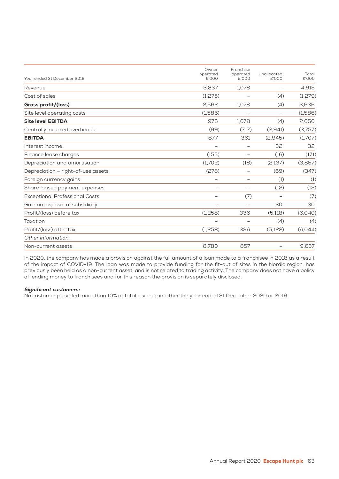| Year ended 31 December 2019           | Owner<br>operated<br>£'000 | Franchise<br>operated<br>£'000 | Unallocated<br>£'000     | Total<br>£'000 |
|---------------------------------------|----------------------------|--------------------------------|--------------------------|----------------|
| Revenue                               | 3,837                      | 1,078                          | $\overline{\phantom{0}}$ | 4,915          |
| Cost of sales                         | (1,275)                    | $\overline{\phantom{0}}$       | (4)                      | (1,279)        |
| Gross profit/(loss)                   | 2,562                      | 1,078                          | (4)                      | 3,636          |
| Site level operating costs            | (1,586)                    | $\overline{\phantom{0}}$       |                          | (1,586)        |
| <b>Site level EBITDA</b>              | 976                        | 1.078                          | (4)                      | 2,050          |
| Centrally incurred overheads          | (99)                       | (717)                          | (2,941)                  | (3,757)        |
| <b>EBITDA</b>                         | 877                        | 361                            | (2,945)                  | (1,707)        |
| Interest income                       | $\overline{\phantom{0}}$   | $\overline{\phantom{0}}$       | 32                       | 32             |
| Finance lease charges                 | (155)                      |                                | (16)                     | (171)          |
| Depreciation and amortisation         | (1,702)                    | (18)                           | (2,137)                  | (3,857)        |
| Depreciation - right-of-use assets    | (278)                      | $\overline{\phantom{0}}$       | (69)                     | (347)          |
| Foreign currency gains                | $\overline{\phantom{0}}$   | -                              | (1)                      | (1)            |
| Share-based payment expenses          | $\qquad \qquad -$          | -                              | (12)                     | (12)           |
| <b>Exceptional Professional Costs</b> |                            | (7)                            |                          | (7)            |
| Gain on disposal of subsidiary        | $\qquad \qquad -$          | $\overline{\phantom{0}}$       | 30                       | 30             |
| Profit/(loss) before tax              | (1,258)                    | 336                            | (5,118)                  | (6,040)        |
| Taxation                              |                            |                                | (4)                      | (4)            |
| Profit/(loss) after tax               | (1,258)                    | 336                            | (5,122)                  | (6,044)        |
| Other information:                    |                            |                                |                          |                |
| Non-current assets                    | 8,780                      | 857                            |                          | 9,637          |

In 2020, the company has made a provision against the full amount of a loan made to a franchisee in 2018 as a result of the impact of COVID-19. The loan was made to provide funding for the fit-out of sites in the Nordic region, has previously been held as a non-current asset, and is not related to trading activity. The company does not have a policy of lending money to franchisees and for this reason the provision is separately disclosed.

#### Significant customers:

No customer provided more than 10% of total revenue in either the year ended 31 December 2020 or 2019.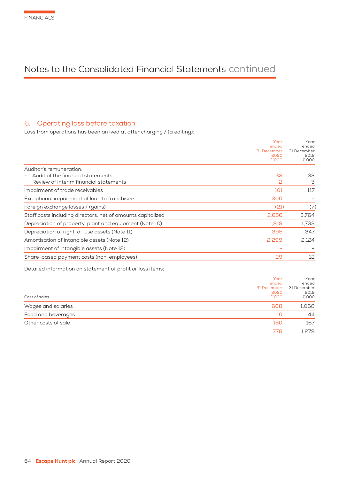## 6. Operating loss before taxation

Loss from operations has been arrived at after charging / (crediting):

|                                                             | Year          | Year          |
|-------------------------------------------------------------|---------------|---------------|
|                                                             | ended         | ended         |
|                                                             | 31 December   | 31 December   |
|                                                             | 2020<br>£'000 | 2019<br>£'000 |
|                                                             |               |               |
| Auditor's remuneration:                                     |               |               |
| Audit of the financial statements                           | 33            | 33            |
| Review of interim financial statements                      | 2             | З             |
| Impairment of trade receivables                             | 101           | 117           |
| Exceptional impairment of loan to franchisee                | 300           |               |
| Foreign exchange losses / (gains)                           | (21)          | (7)           |
| Staff costs including directors, net of amounts capitalized | 2,656         | 3,764         |
| Depreciation of property, plant and equipment (Note 10)     | 1,819         | 1,733         |
| Depreciation of right-of-use assets (Note 11)               | 395           | 347           |
| Amortisation of intangible assets (Note 12)                 | 2,299         | 2,124         |
| Impairment of intangible assets (Note 12)                   |               |               |
| Share-based payment costs (non-employees)                   | 29            | 12            |
|                                                             |               |               |

Detailed information on statement of profit or loss items:

|                     | Year<br>ended<br>31 December | Year<br>ended<br>31 December |
|---------------------|------------------------------|------------------------------|
| Cost of sales       | 2020<br>£'000                | 2019<br>£'000                |
| Wages and salaries  | 608                          | 1,068                        |
| Food and beverages  | 10                           | 44                           |
| Other costs of sale | 160                          | 167                          |
|                     | 778                          | 1,279                        |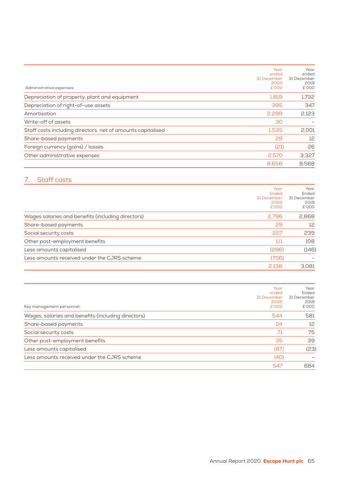| Administrative expenses                                     | Year<br>ended<br>31 December<br>2020<br>£'000 | Year<br>ended<br>31 December<br>2019<br>£'000 |
|-------------------------------------------------------------|-----------------------------------------------|-----------------------------------------------|
| Depreciation of property, plant and equipment               | 1.819                                         | 1,732                                         |
| Depreciation of right-of-use assets                         | 395                                           | 347                                           |
| Amortisation                                                | 2,299                                         | 2,123                                         |
| Write-off of assets                                         | 30                                            |                                               |
| Staff costs including directors, net of amounts capitalised | 1.535                                         | 2,001                                         |
| Share-based payments                                        | 29                                            | 12                                            |
| Foreign currency (gains) / losses                           | (21)                                          | 26                                            |
| Other administrative expenses                               | 2,570                                         | 3,327                                         |
|                                                             | 8,656                                         | 9,568                                         |

## 7. Staff costs

|                                                   | Year<br>Ended<br>31 December<br>2020<br>£'000 | Year<br>Ended<br>31 December<br>2019<br>£'000 |
|---------------------------------------------------|-----------------------------------------------|-----------------------------------------------|
| Wages salaries and benefits (including directors) | 2.796                                         | 2,868                                         |
| Share-based payments                              | 29                                            | 12                                            |
| Social security costs                             | 227                                           | 239                                           |
| Other post-employment benefits                    | 111                                           | 108                                           |
| Less amounts capitalised                          | (286)                                         | (146)                                         |
| Less amounts received under the CJRS scheme       | (756)                                         |                                               |
|                                                   | 2,138                                         | 3.081                                         |

| Key management personnel:                          | Year<br>ended<br>31 December<br>2020<br>£'000 | Year<br>Ended<br>31 December<br>2019<br>£'000 |
|----------------------------------------------------|-----------------------------------------------|-----------------------------------------------|
| Wages, salaries and benefits (including directors) | 544                                           | 581                                           |
| Share-based payments                               | 24                                            | 12                                            |
| Social security costs                              | 71                                            | 75                                            |
| Other post-employment benefits                     | 35                                            | 39                                            |
| Less amounts capitalised                           | (87)                                          | (23)                                          |
| Less amounts received under the CJRS scheme        | (40)                                          |                                               |
|                                                    | 547                                           | 684                                           |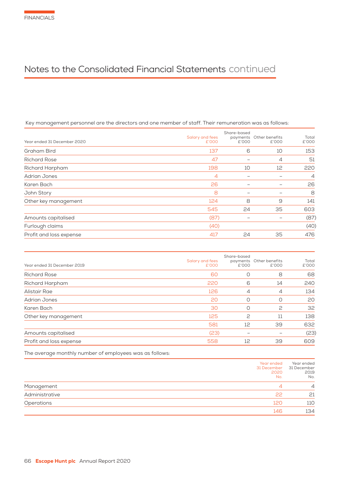## Key management personnel are the directors and one member of staff. Their remuneration was as follows:

| Year ended 31 December 2020 | Salary and fees<br>£'000 | Share-based<br>payments<br>£'000 | Other benefits<br>£'000 | Total<br>£'000 |
|-----------------------------|--------------------------|----------------------------------|-------------------------|----------------|
| Graham Bird                 | 137                      | 6                                | 10                      | 153            |
| <b>Richard Rose</b>         | 47                       |                                  | $\overline{4}$          | 51             |
| Richard Harpham             | 198                      | 10                               | 12                      | 220            |
| <b>Adrian Jones</b>         | $\overline{4}$           | $\overline{\phantom{m}}$         |                         | $\overline{4}$ |
| Karen Bach                  | 26                       | -                                |                         | 26             |
| John Story                  | 8                        | $\overline{\phantom{0}}$         |                         | 8              |
| Other key management        | 124                      | 8                                | 9                       | 141            |
|                             | 545                      | 24                               | 35                      | 603            |
| Amounts capitalised         | (87)                     | -                                |                         | (87)           |
| Furlough claims             | (40)                     |                                  |                         | (40)           |
| Profit and loss expense     | 417                      | 24                               | 35                      | 476            |

| Year ended 31 December 2019 | Salary and fees<br>£'000 | Share-based<br>payments<br>£'000 | Other benefits<br>£'000 | Total<br>£'000 |
|-----------------------------|--------------------------|----------------------------------|-------------------------|----------------|
| <b>Richard Rose</b>         | 60                       | O                                | 8                       | 68             |
| Richard Harpham             | 220                      | 6                                | 14                      | 240            |
| Alistair Rae                | 126                      | $\overline{4}$                   | $\overline{4}$          | 134            |
| Adrian Jones                | 20                       | O                                | O                       | 20             |
| Karen Bach                  | 30                       | O                                | 2                       | 32             |
| Other key management        | 125                      | 2                                | 11                      | 138            |
|                             | 581                      | 12                               | 39                      | 632            |
| Amounts capitalised         | (23)                     | $\overline{\phantom{0}}$         |                         | (23)           |
| Profit and loss expense     | 558                      | 12                               | 39                      | 609            |
|                             |                          |                                  |                         |                |

The average monthly number of employees was as follows:

|                | Year ended<br>31 December<br>2020<br>No. | Year ended<br>31 December<br>2019<br>No. |
|----------------|------------------------------------------|------------------------------------------|
| Management     | Δ                                        | 4                                        |
| Administrative | 22                                       | 21                                       |
| Operations     | 120                                      | 110                                      |
|                | 146                                      | 134                                      |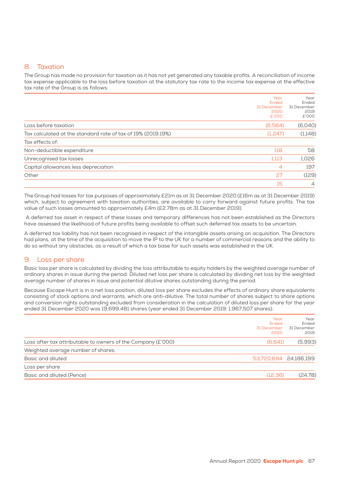## 8. Taxation

The Group has made no provision for taxation as it has not yet generated any taxable profits. A reconciliation of income tax expense applicable to the loss before taxation at the statutory tax rate to the income tax expense at the effective tax rate of the Group is as follows:

|                                                              | Year<br>Ended<br>31 December<br>2020<br>£'000 | Year<br>Ended<br>31 December<br>2019<br>£'000 |
|--------------------------------------------------------------|-----------------------------------------------|-----------------------------------------------|
| Loss before taxation                                         | (6,564)                                       | (6,040)                                       |
| Tax calculated at the standard rate of tax of 19% (2019:19%) | (1,247)                                       | (1,148)                                       |
| Tax effects of:                                              |                                               |                                               |
| Non-deductible expenditure                                   | 118                                           | 58                                            |
| Unrecognised tax losses                                      | 1.113                                         | 1.026                                         |
| Capital allowances less depreciation                         | 4                                             | 197                                           |
| Other                                                        | 27                                            | (129)                                         |
|                                                              | 15                                            | $\overline{4}$                                |

The Group had losses for tax purposes of approximately £21m as at 31 December 2020 (£16m as at 31 December 2019) which, subject to agreement with taxation authorities, are available to carry forward against future profits. The tax value of such losses amounted to approximately £4m (£2.78m as at 31 December 2019).

 A deferred tax asset in respect of these losses and temporary differences has not been established as the Directors have assessed the likelihood of future profits being available to offset such deferred tax assets to be uncertain.

A deferred tax liability has not been recognised in respect of the intangible assets arising on acquisition. The Directors had plans, at the time of the acquisition to move the IP to the UK for a number of commercial reasons and the ability to do so without any obstacles, as a result of which a tax base for such assets was established in the UK.

## 9. Loss per share

Basic loss per share is calculated by dividing the loss attributable to equity holders by the weighted average number of ordinary shares in issue during the period. Diluted net loss per share is calculated by dividing net loss by the weighted average number of shares in issue and potential dilutive shares outstanding during the period.

Because Escape Hunt is in a net loss position, diluted loss per share excludes the effects of ordinary share equivalents consisting of stock options and warrants, which are anti-dilutive. The total number of shares subject to share options and conversion rights outstanding excluded from consideration in the calculation of diluted loss per share for the year ended 31 December 2020 was 19,699,481 shares (year ended 31 December 2019: 1,967,507 shares).

| Year<br>Ended<br>31 December<br>2020                                    | Year<br>Ended<br>31 December<br>2019 |
|-------------------------------------------------------------------------|--------------------------------------|
| (6,641)<br>Loss after tax attributable to owners of the Company (£'000) | (5.993)                              |
| Weighted average number of shares:                                      |                                      |
| 53,720,694 24,186,199<br>Basic and diluted                              |                                      |
| Loss per share                                                          |                                      |
| Basic and diluted (Pence)<br>(12.36)                                    | (24.78)                              |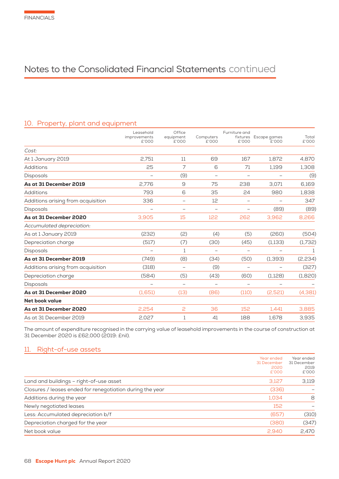## 10. Property, plant and equipment

|                                    | Leasehold                | Office                   |                          | Furniture and            |                                |                |
|------------------------------------|--------------------------|--------------------------|--------------------------|--------------------------|--------------------------------|----------------|
|                                    | improvements<br>£'000    | equipment<br>£'000       | Computers<br>£'000       | £'000                    | fixtures Escape games<br>E'000 | Total<br>£'000 |
| Cost:                              |                          |                          |                          |                          |                                |                |
| At 1 January 2019                  | 2.751                    | 11                       | 69                       | 167                      | 1,872                          | 4,870          |
| Additions                          | 25                       | 7                        | 6                        | 71                       | 1,199                          | 1,308          |
| Disposals                          |                          | (9)                      | $\qquad \qquad -$        | $\overline{\phantom{m}}$ |                                | (9)            |
| As at 31 December 2019             | 2,776                    | $\Theta$                 | 75                       | 238                      | 3,071                          | 6,169          |
| Additions                          | 793                      | 6                        | 35                       | 24                       | 980                            | 1,838          |
| Additions arising from acquisition | 336                      | $\qquad \qquad -$        | 12                       | $\overline{\phantom{0}}$ | $\qquad \qquad -$              | 347            |
| <b>Disposals</b>                   | $\overline{\phantom{m}}$ | $\overline{\phantom{0}}$ | $\overline{\phantom{0}}$ | $\overline{\phantom{0}}$ | (89)                           | (89)           |
| As at 31 December 2020             | 3,905                    | 15                       | 122                      | 262                      | 3,962                          | 8,266          |
| Accumulated depreciation:          |                          |                          |                          |                          |                                |                |
| As at 1 January 2019               | (232)                    | (2)                      | (4)                      | (5)                      | (260)                          | (504)          |
| Depreciation charge                | (517)                    | (7)                      | (30)                     | (45)                     | (1,133)                        | (1,732)        |
| Disposals                          |                          | 1                        | $\overline{\phantom{0}}$ |                          |                                | 1              |
| As at 31 December 2019             | (749)                    | (8)                      | (34)                     | (50)                     | (1, 393)                       | (2,234)        |
| Additions arising from acquisition | (318)                    | $\overline{\phantom{0}}$ | (9)                      | $\overline{\phantom{0}}$ |                                | (327)          |
| Depreciation charge                | (584)                    | (5)                      | (43)                     | (60)                     | (1,128)                        | (1,820)        |
| Disposals                          | $\overline{\phantom{0}}$ | $\overline{\phantom{0}}$ | $\overline{\phantom{0}}$ | $\overline{\phantom{m}}$ |                                |                |
| As at 31 December 2020             | (1,651)                  | (13)                     | (86)                     | (110)                    | (2,521)                        | (4, 381)       |
| Net book value                     |                          |                          |                          |                          |                                |                |
| As at 31 December 2020             | 2.254                    | 2                        | 36                       | 152                      | 1.441                          | 3,885          |
| As at 31 December 2019             | 2.027                    | 1                        | 41                       | 188                      | 1.678                          | 3,935          |

The amount of expenditure recognised in the carrying value of leasehold improvements in the course of construction at 31 December 2020 is £62,000 (2019: £nil).

## 11. Right-of-use assets

|                                                           | Year ended<br>31 December<br>2020<br>£'000 | Year ended<br>31 December<br>2019<br>£'000 |
|-----------------------------------------------------------|--------------------------------------------|--------------------------------------------|
| Land and buildings - right-of-use asset                   | 3,127                                      | 3,119                                      |
| Closures / leases ended for renegotiation during the year | (336)                                      |                                            |
| Additions during the year                                 | 1,034                                      | 8                                          |
| Newly negotiated leases                                   | 152                                        |                                            |
| Less: Accumulated depreciation b/f                        | (657)                                      | (310)                                      |
| Depreciation charged for the year                         | (380)                                      | (347)                                      |
| Net book value                                            | 2.940                                      | 2,470                                      |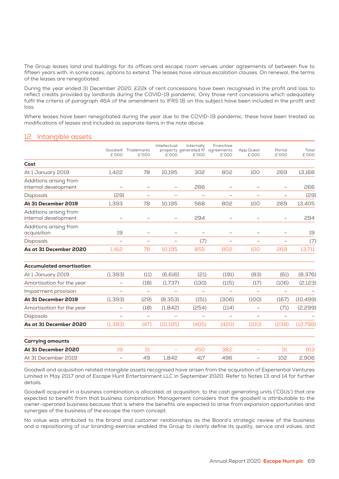The Group leases land and buildings for its offices and escape room venues under agreements of between five to fifteen years with, in some cases, options to extend. The leases have various escalation clauses. On renewal, the terms of the leases are renegotiated.

During the year ended 31 December 2020, £22k of rent concessions have been recognised in the profit and loss to reflect credits provided by landlords during the COVID-19 pandemic. Only those rent concessions which adequately fulfil the criteria of paragraph 46A of the amendment to IFRS 16 on this subject have been included in the profit and loss.

Where leases have been renegotiated during the year due to the COVID-19 pandemic, these have been treated as modifications of leases and included as separate items in the note above.

## 12. Intangible assets

|                                                |                          | Goodwill Trademarks      | Intellectual             | Internally                                | Franchise                | App Quest                | Portal                   | Total     |
|------------------------------------------------|--------------------------|--------------------------|--------------------------|-------------------------------------------|--------------------------|--------------------------|--------------------------|-----------|
|                                                | £'000                    | £'000                    | £'000                    | property generated IP agreements<br>£'000 | £'000                    | £'000                    | £'000                    | £'000     |
| Cost                                           |                          |                          |                          |                                           |                          |                          |                          |           |
| At 1 January 2019                              | 1.422                    | 78                       | 10,195                   | 302                                       | 802                      | 100                      | 269                      | 13,168    |
| Additions arising from<br>internal development | $\overline{\phantom{0}}$ | $\overline{\phantom{0}}$ | $\overline{\phantom{0}}$ | 266                                       |                          |                          |                          | 266       |
| Disposals                                      | (29)                     | $\overline{\phantom{0}}$ | $\overline{\phantom{0}}$ | $\overline{\phantom{0}}$                  | $\overline{\phantom{0}}$ | $\overline{\phantom{0}}$ | $\overline{\phantom{0}}$ | (29)      |
| At 31 December 2019                            | 1,393                    | 78                       | 10,195                   | 568                                       | 802                      | 100                      | 269                      | 13,405    |
| Additions arising from<br>internal development | $\qquad \qquad -$        |                          |                          | 294                                       |                          |                          |                          | 294       |
| Additions arising from<br>acquisition          | 19                       |                          |                          |                                           | $\overline{\phantom{0}}$ |                          |                          | 19        |
| <b>Disposals</b>                               | $\overline{\phantom{0}}$ |                          |                          | (7)                                       |                          |                          |                          | (7)       |
| As at 31 December 2020                         | 1.412                    | 78                       | 10,195                   | 855                                       | 802                      | 100                      | 269                      | 13,711    |
| <b>Accumulated amortisation</b>                |                          |                          |                          |                                           |                          |                          |                          |           |
| At 1 January 2019                              | (1, 393)                 | (11)                     | (6,616)                  | (21)                                      | (191)                    | (83)                     | (61)                     | (8,376)   |
| Amortisation for the year                      |                          | (18)                     | (1,737)                  | (130)                                     | (115)                    | (17)                     | (106)                    | (2,123)   |
| Impairment provision                           |                          |                          |                          |                                           |                          |                          | $\overline{\phantom{0}}$ |           |
| At 31 December 2019                            | (1, 393)                 | (29)                     | (8,353)                  | (151)                                     | (306)                    | (100)                    | (167)                    | (10, 499) |
| Amortisation for the year                      | $\overline{\phantom{0}}$ | (18)                     | (1,842)                  | (254)                                     | (114)                    | $\overline{\phantom{0}}$ | (71)                     | (2,299)   |
| <b>Disposals</b>                               | $\overline{\phantom{0}}$ | $\overline{\phantom{m}}$ | -                        | -                                         | $\overline{\phantom{0}}$ | $\overline{\phantom{0}}$ | $\overline{\phantom{0}}$ |           |
| As at 31 December 2020                         | (1, 393)                 | (47)                     | (10, 195)                | (405)                                     | (420)                    | (100)                    | (238)                    | (12,798)  |
| <b>Carrying amounts</b>                        |                          |                          |                          |                                           |                          |                          |                          |           |
| At 31 December 2020                            | 19                       | 31                       | ÷,                       | 450                                       | 382                      | $\equiv$                 | 31                       | 913       |
| At 31 December 2019                            | $\overline{\phantom{0}}$ | 49                       | 1.842                    | 417                                       | 496                      | $\qquad \qquad -$        | 102                      | 2,906     |

Goodwill and acquisition related intangible assets recognised have arisen from the acquisition of Experiential Ventures Limited in May 2017 and of Escape Hunt Entertainment LLC in September 2020. Refer to Notes 13 and 14 for further details.

Goodwill acquired in a business combination is allocated, at acquisition, to the cash generating units ('CGUs') that are expected to benefit from that business combination. Management considers that the goodwill is attributable to the owner-operated business because that is where the benefits are expected to arise from expansion opportunities and synergies of the business of the escape the room concept.

No value was attributed to the brand and customer relationships as the Board's strategic review of the business and a repositioning of our branding exercise enabled the Group to clearly define its quality, service and values, and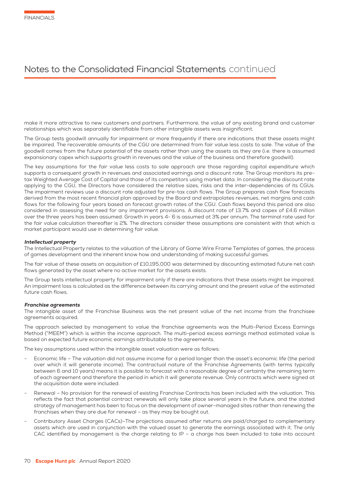make it more attractive to new customers and partners. Furthermore, the value of any existing brand and customer relationships which was separately identifiable from other intangible assets was insignificant.

The Group tests goodwill annually for impairment or more frequently if there are indications that these assets might be impaired. The recoverable amounts of the CGU are determined from fair value less costs to sale. The value of the goodwill comes from the future potential of the assets rather than using the assets as they are (i.e. there is assumed expansionary capex which supports growth in revenues and the value of the business and therefore goodwill).

The key assumptions for the fair value less costs to sale approach are those regarding capital expenditure which supports a consequent growth in revenues and associated earnings and a discount rate. The Group monitors its pretax Weighted Average Cost of Capital and those of its competitors using market data. In considering the discount rate applying to the CGU, the Directors have considered the relative sizes, risks and the inter-dependencies of its CGUs. The impairment reviews use a discount rate adjusted for pre-tax cash flows. The Group prepares cash flow forecasts derived from the most recent financial plan approved by the Board and extrapolates revenues, net margins and cash flows for the following four years based on forecast growth rates of the CGU. Cash flows beyond this period are also considered in assessing the need for any impairment provisions. A discount rate of 13.7% and capex of £4.6 million over the three years has been assumed. Growth in years 4- 6 is assumed at 3% per annum. The terminal rate used for the fair value calculation thereafter is 2%. The directors consider these assumptions are consistent with that which a market participant would use in determining fair value.

#### Intellectual property

The Intellectual Property relates to the valuation of the Library of Game Wire Frame Templates of games, the process of games development and the inherent know how and understanding of making successful games.

The fair value of these assets on acquisition of £10,195,000 was determined by discounting estimated future net cash flows generated by the asset where no active market for the assets exists.

The Group tests intellectual property for impairment only if there are indications that these assets might be impaired. An impairment loss is calculated as the difference between its carrying amount and the present value of the estimated future cash flows.

#### Franchise agreements

The intangible asset of the Franchise Business was the net present value of the net income from the franchisee agreements acquired.

The approach selected by management to value the franchise agreements was the Multi-Period Excess Earnings Method ("MEEM") which is within the income approach. The multi-period excess earnings method estimated value is based on expected future economic earnings attributable to the agreements.

The key assumptions used within the intangible asset valuation were as follows:

- Economic life The valuation did not assume income for a period longer than the asset's economic life (the period over which it will generate income). The contractual nature of the Franchise Agreements (with terms typically between 6 and 10 years) means it is possible to forecast with a reasonable degree of certainty the remaining term of each agreement and therefore the period in which it will generate revenue. Only contracts which were signed at the acquisition date were included.
- Renewal No provision for the renewal of existing Franchise Contracts has been included with the valuation. This reflects the fact that potential contract renewals will only take place several years in the future, and the stated strategy of management has been to focus on the development of owner-managed sites rather than renewing the franchises when they are due for renewal – as they may be bought out.
- Contributory Asset Charges (CACs)–The projections assumed after returns are paid/charged to complementary assets which are used in conjunction with the valued asset to generate the earnings associated with it. The only CAC identified by management is the charge relating to IP – a charge has been included to take into account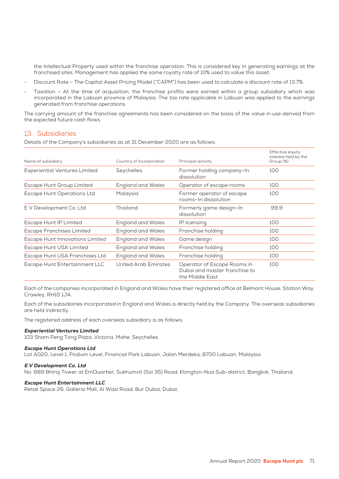the Intellectual Property used within the franchise operation. This is considered key in generating earnings at the franchised sites. Management has applied the same royalty rate of 10% used to value this asset.

- Discount Rate The Capital Asset Pricing Model ("CAPM") has been used to calculate a discount rate of 13.7%.
- Taxation At the time of acquisition, the franchise profits were earned within a group subsidiary which was incorporated in the Labuan province of Malaysia. The tax rate applicable in Labuan was applied to the earnings generated from franchise operations.

The carrying amount of the franchise agreements has been considered on the basis of the value in use derived from the expected future cash flows.

### 13. Subsidiaries

Details of the Company's subsidiaries as at 31 December 2020 are as follows:

| Name of subsidiary                     | Country of incorporation | Principal activity                                                              | Effective equity<br>interest held by the<br>Group (%) |
|----------------------------------------|--------------------------|---------------------------------------------------------------------------------|-------------------------------------------------------|
| <b>Experiential Ventures Limited</b>   | Seychelles               | Former holding company-In<br>dissolution                                        | 100                                                   |
| Escape Hunt Group Limited              | <b>England and Wales</b> | Operator of escape rooms                                                        | 100                                                   |
| <b>Escape Hunt Operations Ltd</b>      | Malaysia                 | Former operator of escape<br>rooms-In dissolution                               | 100                                                   |
| E V Development Co. Ltd                | Thailand                 | Formerly game design-In<br>dissolution                                          | 99.9                                                  |
| Escape Hunt IP Limited                 | <b>England and Wales</b> | IP licensing                                                                    | 100                                                   |
| <b>Escape Franchises Limited</b>       | <b>England and Wales</b> | Franchise holding                                                               | 100                                                   |
| <b>Escape Hunt Innovations Limited</b> | <b>England and Wales</b> | Game design                                                                     | 100                                                   |
| Escape Hunt USA Limited                | <b>England and Wales</b> | Franchise holding                                                               | 100                                                   |
| Escape Hunt USA Franchises Ltd         | <b>England and Wales</b> | Franchise holding                                                               | 100                                                   |
| Escape Hunt Entertainment LLC          | United Arab Emirates     | Operator of Escape Rooms in<br>Dubai and master franchise to<br>the Middle East | 100                                                   |

Each of the companies incorporated in England and Wales have their registered office at Belmont House, Station Way, Crawley, RH10 1JA.

Each of the subsidiaries incorporated in England and Wales is directly held by the Company. The overseas subsidiaries are held indirectly.

The registered address of each overseas subsidiary is as follows:

#### Experiential Ventures Limited

103 Sham Peng Tong Plaza, Victoria, Mahe, Seychelles.

#### Escape Hunt Operations Ltd

Lot A020, Level 1, Podium Level, Financial Park Labuan, Jalan Merdeka, 8700 Labuan, Malaysia.

#### E V Development Co. Ltd

No. 689 Bhiraj Tower at EmQuartier, Sukhumvit (Soi 35) Road, Klongton-Nua Sub-district, Bangkok, Thailand.

#### Escape Hunt Entertainment LLC

Retail Space 26, Galleria Mall, Al Wasl Road, Bur Dubai, Dubai,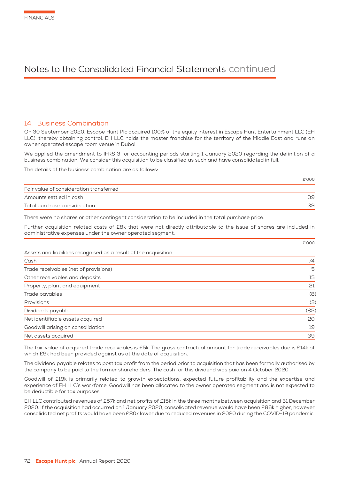# 14. Business Combination

On 30 September 2020, Escape Hunt Plc acquired 100% of the equity interest in Escape Hunt Entertainment LLC (EH LLC), thereby obtaining control. EH LLC holds the master franchise for the territory of the Middle East and runs an owner operated escape room venue in Dubai.

We applied the amendment to IFRS 3 for accounting periods starting 1 January 2020 regarding the definition of a business combination. We consider this acquisition to be classified as such and have consolidated in full.

The details of the business combination are as follows:

|                                         | £'000 |
|-----------------------------------------|-------|
| Fair value of consideration transferred |       |
| Amounts settled in cash                 | 39    |
| Total purchase consideration            | 39    |

There were no shares or other contingent consideration to be included in the total purchase price.

Further acquisition related costs of £8k that were not directly attributable to the issue of shares are included in administrative expenses under the owner operated segment.

|                                                                  | £'000 |
|------------------------------------------------------------------|-------|
| Assets and liabilities recognised as a result of the acquisition |       |
| Cash                                                             | 74    |
| Trade receivables (net of provisions)                            | 5     |
| Other receivables and deposits                                   | 15    |
| Property, plant and equipment                                    | 21    |
| Trade payables                                                   | (8)   |
| Provisions                                                       | (3)   |
| Dividends payable                                                | (85)  |
| Net identifiable assets acquired                                 | 20    |
| Goodwill arising on consolidation                                | 19    |
| Net assets acquired                                              | 39    |

The fair value of acquired trade receivables is £5k. The gross contractual amount for trade receivables due is £14k of which £9k had been provided against as at the date of acquisition.

The dividend payable relates to post tax profit from the period prior to acquisition that has been formally authorised by the company to be paid to the former shareholders. The cash for this dividend was paid on 4 October 2020.

Goodwill of £19k is primarily related to growth expectations, expected future profitability and the expertise and experience of EH LLC's workforce. Goodwill has been allocated to the owner operated segment and is not expected to be deductible for tax purposes.

EH LLC contributed revenues of £57k and net profits of £15k in the three months between acquisition and 31 December 2020. If the acquisition had occurred on 1 January 2020, consolidated revenue would have been £86k higher, however consolidated net profits would have been £80k lower due to reduced revenues in 2020 during the COVID-19 pandemic.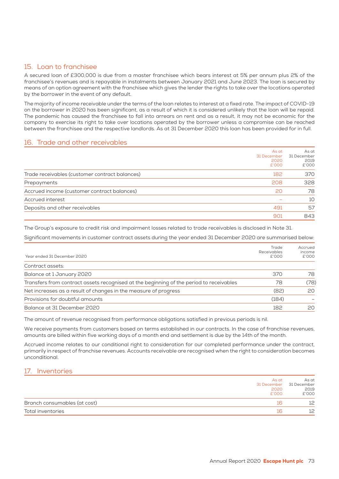# 15. Loan to franchisee

A secured loan of £300,000 is due from a master franchisee which bears interest at 5% per annum plus 2% of the franchisee's revenues and is repayable in instalments between January 2021 and June 2023. The loan is secured by means of an option agreement with the franchisee which gives the lender the rights to take over the locations operated by the borrower in the event of any default.

The majority of income receivable under the terms of the loan relates to interest at a fixed rate. The impact of COVID-19 on the borrower in 2020 has been significant, as a result of which it is considered unlikely that the loan will be repaid. The pandemic has caused the franchisee to fall into arrears on rent and as a result, it may not be economic for the company to exercise its right to take over locations operated by the borrower unless a compromise can be reached between the franchisee and the respective landlords. As at 31 December 2020 this loan has been provided for in full.

### 16. Trade and other receivables

|                                                | As at<br>31 December<br>2020<br>£'000 | As at<br>31 December<br>2019<br>£'000 |
|------------------------------------------------|---------------------------------------|---------------------------------------|
| Trade receivables (customer contract balances) | 182                                   | 370                                   |
| Prepayments                                    | 208                                   | 328                                   |
| Accrued income (customer contract balances)    | 20                                    | 78                                    |
| Accrued interest                               |                                       | 10                                    |
| Deposits and other receivables                 | 491                                   | 57                                    |
|                                                | 901                                   | 843                                   |

The Group's exposure to credit risk and impairment losses related to trade receivables is disclosed in Note 31.

Significant movements in customer contract assets during the year ended 31 December 2020 are summarised below:

| Year ended 31 December 2020                                                             | Trade<br>Receivables<br>£'000 | Accrued<br>income<br>£'000 |
|-----------------------------------------------------------------------------------------|-------------------------------|----------------------------|
| Contract assets:                                                                        |                               |                            |
| Balance at 1 January 2020                                                               | 370                           | 78                         |
| Transfers from contract assets recognised at the beginning of the period to receivables | 78                            | (78)                       |
| Net increases as a result of changes in the measure of progress                         | (82)                          | 20                         |
| Provisions for doubtful amounts                                                         | (184)                         |                            |
| Balance at 31 December 2020                                                             | 182                           | 20                         |

The amount of revenue recognised from performance obligations satisfied in previous periods is nil.

We receive payments from customers based on terms established in our contracts. In the case of franchise revenues, amounts are billed within five working days of a month end and settlement is due by the 14th of the month.

Accrued income relates to our conditional right to consideration for our completed performance under the contract, primarily in respect of franchise revenues. Accounts receivable are recognised when the right to consideration becomes unconditional.

# 17. Inventories

| 2020<br>£'000                | As at | As at<br>31 December 31 December<br>2019<br>£'000 |
|------------------------------|-------|---------------------------------------------------|
| Branch consumables (at cost) | ΙK    | 12                                                |
| Total inventories            |       | 12                                                |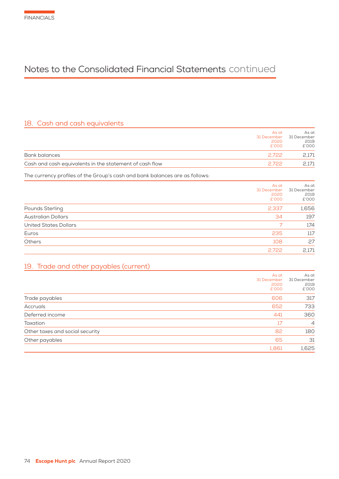# 18. Cash and cash equivalents

|                                                                             | As at<br>31 December<br>2020<br>£'000 | As at<br>31 December<br>2019<br>£'000 |
|-----------------------------------------------------------------------------|---------------------------------------|---------------------------------------|
| Bank balances                                                               | 2,722                                 | 2,171                                 |
| Cash and cash equivalents in the statement of cash flow                     | 2,722                                 | 2,171                                 |
| The currency profiles of the Group's cash and bank balances are as follows: |                                       |                                       |
|                                                                             | As at<br>31 December<br>2020<br>£'000 | As at<br>31 December<br>2019<br>£'000 |
| Pounds Sterling                                                             | 2,337                                 | 1,656                                 |
| <b>Australian Dollars</b>                                                   | 34                                    | 197                                   |
| <b>United States Dollars</b>                                                | 7                                     | 174                                   |
| Euros                                                                       | 235                                   | 117                                   |
| Others                                                                      | 108                                   | 27                                    |
|                                                                             | 2,722                                 | 2,171                                 |
| Trade and other payables (current)<br>19.                                   |                                       |                                       |
|                                                                             | As at<br>31 December<br>2020<br>£'000 | As at<br>31 December<br>2019<br>£'000 |
| Trade payables                                                              | 606                                   | 317                                   |
| Accruals                                                                    | 652                                   | 733                                   |
| Deferred income                                                             | 441                                   | 360                                   |
| Taxation                                                                    | 17                                    | 4                                     |
| Other taxes and social security                                             | 82                                    | 180                                   |
| Other payables                                                              | 65                                    | 31                                    |
|                                                                             | 1,861                                 | 1,625                                 |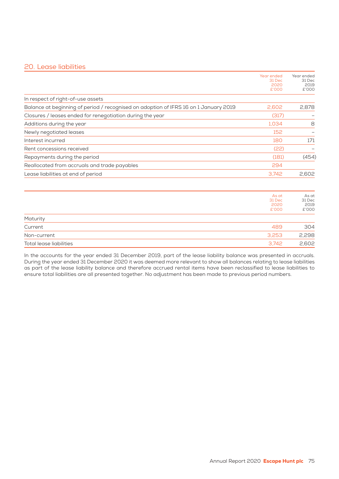# 20. Lease liabilities

|                                                                                      | Year ended<br>31 Dec             | Year ended<br>31 Dec             |
|--------------------------------------------------------------------------------------|----------------------------------|----------------------------------|
|                                                                                      | 2020<br>£'000                    | 2019<br>£'000                    |
| In respect of right-of-use assets                                                    |                                  |                                  |
| Balance at beginning of period / recognised on adoption of IFRS 16 on 1 January 2019 | 2.602                            | 2,878                            |
| Closures / leases ended for renegotiation during the year                            | (317)                            |                                  |
| Additions during the year                                                            | 1.034                            | 8                                |
| Newly negotiated leases                                                              | 152                              |                                  |
| Interest incurred                                                                    | 180                              | 171                              |
| Rent concessions received                                                            | (22)                             |                                  |
| Repayments during the period                                                         | (181)                            | (454)                            |
| Reallocated from accruals and trade payables                                         | 294                              |                                  |
| Lease liabilities at end of period                                                   | 3,742                            | 2,602                            |
|                                                                                      | As at<br>31 Dec<br>2020<br>£'000 | As at<br>31 Dec<br>2019<br>£'000 |
| Maturity                                                                             |                                  |                                  |
| Current                                                                              | 489                              | 304                              |
| Non-current                                                                          | 3.253                            | 2,298                            |
| Total lease liabilities                                                              | 3.742                            | 2.602                            |

In the accounts for the year ended 31 December 2019, part of the lease liability balance was presented in accruals. During the year ended 31 December 2020 it was deemed more relevant to show all balances relating to lease liabilities as part of the lease liability balance and therefore accrued rental items have been reclassified to lease liabilities to ensure total liabilities are all presented together. No adjustment has been made to previous period numbers.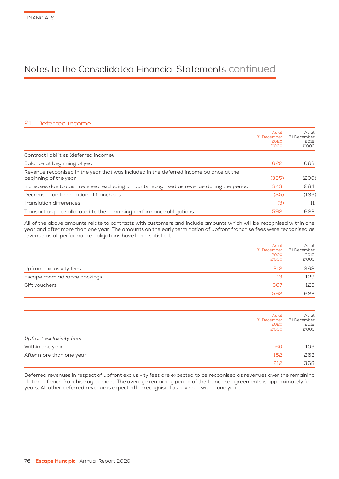# 21. Deferred income

|                                                                                                                 | As at<br>31 December<br>2020<br>£'000 | As at<br>31 December<br>2019<br>£'000 |
|-----------------------------------------------------------------------------------------------------------------|---------------------------------------|---------------------------------------|
| Contract liabilities (deferred income):                                                                         |                                       |                                       |
| Balance at beginning of year                                                                                    | 622                                   | 663                                   |
| Revenue recognised in the year that was included in the deferred income balance at the<br>beginning of the year | (335)                                 | (200)                                 |
| Increases due to cash received, excluding amounts recognised as revenue during the period                       | 343                                   | 284                                   |
| Decreased on termination of franchises                                                                          | (35)                                  | (136)                                 |
| <b>Translation differences</b>                                                                                  | (3)                                   | 11                                    |
| Transaction price allocated to the remaining performance obligations                                            | 592                                   | 622                                   |
|                                                                                                                 |                                       |                                       |

All of the above amounts relate to contracts with customers and include amounts which will be recognised within one year and after more than one year. The amounts on the early termination of upfront franchise fees were recognised as revenue as all performance obligations have been satisfied.

|                              | As at<br>31 December<br>2020<br>£'000 | As at<br>31 December<br>2019<br>£'000 |
|------------------------------|---------------------------------------|---------------------------------------|
| Upfront exclusivity fees     | 212                                   | 368                                   |
| Escape room advance bookings | 13                                    | 129                                   |
| Gift vouchers                | 367                                   | 125                                   |
|                              | 592                                   | 622                                   |

|                          | As at<br>31 December | As at<br>31 December |
|--------------------------|----------------------|----------------------|
|                          | 2020<br>£'000        | 2019<br>£'000        |
| Upfront exclusivity fees |                      |                      |
| Within one year          | 60                   | 106                  |
| After more than one year | 152                  | 262                  |
|                          | 212                  | 368                  |

Deferred revenues in respect of upfront exclusivity fees are expected to be recognised as revenues over the remaining lifetime of each franchise agreement. The average remaining period of the franchise agreements is approximately four years. All other deferred revenue is expected be recognised as revenue within one year.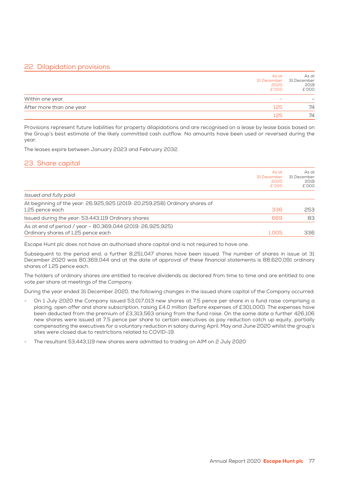# 22. Dilapidation provisions

|                          | As at<br>31 December 31 December<br>2020<br>£'000 | As at<br>2019<br>£'000 |
|--------------------------|---------------------------------------------------|------------------------|
| Within one year          |                                                   |                        |
| After more than one year | 125                                               | 74                     |
|                          | 125                                               | 74                     |

Provisions represent future liabilities for property dilapidations and are recognised on a lease by lease basis based on the Group's best estimate of the likely committed cash outflow. No amounts have been used or reversed during the year.

The leases expire between January 2023 and February 2032.

# 23. Share capital

|                                                                                                  | As at<br>31 December<br>2020<br>£'000 | As at<br>31 December<br>2019<br>£'000 |
|--------------------------------------------------------------------------------------------------|---------------------------------------|---------------------------------------|
| Issued and fully paid:                                                                           |                                       |                                       |
| At beginning of the year: 26,925,925 (2019: 20,259,258) Ordinary shares of<br>1.25 pence each    | 336                                   | 253                                   |
| Issued during the year: 53,443,119 Ordinary shares                                               | 669                                   | 83                                    |
| As at end of period / year - 80,369,044 (2019: 26,925,925)<br>Ordinary shares of 1.25 pence each | 1.005                                 | 336                                   |

Escape Hunt plc does not have an authorised share capital and is not required to have one.

Subsequent to the period end, a further 8,251,047 shares have been issued. The number of shares in issue at 31 December 2020 was 80,369,044 and at the date of approval of these financial statements is 88,620,091 ordinary shares of 1.25 pence each.

The holders of ordinary shares are entitled to receive dividends as declared from time to time and are entitled to one vote per share at meetings of the Company.

During the year ended 31 December 2020, the following changes in the issued share capital of the Company occurred:

- On 1 July 2020 the Company issued 53,017,013 new shares at 7.5 pence per share in a fund raise comprising a placing, open offer and share subscription, raising £4.0 million (before expenses of £301,000). The expenses have been deducted from the premium of £3,313,563 arising from the fund raise. On the same date a further 426,106 new shares were issued at 7.5 pence per share to certain executives as pay reduction catch up equity, partially compensating the executives for a voluntary reduction in salary during April, May and June 2020 whilst the group's sites were closed due to restrictions related to COVID-19.
- The resultant 53,443,119 new shares were admitted to trading on AIM on 2 July 2020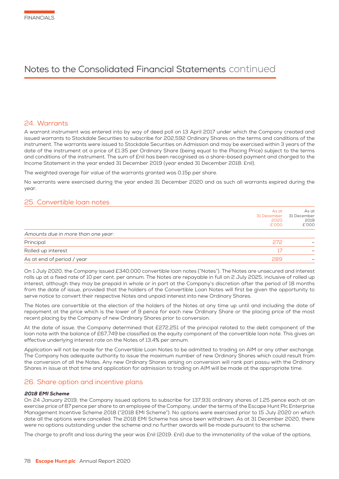# 24. Warrants

A warrant instrument was entered into by way of deed poll on 13 April 2017 under which the Company created and issued warrants to Stockdale Securities to subscribe for 202,592 Ordinary Shares on the terms and conditions of the instrument. The warrants were issued to Stockdale Securities on Admission and may be exercised within 3 years of the date of the instrument at a price of £1.35 per Ordinary Share (being equal to the Placing Price) subject to the terms and conditions of the instrument. The sum of £nil has been recognised as a share-based payment and charged to the Income Statement in the year ended 31 December 2019 (year ended 31 December 2018: £nil).

The weighted average fair value of the warrants granted was 0.15p per share.

No warrants were exercised during the year ended 31 December 2020 and as such all warrants expired during the year.

### 25. Convertible loan notes

|                                    | As at<br>31 December<br>2020<br>£'000 | As at<br>31 December<br>2019<br>£'000 |
|------------------------------------|---------------------------------------|---------------------------------------|
| Amounts due in more than one year: |                                       |                                       |
| Principal                          | 272                                   |                                       |
| Rolled up interest                 | 17                                    |                                       |
| As at end of period / year         | 289                                   |                                       |

On 1 July 2020, the Company issued £340,000 convertible loan notes ("Notes"). The Notes are unsecured and interest rolls up at a fixed rate of 10 per cent. per annum. The Notes are repayable in full on 2 July 2025, inclusive of rolled up interest, although they may be prepaid in whole or in part at the Company's discretion after the period of 18 months from the date of issue, provided that the holders of the Convertible Loan Notes will first be given the opportunity to serve notice to convert their respective Notes and unpaid interest into new Ordinary Shares.

The Notes are convertible at the election of the holders of the Notes at any time up until and including the date of repayment at the price which is the lower of 9 pence for each new Ordinary Share or the placing price of the most recent placing by the Company of new Ordinary Shares prior to conversion.

At the date of issue, the Company determined that £272,251 of the principal related to the debt component of the loan note with the balance of £67,749 be classified as the equity component of the convertible loan note. This gives an effective underlying interest rate on the Notes of 13.4% per annum.

Application will not be made for the Convertible Loan Notes to be admitted to trading on AIM or any other exchange. The Company has adequate authority to issue the maximum number of new Ordinary Shares which could result from the conversion of all the Notes. Any new Ordinary Shares arising on conversion will rank pari passu with the Ordinary Shares in issue at that time and application for admission to trading on AIM will be made at the appropriate time.

### 26. Share option and incentive plans

#### 2018 EMI Scheme

On 24 January 2019, the Company issued options to subscribe for 137,931 ordinary shares of 1.25 pence each at an exercise price of 87 pence per share to an employee of the Company, under the terms of the Escape Hunt Plc Enterprise Management Incentive Scheme 2018 ("2018 EMI Scheme"). No options were exercised prior to 15 July 2020 on which date all the options were cancelled. The 2018 EMI Scheme has since been withdrawn. As at 31 December 2020, there were no options outstanding under the scheme and no further awards will be made pursuant to the scheme.

The charge to profit and loss during the year was £nil (2019: £nil) due to the immateriality of the value of the options.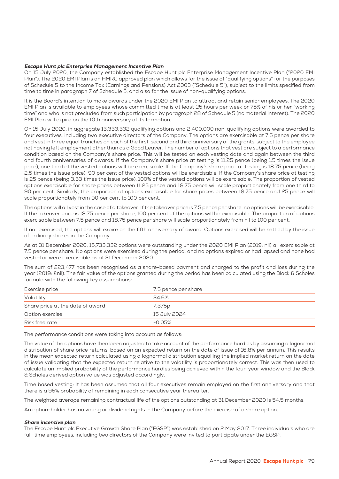#### Escape Hunt plc Enterprise Management Incentive Plan

On 15 July 2020, the Company established the Escape Hunt plc Enterprise Management Incentive Plan ("2020 EMI Plan"). The 2020 EMI Plan is an HMRC approved plan which allows for the issue of "qualifying options" for the purposes of Schedule 5 to the Income Tax (Earnings and Pensions) Act 2003 ("Schedule 5"), subject to the limits specified from time to time in paragraph 7 of Schedule 5, and also for the issue of non-qualifying options.

It is the Board's intention to make awards under the 2020 EMI Plan to attract and retain senior employees. The 2020 EMI Plan is available to employees whose committed time is at least 25 hours per week or 75% of his or her "working time" and who is not precluded from such participation by paragraph 28 of Schedule 5 (no material interest). The 2020 EMI Plan will expire on the 10th anniversary of its formation.

On 15 July 2020, in aggregate 13,333,332 qualifying options and 2,400,000 non-qualifying options were awarded to four executives, including two executive directors of the Company. The options are exercisable at 7.5 pence per share and vest in three equal tranches on each of the first, second and third anniversary of the grants, subject to the employee not having left employment other than as a Good Leaver. The number of options that vest are subject to a performance condition based on the Company's share price. This will be tested on each vesting date and again between the third and fourth anniversaries of awards. If the Company's share price at testing is 11.25 pence (being 1.5 times the issue price), one third of the vested options will be exercisable. If the Company's share price at testing is 18.75 pence (being 2.5 times the issue price), 90 per cent of the vested options will be exercisable. If the Company's share price at testing is 25 pence (being 3.33 times the issue price), 100% of the vested options will be exercisable. The proportion of vested options exercisable for share prices between 11.25 pence and 18.75 pence will scale proportionately from one third to 90 per cent. Similarly, the proportion of options exercisable for share prices between 18.75 pence and 25 pence will scale proportionately from 90 per cent to 100 per cent.

The options will all vest in the case of a takeover. If the takeover price is 7.5 pence per share, no options will be exercisable. If the takeover price is 18.75 pence per share, 100 per cent of the options will be exercisable. The proportion of options exercisable between 7.5 pence and 18.75 pence per share will scale proportionately from nil to 100 per cent.

If not exercised, the options will expire on the fifth anniversary of award. Options exercised will be settled by the issue of ordinary shares in the Company.

As at 31 December 2020, 15,733,332 options were outstanding under the 2020 EMI Plan (2019: nil) all exercisable at 7.5 pence per share. No options were exercised during the period, and no options expired or had lapsed and none had vested or were exercisable as at 31 December 2020.

The sum of £23,477 has been recognised as a share-based payment and charged to the profit and loss during the year (2019: £nil). The fair value of the options granted during the period has been calculated using the Black & Scholes formula with the following key assumptions:

| Exercise price                   | 7.5 pence per share |
|----------------------------------|---------------------|
| Volatility                       | 34.6%               |
| Share price at the date of award | 7.375 <sub>p</sub>  |
| Option exercise                  | 15 July 2024        |
| Risk free rate                   | $-0.05%$            |

The performance conditions were taking into account as follows:

The value of the options have then been adjusted to take account of the performance hurdles by assuming a lognormal distribution of share price returns, based on an expected return on the date of issue of 16.8% per annum. This results in the mean expected return calculated using a lognormal distribution equalling the implied market return on the date of issue validating that the expected return relative to the volatility is proportionately correct. This was then used to calculate an implied probability of the performance hurdles being achieved within the four-year window and the Black & Scholes derived option value was adjusted accordingly.

Time based vesting: It has been assumed that all four executives remain employed on the first anniversary and that there is a 95% probability of remaining in each consecutive year thereafter.

The weighted average remaining contractual life of the options outstanding at 31 December 2020 is 54.5 months.

An option-holder has no voting or dividend rights in the Company before the exercise of a share option.

#### Share incentive plan

The Escape Hunt plc Executive Growth Share Plan ("EGSP") was established on 2 May 2017. Three individuals who are full-time employees, including two directors of the Company were invited to participate under the EGSP.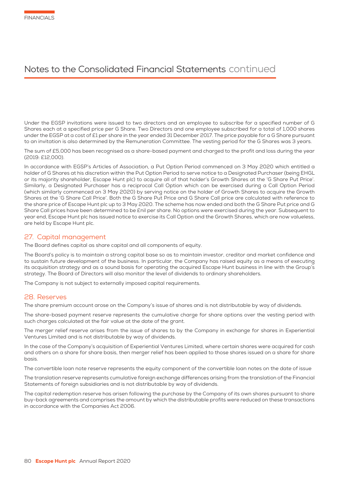Under the EGSP invitations were issued to two directors and an employee to subscribe for a specified number of G Shares each at a specified price per G Share. Two Directors and one employee subscribed for a total of 1,000 shares under the EGSP at a cost of £1 per share in the year ended 31 December 2017. The price payable for a G Share pursuant to an invitation is also determined by the Remuneration Committee. The vesting period for the G Shares was 3 years.

The sum of £5,000 has been recognised as a share-based payment and charged to the profit and loss during the year (2019: £12,000).

In accordance with EGSP's Articles of Association, a Put Option Period commenced on 3 May 2020 which entitled a holder of G Shares at his discretion within the Put Option Period to serve notice to a Designated Purchaser (being EHGL or its majority shareholder, Escape Hunt plc) to acquire all of that holder's Growth Shares at the 'G Share Put Price'. Similarly, a Designated Purchaser has a reciprocal Call Option which can be exercised during a Call Option Period (which similarly commenced on 3 May 2020) by serving notice on the holder of Growth Shares to acquire the Growth Shares at the 'G Share Call Price'. Both the G Share Put Price and G Share Call price are calculated with reference to the share price of Escape Hunt plc up to 3 May 2020. The scheme has now ended and both the G Share Put price and G Share Call prices have been determined to be £nil per share. No options were exercised during the year. Subsequent to year end, Escape Hunt plc has issued notice to exercise its Call Option and the Growth Shares, which are now valueless, are held by Escape Hunt plc.

# 27. Capital management

The Board defines capital as share capital and all components of equity.

The Board's policy is to maintain a strong capital base so as to maintain investor, creditor and market confidence and to sustain future development of the business. In particular, the Company has raised equity as a means of executing its acquisition strategy and as a sound basis for operating the acquired Escape Hunt business in line with the Group's strategy. The Board of Directors will also monitor the level of dividends to ordinary shareholders.

The Company is not subject to externally imposed capital requirements.

### 28. Reserves

The share premium account arose on the Company's issue of shares and is not distributable by way of dividends.

The share-based payment reserve represents the cumulative charge for share options over the vesting period with such charges calculated at the fair value at the date of the grant.

The merger relief reserve arises from the issue of shares to by the Company in exchange for shares in Experiential Ventures Limited and is not distributable by way of dividends.

In the case of the Company's acquisition of Experiential Ventures Limited, where certain shares were acquired for cash and others on a share for share basis, then merger relief has been applied to those shares issued on a share for share basis.

The convertible loan note reserve represents the equity component of the convertible loan notes on the date of issue

The translation reserve represents cumulative foreign exchange differences arising from the translation of the Financial Statements of foreign subsidiaries and is not distributable by way of dividends.

The capital redemption reserve has arisen following the purchase by the Company of its own shares pursuant to share buy-back agreements and comprises the amount by which the distributable profits were reduced on these transactions in accordance with the Companies Act 2006.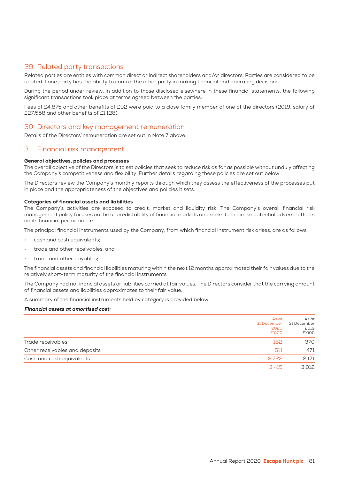# 29. Related party transactions

Related parties are entities with common direct or indirect shareholders and/or directors. Parties are considered to be related if one party has the ability to control the other party in making financial and operating decisions.

During the period under review, in addition to those disclosed elsewhere in these financial statements, the following significant transactions took place at terms agreed between the parties:

Fees of £4,875 and other benefits of £92 were paid to a close family member of one of the directors (2019: salary of £27,558 and other benefits of £1,128).

### 30. Directors and key management remuneration

Details of the Directors' remuneration are set out in Note 7 above.

# 31. Financial risk management

#### General objectives, policies and processes

The overall objective of the Directors is to set policies that seek to reduce risk as far as possible without unduly affecting the Company's competitiveness and flexibility. Further details regarding these policies are set out below.

The Directors review the Company's monthly reports through which they assess the effectiveness of the processes put in place and the appropriateness of the objectives and policies it sets.

#### Categories of financial assets and liabilities

The Company's activities are exposed to credit, market and liquidity risk. The Company's overall financial risk management policy focuses on the unpredictability of financial markets and seeks to minimise potential adverse effects on its financial performance.

The principal financial instruments used by the Company, from which financial instrument risk arises, are as follows:

- cash and cash equivalents;
- trade and other receivables; and
- trade and other payables;

The financial assets and financial liabilities maturing within the next 12 months approximated their fair values due to the relatively short-term maturity of the financial instruments.

The Company had no financial assets or liabilities carried at fair values. The Directors consider that the carrying amount of financial assets and liabilities approximates to their fair value.

A summary of the financial instruments held by category is provided below:

#### Financial assets at amortised cost:

|                                | As at<br>31 December<br>2020<br>£'000 | As at<br>31 December<br>2019<br>£'000 |
|--------------------------------|---------------------------------------|---------------------------------------|
| Trade receivables              | 182                                   | 370                                   |
| Other receivables and deposits | 511                                   | 471                                   |
| Cash and cash equivalents      | 2.722                                 | 2,171                                 |
|                                | 3.415                                 | 3,012                                 |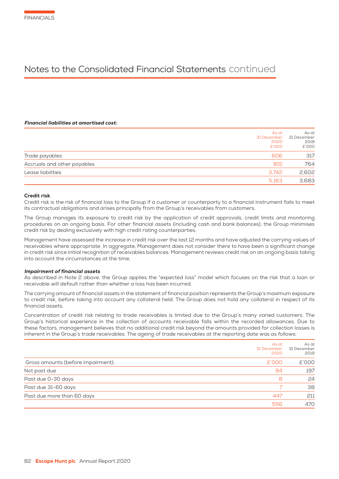#### Financial liabilities at amortised cost:

| 606<br>815<br>3,742<br>5,163                     |                | As at<br>31 December<br>2020<br>£'000 | As at<br>31 December<br>2019<br>£'000 |
|--------------------------------------------------|----------------|---------------------------------------|---------------------------------------|
| Accruals and other payables<br>Lease liabilities | Trade payables |                                       | 317                                   |
|                                                  |                |                                       | 764                                   |
|                                                  |                |                                       | 2,602                                 |
|                                                  |                |                                       | 3,683                                 |

#### Credit risk

Credit risk is the risk of financial loss to the Group if a customer or counterparty to a financial instrument fails to meet its contractual obligations and arises principally from the Group's receivables from customers.

The Group manages its exposure to credit risk by the application of credit approvals, credit limits and monitoring procedures on an ongoing basis. For other financial assets (including cash and bank balances), the Group minimises credit risk by dealing exclusively with high credit rating counterparties.

Management have assessed the increase in credit risk over the last 12 months and have adjusted the carrying values of receivables where appropriate. In aggregate, Management does not consider there to have been a significant change in credit risk since initial recognition of receivables balances. Management reviews credit risk on an ongoing basis taking into account the circumstances at the time.

#### Impairment of financial assets

As described in Note 2 above, the Group applies the "expected loss" model which focuses on the risk that a loan or receivable will default rather than whether a loss has been incurred.

The carrying amount of financial assets in the statement of financial position represents the Group's maximum exposure to credit risk, before taking into account any collateral held. The Group does not hold any collateral in respect of its financial assets.

Concentration of credit risk relating to trade receivables is limited due to the Group's many varied customers. The Group's historical experience in the collection of accounts receivable falls within the recorded allowances. Due to these factors, management believes that no additional credit risk beyond the amounts provided for collection losses is inherent in the Group's trade receivables. The ageing of trade receivables at the reporting date was as follows:

|                                    | As at<br>31 December<br>2020 | As at<br>31 December<br>2019 |
|------------------------------------|------------------------------|------------------------------|
| Gross amounts (before impairment): | £'000                        | £'000                        |
| Not past due                       | 94                           | 197                          |
| Past due 0-30 days                 | 8                            | 24                           |
| Past due 31-60 days                |                              | 38                           |
| Past due more than 60 days         | 447                          | 211                          |
|                                    | 556                          | 470                          |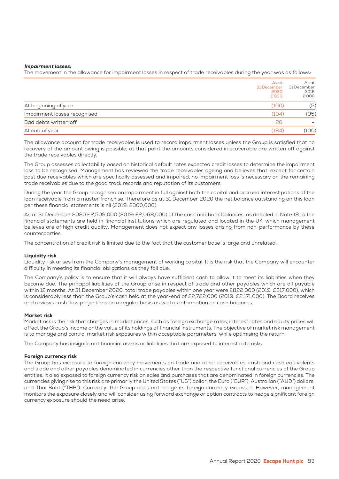#### Impairment losses:

The movement in the allowance for impairment losses in respect of trade receivables during the year was as follows:

|                              | As at<br>31 December<br>2020<br>£'000 | As at<br>31 December<br>2019<br>£'000 |
|------------------------------|---------------------------------------|---------------------------------------|
| At beginning of year         | (100)                                 | (5)                                   |
| Impairment losses recognised | (104)                                 | (95)                                  |
| Bad debts written off        | 20                                    |                                       |
| At end of year               | (184)                                 | (100)                                 |

The allowance account for trade receivables is used to record impairment losses unless the Group is satisfied that no recovery of the amount owing is possible; at that point the amounts considered irrecoverable are written off against the trade receivables directly.

The Group assesses collectability based on historical default rates expected credit losses to determine the impairment loss to be recognised. Management has reviewed the trade receivables ageing and believes that, except for certain past due receivables which are specifically assessed and impaired, no impairment loss is necessary on the remaining trade receivables due to the good track records and reputation of its customers.

During the year the Group recognised an impairment in full against both the capital and accrued interest potions of the loan receivable from a master franchise. Therefore as at 31 December 2020 the net balance outstanding on this loan per these financial statements is nil (2019: £300,000).

As at 31 December 2020 £2,509,000 (2019: £2,068,000) of the cash and bank balances, as detailed in Note 18 to the financial statements are held in financial institutions which are regulated and located in the UK, which management believes are of high credit quality. Management does not expect any losses arising from non-performance by these counterparties.

The concentration of credit risk is limited due to the fact that the customer base is large and unrelated.

#### Liquidity risk

Liquidity risk arises from the Company's management of working capital. It is the risk that the Company will encounter difficulty in meeting its financial obligations as they fall due.

The Company's policy is to ensure that it will always have sufficient cash to allow it to meet its liabilities when they become due. The principal liabilities of the Group arise in respect of trade and other payables which are all payable within 12 months. At 31 December 2020, total trade payables within one year were £822,000 (2019: £317,000), which is considerably less than the Group's cash held at the year-end of £2,722,000 (2019: £2,171,000). The Board receives and reviews cash flow projections on a regular basis as well as information on cash balances.

#### Market risk

Market risk is the risk that changes in market prices, such as foreign exchange rates, interest rates and equity prices will affect the Group's income or the value of its holdings of financial instruments. The objective of market risk management is to manage and control market risk exposures within acceptable parameters, while optimising the return.

The Company has insignificant financial assets or liabilities that are exposed to interest rate risks.

#### Foreign currency risk

The Group has exposure to foreign currency movements on trade and other receivables, cash and cash equivalents and trade and other payables denominated in currencies other than the respective functional currencies of the Group entities. It also exposed to foreign currency risk on sales and purchases that are denominated in foreign currencies. The currencies giving rise to this risk are primarily the United States ("US") dollar, the Euro ("EUR"), Australian ("AUD") dollars, and Thai Baht ("THB"). Currently, the Group does not hedge its foreign currency exposure. However, management monitors the exposure closely and will consider using forward exchange or option contracts to hedge significant foreign currency exposure should the need arise.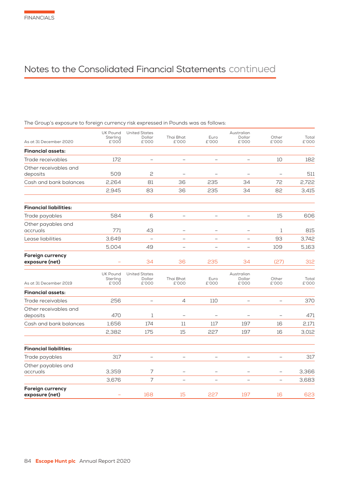The Group's exposure to foreign currency risk expressed in Pounds was as follows:

| As at 31 December 2020                    | UK Pound<br>Sterling<br>£'000        | <b>United States</b><br>Dollar<br>£'000 | Thai Bhat<br>£'000              | Euro<br>£'000            | Australian<br>Dollar<br>£'000 | Other<br>£'000           | Total<br>£'000 |
|-------------------------------------------|--------------------------------------|-----------------------------------------|---------------------------------|--------------------------|-------------------------------|--------------------------|----------------|
| <b>Financial assets:</b>                  |                                      |                                         |                                 |                          |                               |                          |                |
| Trade receivables                         | 172                                  | $\overline{\phantom{0}}$                | $\overline{\phantom{0}}$        | $\overline{\phantom{0}}$ | $\overline{\phantom{0}}$      | 10                       | 182            |
| Other receivables and<br>deposits         | 509                                  | $\mathsf{S}$                            |                                 |                          |                               |                          | 511            |
| Cash and bank balances                    | 2,264                                | 81                                      | 36                              | 235                      | 34                            | 72                       | 2,722          |
|                                           | 2,945                                | 83                                      | 36                              | 235                      | 34                            | 82                       | 3,415          |
| <b>Financial liabilities:</b>             |                                      |                                         |                                 |                          |                               |                          |                |
| Trade payables                            | 584                                  | 6                                       | $\qquad \qquad -$               | -                        | $\qquad \qquad -$             | 15                       | 606            |
| Other payables and<br>accruals            | 771                                  | 43                                      | $\overline{\phantom{0}}$        | $\overline{\phantom{0}}$ | $\overline{\phantom{a}}$      | 1                        | 815            |
| Lease liabilities                         | 3,649                                | $\overline{\phantom{0}}$                | $\equiv$                        |                          |                               | 93                       | 3,742          |
|                                           | 5,004                                | 49                                      |                                 |                          |                               | 109                      | 5,163          |
| <b>Foreign currency</b><br>exposure (net) |                                      | 34                                      | 36                              | 235                      | 34                            | (27)                     | 312            |
| As at 31 December 2019                    | <b>UK Pound</b><br>Sterling<br>£'000 | <b>United States</b><br>Dollar<br>£'000 | Thai Bhat<br>£'000              | Euro<br>£'000            | Australian<br>Dollar<br>£'000 | Other<br>£'000           | Total<br>£'000 |
| <b>Financial assets:</b>                  |                                      |                                         |                                 |                          |                               |                          |                |
| Trade receivables                         | 256                                  | $\overline{\phantom{0}}$                | $\overline{4}$                  | 110                      | $\qquad \qquad -$             |                          | 370            |
| Other receivables and<br>deposits         | 470                                  | 1                                       | $\overline{\phantom{0}}$        | $\overline{\phantom{a}}$ |                               |                          | 471            |
| Cash and bank balances                    | 1,656                                | 174                                     | 11                              | 117                      | 197                           | 16                       | 2,171          |
|                                           | 2,382                                | 175                                     | 15                              | 227                      | 197                           | 16                       | 3,012          |
| <b>Financial liabilities:</b>             |                                      |                                         |                                 |                          |                               |                          |                |
| Trade payables                            | 317                                  |                                         | $\overbrace{\phantom{1232211}}$ | $\qquad \qquad -$        | $\overline{\phantom{0}}$      | $\overline{\phantom{0}}$ | 317            |
| Other payables and<br>accruals            | 3,359                                | 7                                       |                                 |                          |                               |                          | 3,366          |
|                                           | 3,676                                | $\overline{7}$                          | $\overline{\phantom{0}}$        | $\overline{\phantom{0}}$ | $\overline{\phantom{0}}$      | $\overline{\phantom{0}}$ | 3,683          |
| <b>Foreign currency</b><br>exposure (net) |                                      | 168                                     | 15                              | 227                      | 197                           | 16                       | 623            |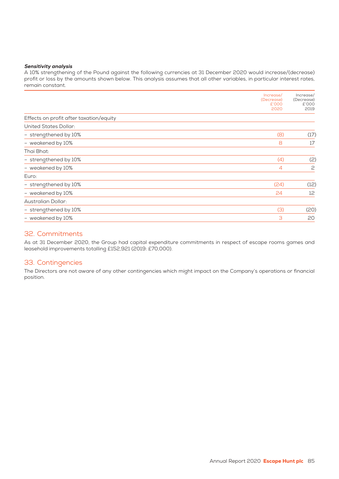#### Sensitivity analysis

A 10% strengthening of the Pound against the following currencies at 31 December 2020 would increase/(decrease) profit or loss by the amounts shown below. This analysis assumes that all other variables, in particular interest rates, remain constant.

|                                         | Increase/<br>(Decrease)<br>£'000<br>2020 | Increase/<br>(Decrease)<br>£'000<br>2019 |
|-----------------------------------------|------------------------------------------|------------------------------------------|
| Effects on profit after taxation/equity |                                          |                                          |
| <b>United States Dollar:</b>            |                                          |                                          |
| - strengthened by 10%                   | (8)                                      | (17)                                     |
| - weakened by 10%                       | 8                                        | 17                                       |
| Thai Bhat:                              |                                          |                                          |
| - strengthened by 10%                   | (4)                                      | (2)                                      |
| - weakened by 10%                       | 4                                        | 2                                        |
| Euro:                                   |                                          |                                          |
| - strengthened by 10%                   | (24)                                     | (12)                                     |
| - weakened by 10%                       | 24                                       | 12                                       |
| Australian Dollar:                      |                                          |                                          |
| - strengthened by 10%                   | (3)                                      | (20)                                     |
| - weakened by 10%                       | 3                                        | 20                                       |

# 32. Commitments

As at 31 December 2020, the Group had capital expenditure commitments in respect of escape rooms games and leasehold improvements totalling £152,921 (2019: £70,000).

# 33. Contingencies

The Directors are not aware of any other contingencies which might impact on the Company's operations or financial position.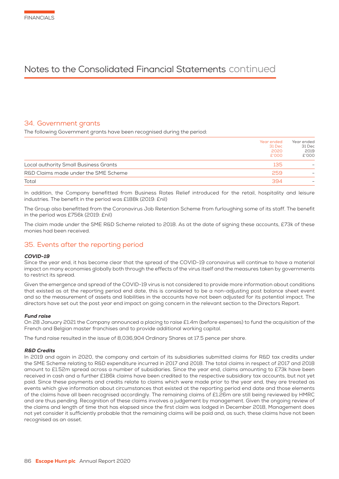# 34. Government grants

The following Government grants have been recognised during the period:

|                                       | Year ended<br>31 Dec<br>2020<br>£'000 | Year ended<br>31 Dec<br>2019<br>£'000 |
|---------------------------------------|---------------------------------------|---------------------------------------|
| Local authority Small Business Grants | 135                                   |                                       |
| R&D Claims made under the SME Scheme  | 259                                   |                                       |
| Total                                 | 394                                   |                                       |

In addition, the Company benefitted from Business Rates Relief introduced for the retail, hospitality and leisure industries. The benefit in the period was £188k (2019: £nil)

The Group also benefitted from the Coronavirus Job Retention Scheme from furloughing some of its staff. The benefit in the period was £756k (2019: £nil)

The claim made under the SME R&D Scheme related to 2018. As at the date of signing these accounts, £73k of these monies had been received.

# 35. Events after the reporting period

#### COVID-19

Since the year end, it has become clear that the spread of the COVID-19 coronavirus will continue to have a material impact on many economies globally both through the effects of the virus itself and the measures taken by governments to restrict its spread.

Given the emergence and spread of the COVID-19 virus is not considered to provide more information about conditions that existed as at the reporting period end date, this is considered to be a non-adjusting post balance sheet event and so the measurement of assets and liabilities in the accounts have not been adjusted for its potential impact. The directors have set out the post year end impact on going concern in the relevant section to the Directors Report.

#### Fund raise

On 28 January 2021 the Company announced a placing to raise £1.4m (before expenses) to fund the acquisition of the French and Belgian master franchises and to provide additional working capital.

The fund raise resulted in the issue of 8,036,904 Ordinary Shares at 17.5 pence per share.

#### R&D Credits

In 2019 and again in 2020, the company and certain of its subsidiaries submitted claims for R&D tax credits under the SME Scheme relating to R&D expenditure incurred in 2017 and 2018. The total claims in respect of 2017 and 2018 amount to £1.52m spread across a number of subsidiaries. Since the year end, claims amounting to £73k have been received in cash and a further £186k claims have been credited to the respective subsidiary tax accounts, but not yet paid. Since these payments and credits relate to claims which were made prior to the year end, they are treated as events which give information about circumstances that existed at the reporting period end date and those elements of the claims have all been recognised accordingly. The remaining claims of £1.26m are still being reviewed by HMRC and are thus pending. Recognition of these claims involves a judgement by management. Given the ongoing review of the claims and length of time that has elapsed since the first claim was lodged in December 2018, Management does not yet consider it sufficiently probable that the remaining claims will be paid and, as such, these claims have not been recognised as an asset.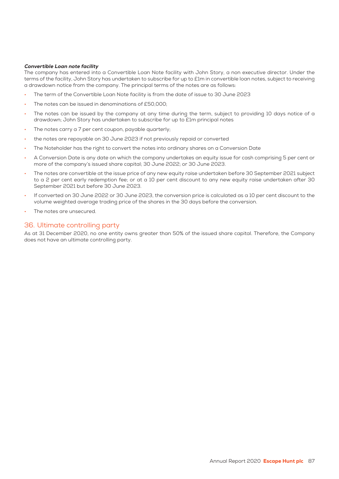#### Convertible Loan note facility

The company has entered into a Convertible Loan Note facility with John Story, a non executive director. Under the terms of the facility, John Story has undertaken to subscribe for up to £1m in convertible loan notes, subject to receiving a drawdown notice from the company. The principal terms of the notes are as follows:

- The term of the Convertible Loan Note facility is from the date of issue to 30 June 2023
- The notes can be issued in denominations of £50,000;
- The notes can be issued by the company at any time during the term, subject to providing 10 days notice of a drawdown; John Story has undertaken to subscribe for up to £1m principal notes
- The notes carry a 7 per cent coupon, payable quarterly:
- the notes are repayable on 30 June 2023 if not previously repaid or converted
- The Noteholder has the right to convert the notes into ordinary shares on a Conversion Date
- A Conversion Date is any date on which the company undertakes an equity issue for cash comprising 5 per cent or more of the company's issued share capital; 30 June 2022; or 30 June 2023.
- The notes are convertible at the issue price of any new equity raise undertaken before 30 September 2021 subject to a 2 per cent early redemption fee; or at a 10 per cent discount to any new equity raise undertaken after 30 September 2021 but before 30 June 2023.
- If converted on 30 June 2022 or 30 June 2023, the conversion price is calculated as a 10 per cent discount to the volume weighted average trading price of the shares in the 30 days before the conversion.
- The notes are unsecured.

# 36. Ultimate controlling party

As at 31 December 2020, no one entity owns greater than 50% of the issued share capital. Therefore, the Company does not have an ultimate controlling party.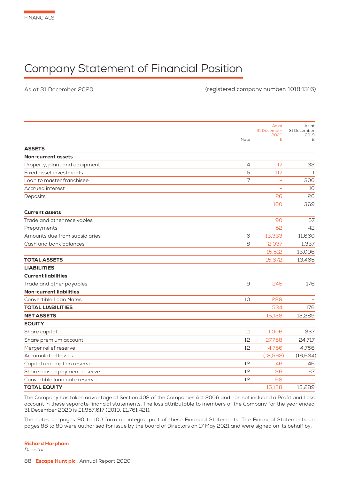# Company Statement of Financial Position

As at 31 December 2020

(registered company number: 10184316)

| As at<br>31 December<br>31 December<br>2019<br>2020<br>Note<br>£<br>£<br><b>Non-current assets</b><br>17<br>32<br>4<br>5<br>117<br>$\mathbf{1}$<br>$\overline{7}$<br>300<br>Loan to master franchisee<br>10<br>26<br>26<br>160<br>369<br>57<br>Trade and other receivables<br>90<br>52<br>42<br>13,333<br>11,660<br>Amounts due from subsidiaries<br>6<br>8<br>2,037<br>15,512<br>13,096<br>15,672<br>13,465<br>9<br>245<br>176<br><b>Non-current liabilities</b><br>10<br>289<br>534<br>176<br><b>NET ASSETS</b><br>15,138<br>13,289<br>1,006<br>Share capital<br>11<br>337<br>12<br>27,758<br>24,717<br>Share premium account<br>Merger relief reserve<br>12<br>4,756<br>4,756<br><b>Accumulated losses</b><br>(18,592)<br>(16, 634)<br>Capital redemption reserve<br>12<br>46<br>46<br>67<br>Share-based payment reserve<br>$12^{\circ}$<br>96<br>Convertible loan note reserve<br>12<br>68<br>15,138<br>13,289 |                               |  |       |
|--------------------------------------------------------------------------------------------------------------------------------------------------------------------------------------------------------------------------------------------------------------------------------------------------------------------------------------------------------------------------------------------------------------------------------------------------------------------------------------------------------------------------------------------------------------------------------------------------------------------------------------------------------------------------------------------------------------------------------------------------------------------------------------------------------------------------------------------------------------------------------------------------------------------|-------------------------------|--|-------|
|                                                                                                                                                                                                                                                                                                                                                                                                                                                                                                                                                                                                                                                                                                                                                                                                                                                                                                                    |                               |  | As at |
|                                                                                                                                                                                                                                                                                                                                                                                                                                                                                                                                                                                                                                                                                                                                                                                                                                                                                                                    |                               |  |       |
|                                                                                                                                                                                                                                                                                                                                                                                                                                                                                                                                                                                                                                                                                                                                                                                                                                                                                                                    |                               |  |       |
|                                                                                                                                                                                                                                                                                                                                                                                                                                                                                                                                                                                                                                                                                                                                                                                                                                                                                                                    | <b>ASSETS</b>                 |  |       |
|                                                                                                                                                                                                                                                                                                                                                                                                                                                                                                                                                                                                                                                                                                                                                                                                                                                                                                                    |                               |  |       |
|                                                                                                                                                                                                                                                                                                                                                                                                                                                                                                                                                                                                                                                                                                                                                                                                                                                                                                                    | Property, plant and equipment |  |       |
|                                                                                                                                                                                                                                                                                                                                                                                                                                                                                                                                                                                                                                                                                                                                                                                                                                                                                                                    | Fixed asset investments       |  |       |
|                                                                                                                                                                                                                                                                                                                                                                                                                                                                                                                                                                                                                                                                                                                                                                                                                                                                                                                    |                               |  |       |
|                                                                                                                                                                                                                                                                                                                                                                                                                                                                                                                                                                                                                                                                                                                                                                                                                                                                                                                    | Accrued interest              |  |       |
|                                                                                                                                                                                                                                                                                                                                                                                                                                                                                                                                                                                                                                                                                                                                                                                                                                                                                                                    | Deposits                      |  |       |
|                                                                                                                                                                                                                                                                                                                                                                                                                                                                                                                                                                                                                                                                                                                                                                                                                                                                                                                    |                               |  |       |
|                                                                                                                                                                                                                                                                                                                                                                                                                                                                                                                                                                                                                                                                                                                                                                                                                                                                                                                    | <b>Current assets</b>         |  |       |
|                                                                                                                                                                                                                                                                                                                                                                                                                                                                                                                                                                                                                                                                                                                                                                                                                                                                                                                    |                               |  |       |
|                                                                                                                                                                                                                                                                                                                                                                                                                                                                                                                                                                                                                                                                                                                                                                                                                                                                                                                    | Prepayments                   |  |       |
|                                                                                                                                                                                                                                                                                                                                                                                                                                                                                                                                                                                                                                                                                                                                                                                                                                                                                                                    |                               |  |       |
|                                                                                                                                                                                                                                                                                                                                                                                                                                                                                                                                                                                                                                                                                                                                                                                                                                                                                                                    | Cash and bank balances        |  | 1,337 |
|                                                                                                                                                                                                                                                                                                                                                                                                                                                                                                                                                                                                                                                                                                                                                                                                                                                                                                                    |                               |  |       |
|                                                                                                                                                                                                                                                                                                                                                                                                                                                                                                                                                                                                                                                                                                                                                                                                                                                                                                                    | <b>TOTAL ASSETS</b>           |  |       |
|                                                                                                                                                                                                                                                                                                                                                                                                                                                                                                                                                                                                                                                                                                                                                                                                                                                                                                                    | <b>LIABILITIES</b>            |  |       |
|                                                                                                                                                                                                                                                                                                                                                                                                                                                                                                                                                                                                                                                                                                                                                                                                                                                                                                                    | <b>Current liabilities</b>    |  |       |
|                                                                                                                                                                                                                                                                                                                                                                                                                                                                                                                                                                                                                                                                                                                                                                                                                                                                                                                    | Trade and other payables      |  |       |
|                                                                                                                                                                                                                                                                                                                                                                                                                                                                                                                                                                                                                                                                                                                                                                                                                                                                                                                    |                               |  |       |
|                                                                                                                                                                                                                                                                                                                                                                                                                                                                                                                                                                                                                                                                                                                                                                                                                                                                                                                    | Convertible Loan Notes        |  |       |
|                                                                                                                                                                                                                                                                                                                                                                                                                                                                                                                                                                                                                                                                                                                                                                                                                                                                                                                    | <b>TOTAL LIABILITIES</b>      |  |       |
|                                                                                                                                                                                                                                                                                                                                                                                                                                                                                                                                                                                                                                                                                                                                                                                                                                                                                                                    |                               |  |       |
|                                                                                                                                                                                                                                                                                                                                                                                                                                                                                                                                                                                                                                                                                                                                                                                                                                                                                                                    | <b>EQUITY</b>                 |  |       |
|                                                                                                                                                                                                                                                                                                                                                                                                                                                                                                                                                                                                                                                                                                                                                                                                                                                                                                                    |                               |  |       |
|                                                                                                                                                                                                                                                                                                                                                                                                                                                                                                                                                                                                                                                                                                                                                                                                                                                                                                                    |                               |  |       |
|                                                                                                                                                                                                                                                                                                                                                                                                                                                                                                                                                                                                                                                                                                                                                                                                                                                                                                                    |                               |  |       |
|                                                                                                                                                                                                                                                                                                                                                                                                                                                                                                                                                                                                                                                                                                                                                                                                                                                                                                                    |                               |  |       |
|                                                                                                                                                                                                                                                                                                                                                                                                                                                                                                                                                                                                                                                                                                                                                                                                                                                                                                                    |                               |  |       |
|                                                                                                                                                                                                                                                                                                                                                                                                                                                                                                                                                                                                                                                                                                                                                                                                                                                                                                                    |                               |  |       |
|                                                                                                                                                                                                                                                                                                                                                                                                                                                                                                                                                                                                                                                                                                                                                                                                                                                                                                                    |                               |  |       |
|                                                                                                                                                                                                                                                                                                                                                                                                                                                                                                                                                                                                                                                                                                                                                                                                                                                                                                                    | <b>TOTAL EQUITY</b>           |  |       |

The Company has taken advantage of Section 408 of the Companies Act 2006 and has not included a Profit and Loss account in these separate financial statements. The loss attributable to members of the Company for the year ended 31 December 2020 is £1,957,617 (2019: £1,761,421) .

The notes on pages 90 to 100 form an integral part of these Financial Statements. The Financial Statements on pages 88 to 89 were authorised for issue by the board of Directors on 17 May 2021 and were signed on its behalf by.

#### Richard Harpham

Director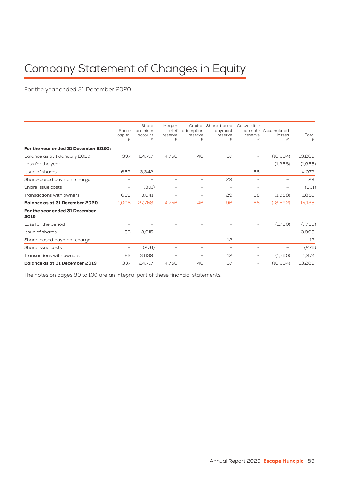# Company Statement of Changes in Equity

For the year ended 31 December 2020

|                                        | Share<br>capital<br>£    | Share<br>premium<br>account<br>£ | Merger<br>reserve<br>£   | relief redemption<br>reserve<br>£ | Capital Share-based<br>payment<br>reserve<br>£ | Convertible<br>reserve<br>£ | loan note Accumulated<br>losses<br>£ | Total<br>£ |
|----------------------------------------|--------------------------|----------------------------------|--------------------------|-----------------------------------|------------------------------------------------|-----------------------------|--------------------------------------|------------|
| For the year ended 31 December 2020:   |                          |                                  |                          |                                   |                                                |                             |                                      |            |
| Balance as at 1 January 2020           | 337                      | 24,717                           | 4.756                    | 46                                | 67                                             | -                           | (16,634)                             | 13,289     |
| Loss for the year                      | -                        |                                  | -                        | $\overline{\phantom{0}}$          | $\overline{\phantom{0}}$                       | -                           | (1,958)                              | (1,958)    |
| Issue of shares                        | 669                      | 3,342                            | -                        | -                                 | -                                              | 68                          | -                                    | 4,079      |
| Share-based payment charge             | -                        |                                  | -                        | $\overline{\phantom{0}}$          | 29                                             | -                           | -                                    | 29         |
| Share issue costs                      | $\overline{\phantom{0}}$ | (301)                            | -                        | $\overline{\phantom{0}}$          | $\overline{\phantom{0}}$                       | -                           |                                      | (301)      |
| Transactions with owners               | 669                      | 3.041                            |                          | -                                 | 29                                             | 68                          | (1,958)                              | 1,850      |
| <b>Balance as at 31 December 2020</b>  | 1,006                    | 27,758                           | 4,756                    | 46                                | 96                                             | 68                          | (18,592)                             | 15,138     |
| For the year ended 31 December<br>2019 |                          |                                  |                          |                                   |                                                |                             |                                      |            |
| Loss for the period                    | $\overline{\phantom{0}}$ |                                  | $\overline{\phantom{0}}$ |                                   |                                                | -                           | (1,760)                              | (1,760)    |
| Issue of shares                        | 83                       | 3,915                            | -                        | ۰                                 | -                                              | -                           | $\overline{\phantom{0}}$             | 3,998      |
| Share-based payment charge             | $\overline{\phantom{0}}$ |                                  | $\overline{\phantom{0}}$ | $\overline{\phantom{0}}$          | 12                                             | -                           | $\overline{\phantom{0}}$             | 12         |
| Share issue costs                      | $\overline{\phantom{0}}$ | (276)                            | $\qquad \qquad -$        | $\overline{\phantom{0}}$          | $\overline{\phantom{0}}$                       | -                           | $\overline{\phantom{0}}$             | (276)      |
| Transactions with owners               | 83                       | 3,639                            | $\qquad \qquad -$        | $\overline{\phantom{0}}$          | 12                                             | -                           | (1,760)                              | 1,974      |
| <b>Balance as at 31 December 2019</b>  | 337                      | 24,717                           | 4,756                    | 46                                | 67                                             | -                           | (16,634)                             | 13,289     |
|                                        |                          |                                  |                          |                                   |                                                |                             |                                      |            |

The notes on pages 90 to 100 are an integral part of these financial statements.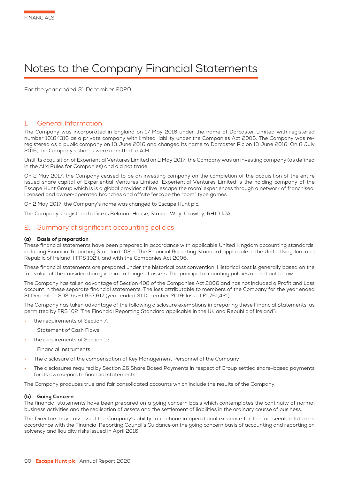# Notes to the Company Financial Statements

For the year ended 31 December 2020

# 1. General Information

The Company was incorporated in England on 17 May 2016 under the name of Dorcaster Limited with registered number 10184316 as a private company with limited liability under the Companies Act 2006. The Company was reregistered as a public company on 13 June 2016 and changed its name to Dorcaster Plc on 13 June 2016. On 8 July 2016, the Company's shares were admitted to AIM.

Until its acquisition of Experiential Ventures Limited on 2 May 2017, the Company was an investing company (as defined in the AIM Rules for Companies) and did not trade.

On 2 May 2017, the Company ceased to be an investing company on the completion of the acquisition of the entire issued share capital of Experiential Ventures Limited. Experiential Ventures Limited is the holding company of the Escape Hunt Group which is is a global provider of live 'escape the room' experiences through a network of franchised, licensed and owner-operated branches and offsite "escape the room" type games.

On 2 May 2017, the Company's name was changed to Escape Hunt plc.

The Company's registered office is Belmont House, Station Way, Crawley, RH10 1JA.

### 2. Summary of significant accounting policies

#### (a) Basis of preparation

These financial statements have been prepared in accordance with applicable United Kingdom accounting standards, including Financial Reporting Standard 102 – 'The Financial Reporting Standard applicable in the United Kingdom and Republic of Ireland' ('FRS 102') , and with the Companies Act 2006.

These financial statements are prepared under the historical cost convention. Historical cost is generally based on the fair value of the consideration given in exchange of assets. The principal accounting policies are set out below.

The Company has taken advantage of Section 408 of the Companies Act 2006 and has not included a Profit and Loss account in these separate financial statements. The loss attributable to members of the Company for the year ended 31 December 2020 is £1,957,617 (year ended 31 December 2019: loss of £1,761,421) .

The Company has taken advantage of the following disclosure exemptions in preparing these Financial Statements, as permitted by FRS 102 "The Financial Reporting Standard applicable in the UK and Republic of Ireland":

the requirements of Section 7:

Statement of Cash Flows

the requirements of Section 11:

Financial Instruments

- The disclosure of the compensation of Key Management Personnel of the Company
- The disclosures required by Section 26 Share Based Payments in respect of Group settled share-based payments for its own separate financial statements.

The Company produces true and fair consolidated accounts which include the results of the Company.

#### (b) Going Concern

The financial statements have been prepared on a going concern basis which contemplates the continuity of normal business activities and the realisation of assets and the settlement of liabilities in the ordinary course of business.

The Directors have assessed the Company's ability to continue in operational existence for the foreseeable future in accordance with the Financial Reporting Council's Guidance on the going concern basis of accounting and reporting on solvency and liquidity risks issued in April 2016.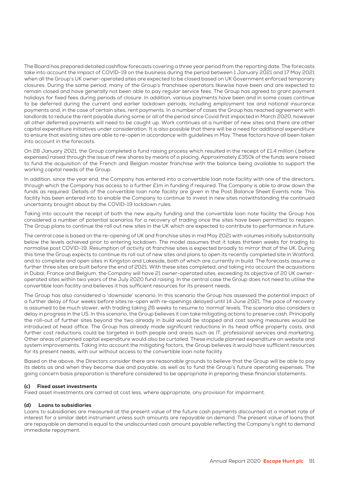The Board has prepared detailed cashflow forecasts covering a three year period from the reporting date. The forecasts take into account the impact of COVID-19 on the business during the period between 1 January 2021 and 17 May 2021 when all the Group's UK owner-operated sites are expected to be closed based on UK Government enforced temporary closures. During the same period, many of the Group's franchisee operators likewise have been and are expected to remain closed and have generally not been able to pay regular service fees. The Group has agreed to grant payment holidays for fixed fees during periods of closure. In addition, various payments have been and in some cases continue to be deferred during the current and earlier lockdown periods, including employment tax and national insurance payments and, in the case of certain sites, rent payments. In a number of cases the Group has reached agreement with landlords to reduce the rent payable during some or all of the period since Covid first impacted in March 2020, however all other deferred payments will need to be caught up. Work continues at a number of new sites and there are other capital expenditure initiatives under consideration. It is also possible that there will be a need for additional expenditure to ensure that existing sites are able to re-open in accordance with guidelines in May. These factors have all been taken into account in the forecasts.

On 28 January 2021, the Group completed a fund raising process which resulted in the receipt of £1.4 million ( before expenses) raised through the issue of new shares by means of a placing. Approximately £350k of the funds were raised to fund the acquisition of the French and Belgian master franchise with the balance being available to support the working capital needs of the Group.

In addition, since the year end, the Company has entered into a convertible loan note facility with one of the directors, through which the Company has access to a further £1m in funding if required. The Company is able to draw down the funds as required. Details of the convertible loan note facility are given in the Post Balance Sheet Events note. This facility has been entered into to enable the Company to continue to invest in new sites notwithstanding the continued uncertainty brought about by the COVID-19 lockdown rules.

Taking into account the receipt of both the new equity funding and the convertible loan note facility the Group has considered a number of potential scenarios for a recovery of trading once the sites have been permitted to reopen. The Group plans to continue the roll out new sites in the UK which are expected to contribute to performance in future.

The central case is based on the re-opening of UK and franchise sites in mid May 2021 with volumes initially substantially below the levels achieved prior to entering lockdown. The model assumes that it takes thirteen weeks for trading to normalise post COVID-19. Resumption of activity at franchise sites is expected broadly to mirror that of the UK. During this time the Group expects to continue its roll out of new sites and plans to open its recently completed site in Watford, and to complete and open sites in Kingston and Lakeside, both of which are currently in build. The forecasts assume a further three sites are built before the end of 2021. With these sites completed, and taking into account the acquisitions in Dubai, France and Belgium, the Company will have 21 owner-operated sites, exceeding its objective of 20 UK owneroperated sites within two years of the July 2020 fund raising. In the central case the Group does not need to utilise the convertible loan facility and believes it has sufficient resources for its present needs.

The Group has also considered a 'downside' scenario. In this scenario the Group has assessed the potential impact of a further delay of four weeks before sites re-open with re-openings delayed until 14 June 2021. The pace of recovery is assumed to be much slower, with trading taking 26 weeks to resume to 'normal' levels. The scenario also considers a delay in progress in the US. In this scenario, the Group believes it can take mitigating actions to preserve cash. Principally the roll-out of further sites beyond the two already in build would be stopped and cost saving measures would be introduced at head office. The Group has already made significant reductions in its head office property costs, and further cost reductions could be targeted in both people and areas such as IT, professional services and marketing. Other areas of planned capital expenditure would also be curtailed. These include planned expenditure on website and system improvements. Taking into account the mitigating factors, the Group believes it would have sufficient resources for its present needs, with our without access to the convertible loan note facility.

Based on the above, the Directors consider there are reasonable grounds to believe that the Group will be able to pay its debts as and when they become due and payable, as well as to fund the Group's future operating expenses. The going concern basis preparation is therefore considered to be appropriate in preparing these financial statements.

#### (c) Fixed asset investments

Fixed asset investments are carried at cost less, where appropriate, any provision for impairment.

#### (d) Loans to subsidiaries

Loans to subsidiaries are measured at the present value of the future cash payments discounted at a market rate of interest for a similar debt instrument unless such amounts are repayable on demand. The present value of loans that are repayable on demand is equal to the undiscounted cash amount payable reflecting the Company's right to demand immediate repayment.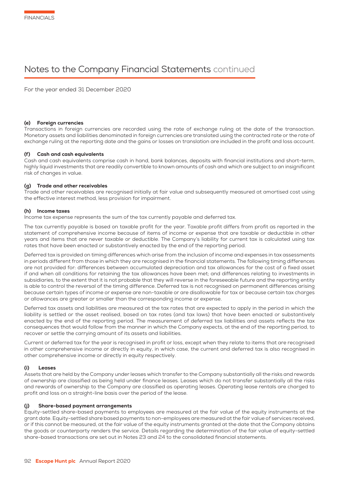# Notes to the Company Financial Statements continued

For the year ended 31 December 2020

#### (e) Foreign currencies

Transactions in foreign currencies are recorded using the rate of exchange ruling at the date of the transaction. Monetary assets and liabilities denominated in foreign currencies are translated using the contracted rate or the rate of exchange ruling at the reporting date and the gains or losses on translation are included in the profit and loss account.

#### (f) Cash and cash equivalents

Cash and cash equivalents comprise cash in hand, bank balances, deposits with financial institutions and short-term, highly liquid investments that are readily convertible to known amounts of cash and which are subject to an insignificant risk of changes in value.

#### (g) Trade and other receivables

Trade and other receivables are recognised initially at fair value and subsequently measured at amortised cost using the effective interest method, less provision for impairment.

#### (h) Income taxes

Income tax expense represents the sum of the tax currently payable and deferred tax.

The tax currently payable is based on taxable profit for the year. Taxable profit differs from profit as reported in the statement of comprehensive income because of items of income or expense that are taxable or deductible in other years and items that are never taxable or deductible. The Company's liability for current tax is calculated using tax rates that have been enacted or substantively enacted by the end of the reporting period.

Deferred tax is provided on timing differences which arise from the inclusion of income and expenses in tax assessments in periods different from those in which they are recognised in the financial statements. The following timing differences are not provided for: differences between accumulated depreciation and tax allowances for the cost of a fixed asset if and when all conditions for retaining the tax allowances have been met; and differences relating to investments in subsidiaries, to the extent that it is not probable that they will reverse in the foreseeable future and the reporting entity is able to control the reversal of the timing difference. Deferred tax is not recognised on permanent differences arising because certain types of income or expense are non-taxable or are disallowable for tax or because certain tax charges or allowances are greater or smaller than the corresponding income or expense.

Deferred tax assets and liabilities are measured at the tax rates that are expected to apply in the period in which the liability is settled or the asset realised, based on tax rates (and tax laws) that have been enacted or substantively enacted by the end of the reporting period. The measurement of deferred tax liabilities and assets reflects the tax consequences that would follow from the manner in which the Company expects, at the end of the reporting period, to recover or settle the carrying amount of its assets and liabilities.

Current or deferred tax for the year is recognised in profit or loss, except when they relate to items that are recognised in other comprehensive income or directly in equity, in which case, the current and deferred tax is also recognised in other comprehensive income or directly in equity respectively.

#### (i) Leases

Assets that are held by the Company under leases which transfer to the Company substantially all the risks and rewards of ownership are classified as being held under finance leases. Leases which do not transfer substantially all the risks and rewards of ownership to the Company are classified as operating leases. Operating lease rentals are charged to profit and loss on a straight-line basis over the period of the lease.

#### (j) Share-based payment arrangements

Equity-settled share-based payments to employees are measured at the fair value of the equity instruments at the grant date. Equity-settled share based payments to non-employees are measured at the fair value of services received, or if this cannot be measured, at the fair value of the equity instruments granted at the date that the Company obtains the goods or counterparty renders the service. Details regarding the determination of the fair value of equity-settled share-based transactions are set out in Notes 23 and 24 to the consolidated financial statements.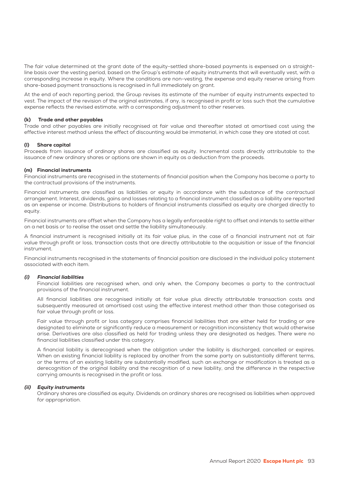The fair value determined at the grant date of the equity-settled share-based payments is expensed on a straightline basis over the vesting period, based on the Group's estimate of equity instruments that will eventually vest, with a corresponding increase in equity. Where the conditions are non-vesting, the expense and equity reserve arising from share-based payment transactions is recognised in full immediately on grant.

At the end of each reporting period, the Group revises its estimate of the number of equity instruments expected to vest. The impact of the revision of the original estimates, if any, is recognised in profit or loss such that the cumulative expense reflects the revised estimate, with a corresponding adjustment to other reserves.

#### (k) Trade and other payables

Trade and other payables are initially recognised at fair value and thereafter stated at amortised cost using the effective interest method unless the effect of discounting would be immaterial, in which case they are stated at cost.

#### (l) Share capital

Proceeds from issuance of ordinary shares are classified as equity. Incremental costs directly attributable to the issuance of new ordinary shares or options are shown in equity as a deduction from the proceeds.

#### (m) Financial instruments

Financial instruments are recognised in the statements of financial position when the Company has become a party to the contractual provisions of the instruments.

Financial instruments are classified as liabilities or equity in accordance with the substance of the contractual arrangement. Interest, dividends, gains and losses relating to a financial instrument classified as a liability are reported as an expense or income. Distributions to holders of financial instruments classified as equity are charged directly to equity.

Financial instruments are offset when the Company has a legally enforceable right to offset and intends to settle either on a net basis or to realise the asset and settle the liability simultaneously.

A financial instrument is recognised initially at its fair value plus, in the case of a financial instrument not at fair value through profit or loss, transaction costs that are directly attributable to the acquisition or issue of the financial instrument.

Financial instruments recognised in the statements of financial position are disclosed in the individual policy statement associated with each item.

#### (i) Financial liabilities

Financial liabilities are recognised when, and only when, the Company becomes a party to the contractual provisions of the financial instrument.

All financial liabilities are recognised initially at fair value plus directly attributable transaction costs and subsequently measured at amortised cost using the effective interest method other than those categorised as fair value through profit or loss.

Fair value through profit or loss category comprises financial liabilities that are either held for trading or are designated to eliminate or significantly reduce a measurement or recognition inconsistency that would otherwise arise. Derivatives are also classified as held for trading unless they are designated as hedges. There were no financial liabilities classified under this category.

A financial liability is derecognised when the obligation under the liability is discharged, cancelled or expires. When an existing financial liability is replaced by another from the same party on substantially different terms, or the terms of an existing liability are substantially modified, such an exchange or modification is treated as a derecognition of the original liability and the recognition of a new liability, and the difference in the respective carrying amounts is recognised in the profit or loss.

#### (ii) Equity instruments

Ordinary shares are classified as equity. Dividends on ordinary shares are recognised as liabilities when approved for appropriation.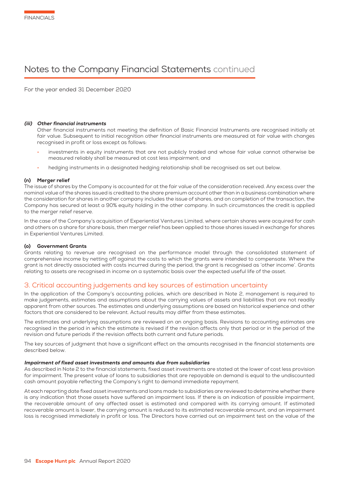# Notes to the Company Financial Statements continued

For the year ended 31 December 2020

#### (iii) Other financial instruments

Other financial instruments not meeting the definition of Basic Financial Instruments are recognised initially at fair value. Subsequent to initial recognition other financial instruments are measured at fair value with changes recognised in profit or loss except as follows:

- investments in equity instruments that are not publicly traded and whose fair value cannot otherwise be measured reliably shall be measured at cost less impairment; and
- hedging instruments in a designated hedging relationship shall be recognised as set out below.

#### (n) Merger relief

The issue of shares by the Company is accounted for at the fair value of the consideration received. Any excess over the nominal value of the shares issued is credited to the share premium account other than in a business combination where the consideration for shares in another company includes the issue of shares, and on completion of the transaction, the Company has secured at least a 90% equity holding in the other company. In such circumstances the credit is applied to the merger relief reserve.

In the case of the Company's acquisition of Experiential Ventures Limited, where certain shares were acquired for cash and others on a share for share basis, then merger relief has been applied to those shares issued in exchange for shares in Experiential Ventures Limited.

#### (o) Government Grants

Grants relating to revenue are recognised on the performance model through the consolidated statement of comprehensive income by netting off against the costs to which the grants were intended to compensate. Where the grant is not directly associated with costs incurred during the period, the grant is recognised as 'other income'. Grants relating to assets are recognised in income on a systematic basis over the expected useful life of the asset.

# 3. Critical accounting judgements and key sources of estimation uncertainty

In the application of the Company's accounting policies, which are described in Note 2, management is required to make judgements, estimates and assumptions about the carrying values of assets and liabilities that are not readily apparent from other sources. The estimates and underlying assumptions are based on historical experience and other factors that are considered to be relevant. Actual results may differ from these estimates.

The estimates and underlying assumptions are reviewed on an ongoing basis. Revisions to accounting estimates are recognised in the period in which the estimate is revised if the revision affects only that period or in the period of the revision and future periods if the revision affects both current and future periods.

The key sources of judgment that have a significant effect on the amounts recognised in the financial statements are described below.

#### Impairment of fixed asset investments and amounts due from subsidiaries

As described in Note 2 to the financial statements, fixed asset investments are stated at the lower of cost less provision for impairment. The present value of loans to subsidiaries that are repayable on demand is equal to the undiscounted cash amount payable reflecting the Company's right to demand immediate repayment.

At each reporting date fixed asset investments and loans made to subsidiaries are reviewed to determine whether there is any indication that those assets have suffered an impairment loss. If there is an indication of possible impairment, the recoverable amount of any affected asset is estimated and compared with its carrying amount. If estimated recoverable amount is lower, the carrying amount is reduced to its estimated recoverable amount, and an impairment loss is recognised immediately in profit or loss. The Directors have carried out an impairment test on the value of the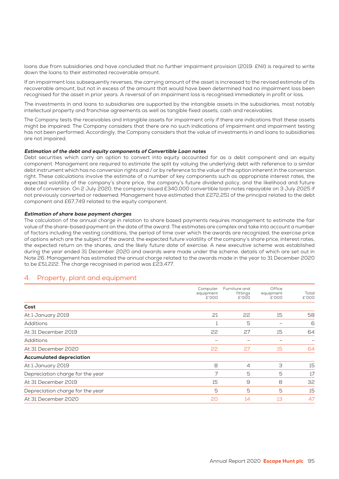loans due from subsidiaries and have concluded that no further impairment provision (2019: £Nil) is required to write down the loans to their estimated recoverable amount.

If an impairment loss subsequently reverses, the carrying amount of the asset is increased to the revised estimate of its recoverable amount, but not in excess of the amount that would have been determined had no impairment loss been recognised for the asset in prior years. A reversal of an impairment loss is recognised immediately in profit or loss.

The investments in and loans to subsidiaries are supported by the intangible assets in the subsidiaries, most notably intellectual property and franchise agreements as well as tangible fixed assets, cash and receivables.

The Company tests the receivables and intangible assets for impairment only if there are indications that these assets might be impaired. The Company considers that there are no such indications of impairment and impairment testing has not been performed. Accordingly, the Company considers that the value of investments in and loans to subsidiaries are not impaired.

#### Estimation of the debt and equity components of Convertible Loan notes

Debt securities which carry an option to convert into equity accounted for as a debt component and an equity component. Management are required to estimate the split by valuing the underlying debt with reference to a similar debt instrument which has no conversion rights and / or by reference to the value of the option inherent in the conversion right. These calculations involve the estimate of a number of key components such as appropriate interest rates, the expected volatility of the company's share price, the company's future dividend policy, and the likelihood and future date of conversion. On 2 July 2020, the company issued £340,000 convertible loan notes repayable on 3 July 2025 if not previously converted or redeemed. Management have estimated that £272,251 of the principal related to the debt component and £67,749 related to the equity component.

#### Estimation of share base payment charges

The calculation of the annual charge in relation to share based payments requires management to estimate the fair value of the share-based payment on the date of the award. The estimates are complex and take into account a number of factors including the vesting conditions, the period of time over which the awards are recognized, the exercise price of options which are the subject of the award, the expected future volatility of the company's share price, interest rates, the expected return on the shares, and the likely future date of exercise. A new executive scheme was established during the year ended 31 December 2020 and awards were made under the scheme, details of which are set out in Note 26. Management has estimated the annual charge related to the awards made in the year to 31 December 2020 to be £51,222. The charge recognised in period was £23,477.

### 4. Property, plant and equipment

|                                  | Computer<br>equipment<br>£'000 | Furniture and<br>fittings<br>£'000 | Office<br>equipment<br>£'000 | Total<br>£'000 |
|----------------------------------|--------------------------------|------------------------------------|------------------------------|----------------|
| Cost                             |                                |                                    |                              |                |
| At 1 January 2019                | 21                             | 22                                 | 15                           | 58             |
| <b>Additions</b>                 |                                | 5                                  |                              | 6              |
| At 31 December 2019              | 22                             | 27                                 | 15                           | 64             |
| <b>Additions</b>                 |                                |                                    |                              |                |
| At 31 December 2020              | 22                             | 27                                 | 15                           | 64             |
| <b>Accumulated depreciation</b>  |                                |                                    |                              |                |
| At 1 January 2019                | 8                              | $\overline{4}$                     | 3                            | 15             |
| Depreciation charge for the year | 7                              | 5                                  | 5                            | 17             |
| At 31 December 2019              | 15                             | 9                                  | 8                            | 32             |
| Depreciation charge for the year | 5                              | 5                                  | 5                            | 15             |
| At 31 December 2020              | 20                             | 14                                 | 13                           | 47             |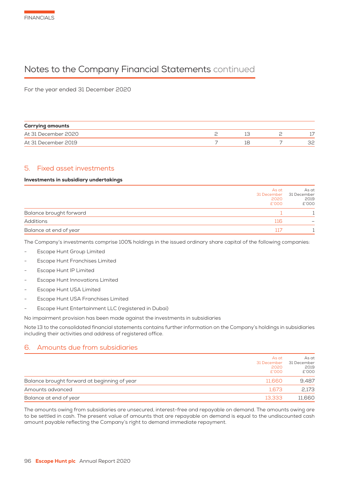# Notes to the Company Financial Statements continued

For the year ended 31 December 2020

| <b>Carrying amounts</b> |  |  |
|-------------------------|--|--|
| At 31 December 2020     |  |  |
| At 31 December 2019     |  |  |

# 5. Fixed asset investments

#### Investments in subsidiary undertakings

|                         | As at<br>31 December 31 December<br>2020<br>£'000 | As at<br>2019<br>£'000 |
|-------------------------|---------------------------------------------------|------------------------|
| Balance brought forward |                                                   |                        |
| Additions               | 116                                               |                        |
| Balance at end of year  |                                                   |                        |

The Company's investments comprise 100% holdings in the issued ordinary share capital of the following companies:

- Escape Hunt Group Limited
- Escape Hunt Franchises Limited
- Escape Hunt IP Limited
- Escape Hunt Innovations Limited
- Escape Hunt USA Limited
- Escape Hunt USA Franchises Limited
- Escape Hunt Entertainment LLC (registered in Dubai)

No impairment provision has been made against the investments in subsidiaries

Note 13 to the consolidated financial statements contains further information on the Company's holdings in subsidiaries including their activities and address of registered office.

# 6. Amounts due from subsidiaries

|                                              | As at<br>2020<br>£'000 | As at<br>31 December 31 December<br>2019<br>£'000 |
|----------------------------------------------|------------------------|---------------------------------------------------|
| Balance brought forward at beginning of year | 11.660                 | 9.487                                             |
| Amounts advanced                             | 1.673                  | 2,173                                             |
| Balance at end of year                       | 13.333                 | 11,660                                            |

The amounts owing from subsidiaries are unsecured, interest-free and repayable on demand. The amounts owing are to be settled in cash. The present value of amounts that are repayable on demand is equal to the undiscounted cash amount payable reflecting the Company's right to demand immediate repayment.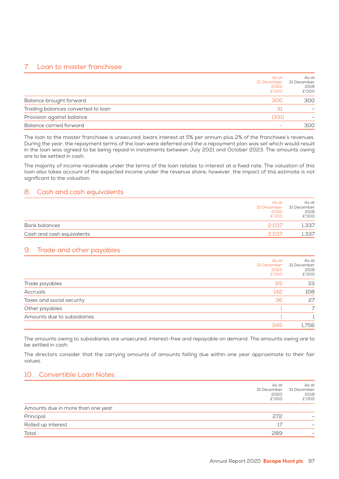# 7. Loan to master franchisee

|                                    | As at<br>31 December<br>2020<br>£'000 | As at<br>31 December<br>2019<br>£'000 |
|------------------------------------|---------------------------------------|---------------------------------------|
| Balance brought forward            | 300                                   | 300                                   |
| Trading balances converted to loan | 31                                    |                                       |
| Provision against balance          | (331)                                 |                                       |
| Balance carried forward            |                                       | 300                                   |

The loan to the master franchisee is unsecured, bears interest at 5% per annum plus 2% of the franchisee's revenues. During the year, the repayment terms of the loan were deferred and the a repayment plan was set which would result in the loan was agreed to be being repaid in instalments between July 2021 and October 2023. The amounts owing are to be settled in cash.

The majority of income receivable under the terms of the loan relates to interest at a fixed rate. The valuation of this loan also takes account of the expected income under the revenue share; however, the impact of this estimate is not significant to the valuation.

# 8. Cash and cash equivalents

| As at<br>2020<br>£'000              | As at<br>31 December 31 December<br>2019<br>£'000 |
|-------------------------------------|---------------------------------------------------|
| Bank balances<br>2037               | 1,337                                             |
| Cash and cash equivalents<br>2 0.37 | 1,337                                             |

# 9. Trade and other payables

|                             | As at<br>31 December<br>2020<br>£'000 | As at<br>31 December<br>2019<br>£'000 |
|-----------------------------|---------------------------------------|---------------------------------------|
| Trade payables              | 65                                    | 33                                    |
| Accruals                    | 142                                   | 108                                   |
| Taxes and social security   | 36                                    | 27                                    |
| Other payables              |                                       | 7                                     |
| Amounts due to subsidiaries |                                       |                                       |
|                             | 245                                   | 1,756                                 |

The amounts owing to subsidiaries are unsecured, interest-free and repayable on demand. The amounts owing are to be settled in cash.

The directors consider that the carrying amounts of amounts falling due within one year approximate to their fair values.

# 10. Convertible Loan Notes

|                                   | As at<br>31 December<br>2020<br>£'000 | As at<br>31 December<br>2019<br>£'000 |
|-----------------------------------|---------------------------------------|---------------------------------------|
| Amounts due in more than one year |                                       |                                       |
| Principal                         | 272                                   |                                       |
| Rolled up interest                | 17                                    |                                       |
| Total                             | 289                                   |                                       |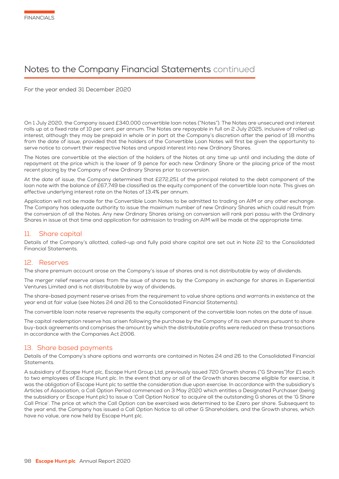# Notes to the Company Financial Statements continued

For the year ended 31 December 2020

On 1 July 2020, the Company issued £340,000 convertible loan notes ("Notes") . The Notes are unsecured and interest rolls up at a fixed rate of 10 per cent. per annum. The Notes are repayable in full on 2 July 2025, inclusive of rolled up interest, although they may be prepaid in whole or in part at the Company's discretion after the period of 18 months from the date of issue, provided that the holders of the Convertible Loan Notes will first be given the opportunity to serve notice to convert their respective Notes and unpaid interest into new Ordinary Shares.

The Notes are convertible at the election of the holders of the Notes at any time up until and including the date of repayment at the price which is the lower of 9 pence for each new Ordinary Share or the placing price of the most recent placing by the Company of new Ordinary Shares prior to conversion.

At the date of issue, the Company determined that £272,251 of the principal related to the debt component of the loan note with the balance of £67,749 be classified as the equity component of the convertible loan note. This gives an effective underlying interest rate on the Notes of 13.4% per annum.

Application will not be made for the Convertible Loan Notes to be admitted to trading on AIM or any other exchange. The Company has adequate authority to issue the maximum number of new Ordinary Shares which could result from the conversion of all the Notes. Any new Ordinary Shares arising on conversion will rank pari passu with the Ordinary Shares in issue at that time and application for admission to trading on AIM will be made at the appropriate time.

# 11. Share capital

Details of the Company's allotted, called-up and fully paid share capital are set out in Note 22 to the Consolidated Financial Statements.

### 12. Reserves

The share premium account arose on the Company's issue of shares and is not distributable by way of dividends.

The merger relief reserve arises from the issue of shares to by the Company in exchange for shares in Experiential Ventures Limited and is not distributable by way of dividends.

The share-based payment reserve arises from the requirement to value share options and warrants in existence at the year end at fair value (see Notes 24 and 26 to the Consolidated Financial Statements) .

The convertible loan note reserve represents the equity component of the convertible loan notes on the date of issue.

The capital redemption reserve has arisen following the purchase by the Company of its own shares pursuant to share buy-back agreements and comprises the amount by which the distributable profits were reduced on these transactions in accordance with the Companies Act 2006.

### 13. Share based payments

Details of the Company's share options and warrants are contained in Notes 24 and 26 to the Consolidated Financial Statements.

A subsidiary of Escape Hunt plc, Escape Hunt Group Ltd, previously issued 720 Growth shares ("G Shares") for £1 each to two employees of Escape Hunt plc. In the event that any or all of the Growth shares became eligible for exercise, it was the obligation of Escape Hunt plc to settle the consideration due upon exercise. In accordance with the subsidiary's Articles of Association, a Call Option Period commenced on 3 May 2020 which entitles a Designated Purchaser (being the subsidiary or Escape Hunt plc) to issue a 'Call Option Notice' to acquire all the outstanding G shares at the 'G Share Call Price'. The price at which the Call Option can be exercised was determined to be £zero per share. Subsequent to the year end, the Company has issued a Call Option Notice to all other G Shareholders, and the Growth shares, which have no value, are now held by Escape Hunt plc.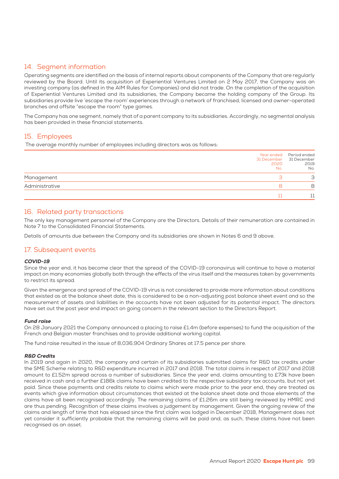# 14. Segment information

Operating segments are identified on the basis of internal reports about components of the Company that are regularly reviewed by the Board. Until its acquisition of Experiential Ventures Limited on 2 May 2017, the Company was an investing company (as defined in the AIM Rules for Companies) and did not trade. On the completion of the acquisition of Experiential Ventures Limited and its subsidiaries, the Company became the holding company of the Group. Its subsidiaries provide live 'escape the room' experiences through a network of franchised, licensed and owner-operated branches and offsite "escape the room" type games.

The Company has one segment, namely that of a parent company to its subsidiaries. Accordingly, no segmental analysis has been provided in these financial statements.

# 15. Employees

The average monthly number of employees including directors was as follows:

|                | 31 December 31 December<br>2020<br>No. | Year ended Period ended<br>2019<br>No. |
|----------------|----------------------------------------|----------------------------------------|
| Management     |                                        | 3                                      |
| Administrative |                                        | 8                                      |
|                |                                        |                                        |

### 16. Related party transactions

The only key management personnel of the Company are the Directors. Details of their remuneration are contained in Note 7 to the Consolidated Financial Statements.

Details of amounts due between the Company and its subsidiaries are shown in Notes 6 and 9 above.

# 17. Subsequent events

#### COVID-19

Since the year end, it has become clear that the spread of the COVID-19 coronavirus will continue to have a material impact on many economies globally both through the effects of the virus itself and the measures taken by governments to restrict its spread.

Given the emergence and spread of the COVID-19 virus is not considered to provide more information about conditions that existed as at the balance sheet date, this is considered to be a non-adjusting post balance sheet event and so the measurement of assets and liabilities in the accounts have not been adjusted for its potential impact. The directors have set out the post year end impact on going concern in the relevant section to the Directors Report.

#### Fund raise

On 28 January 2021 the Company announced a placing to raise £1.4m (before expenses) to fund the acquisition of the French and Belgian master franchises and to provide additional working capital.

The fund raise resulted in the issue of 8,036,904 Ordinary Shares at 17.5 pence per share.

#### R&D Credits

In 2019 and again in 2020, the company and certain of its subsidiaries submitted claims for R&D tax credits under the SME Scheme relating to R&D expenditure incurred in 2017 and 2018. The total claims in respect of 2017 and 2018 amount to £1.52m spread across a number of subsidiaries. Since the year end, claims amounting to £73k have been received in cash and a further £186k claims have been credited to the respective subsidiary tax accounts, but not yet paid. Since these payments and credits relate to claims which were made prior to the year end, they are treated as events which give information about circumstances that existed at the balance sheet date and those elements of the claims have all been recognised accordingly. The remaining claims of £1.26m are still being reviewed by HMRC and are thus pending. Recognition of these claims involves a judgement by management. Given the ongoing review of the claims and length of time that has elapsed since the first claim was lodged in December 2018, Management does not yet consider it sufficiently probable that the remaining claims will be paid and, as such, these claims have not been recognised as an asset.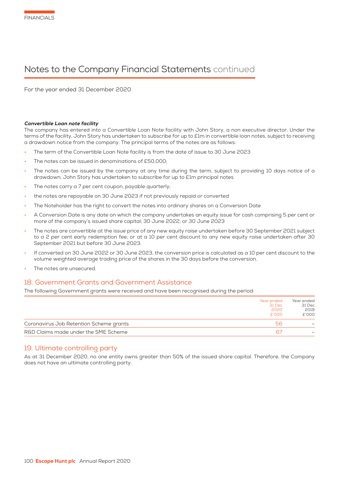# Notes to the Company Financial Statements continued

For the year ended 31 December 2020

#### Convertible Loan note facility

The company has entered into a Convertible Loan Note facility with John Story, a non executive director. Under the terms of the facility, John Story has undertaken to subscribe for up to £1m in convertible loan notes, subject to receiving a drawdown notice from the company. The principal terms of the notes are as follows:

- The term of the Convertible Loan Note facility is from the date of issue to 30 June 2023
- The notes can be issued in denominations of £50,000;
- The notes can be issued by the company at any time during the term, subject to providing 10 days notice of a drawdown; John Story has undertaken to subscribe for up to £1m principal notes
- The notes carry a 7 per cent coupon, payable quarterly;
- the notes are repayable on 30 June 2023 if not previously repaid or converted
- The Noteholder has the right to convert the notes into ordinary shares on a Conversion Date
- A Conversion Date is any date on which the company undertakes an equity issue for cash comprising 5 per cent or more of the company's issued share capital; 30 June 2022; or 30 June 2023
- The notes are convertible at the issue price of any new equity raise undertaken before 30 September 2021 subject to a 2 per cent early redemption fee; or at a 10 per cent discount to any new equity raise undertaken after 30 September 2021 but before 30 June 2023.
- If converted on 30 June 2022 or 30 June 2023, the conversion price is calculated as a 10 per cent discount to the volume weighted average trading price of the shares in the 30 days before the conversion.
- The notes are unsecured.

#### 18. Government Grants and Government Assistance

The following Government grants were received and have been recognised during the period:

|                                         | Year ended<br>31 Dec<br>2020<br>£'000 | Year ended<br>31 Dec<br>2019<br>£'000 |
|-----------------------------------------|---------------------------------------|---------------------------------------|
| Coronavirus Job Retention Scheme grants | 5h                                    |                                       |
| R&D Claims made under the SME Scheme    | 67                                    |                                       |

#### 19. Ultimate controlling party

As at 31 December 2020, no one entity owns greater than 50% of the issued share capital. Therefore, the Company does not have an ultimate controlling party.